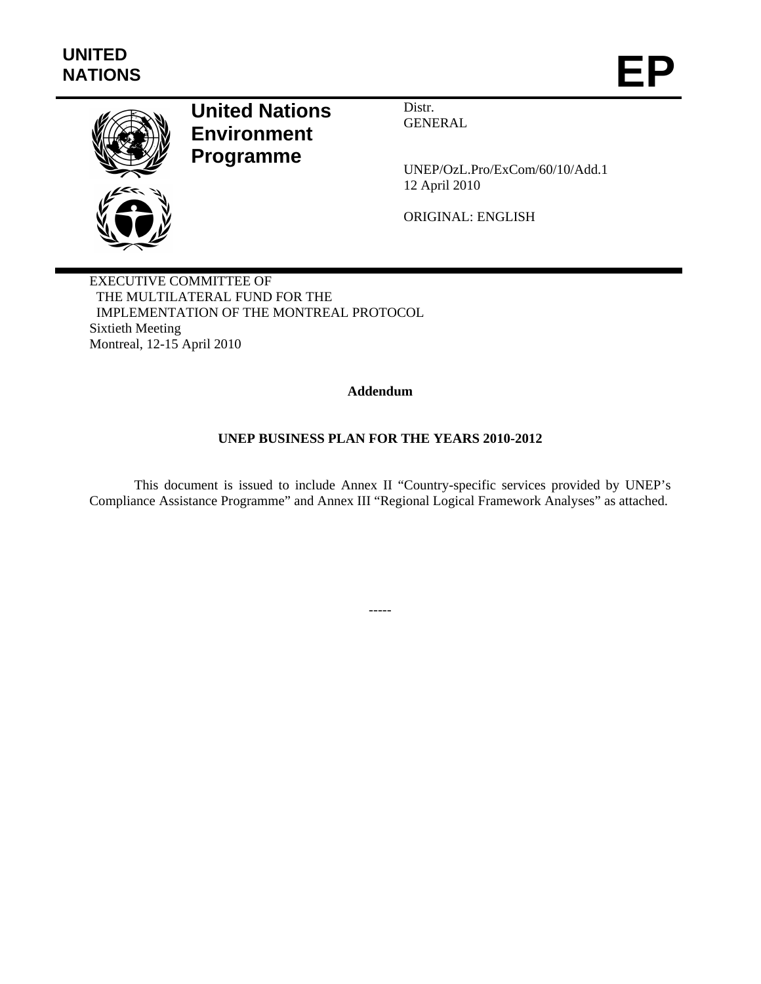

# **United Nations Environment Programme**

Distr. GENERAL

UNEP/OzL.Pro/ExCom/60/10/Add.1 12 April 2010

ORIGINAL: ENGLISH

EXECUTIVE COMMITTEE OF THE MULTILATERAL FUND FOR THE IMPLEMENTATION OF THE MONTREAL PROTOCOL Sixtieth Meeting Montreal, 12-15 April 2010

# **Addendum**

# **UNEP BUSINESS PLAN FOR THE YEARS 2010-2012**

 This document is issued to include Annex II "Country-specific services provided by UNEP's Compliance Assistance Programme" and Annex III "Regional Logical Framework Analyses" as attached.

-----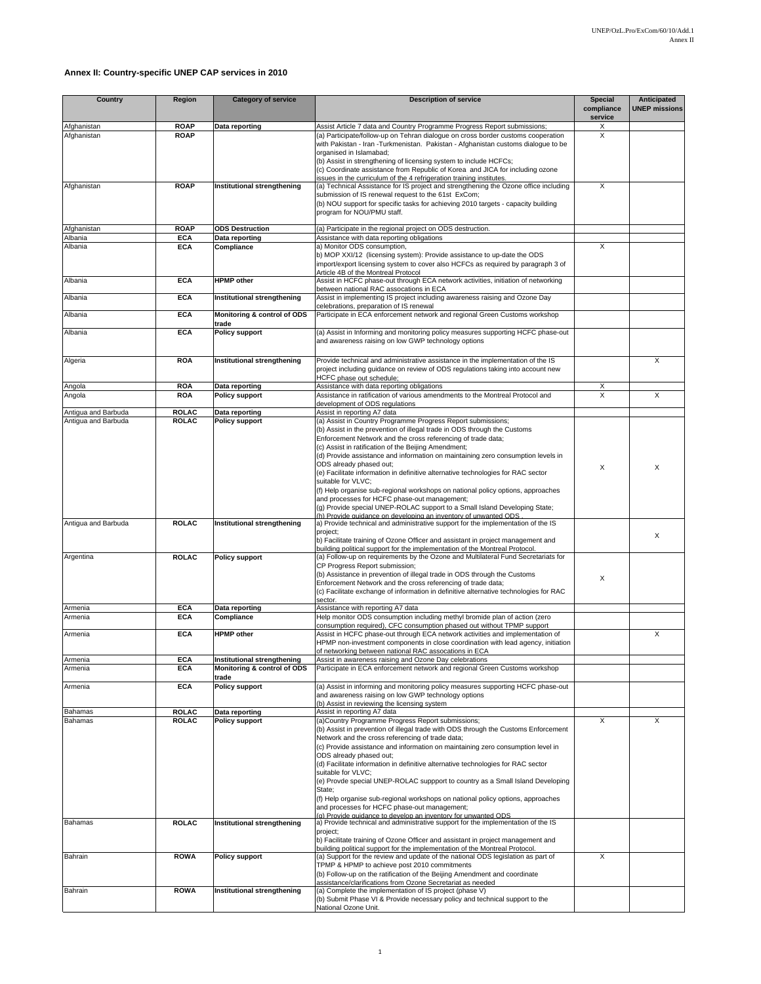#### **Annex II: Country-specific UNEP CAP services in 2010**

| <b>Country</b>                             | Region                       | <b>Category of service</b>                                 | <b>Description of service</b>                                                                                                                                                                                                                                                                                                                                                                                                                                                                                                                                                                                                                                                                                                                                                                                | <b>Special</b><br>compliance | Anticipated<br><b>UNEP missions</b> |
|--------------------------------------------|------------------------------|------------------------------------------------------------|--------------------------------------------------------------------------------------------------------------------------------------------------------------------------------------------------------------------------------------------------------------------------------------------------------------------------------------------------------------------------------------------------------------------------------------------------------------------------------------------------------------------------------------------------------------------------------------------------------------------------------------------------------------------------------------------------------------------------------------------------------------------------------------------------------------|------------------------------|-------------------------------------|
| Afghanistan                                | <b>ROAP</b>                  | Data reporting                                             | Assist Article 7 data and Country Programme Progress Report submissions;                                                                                                                                                                                                                                                                                                                                                                                                                                                                                                                                                                                                                                                                                                                                     | service<br>X                 |                                     |
| Afghanistan                                | <b>ROAP</b>                  |                                                            | (a) Participate/follow-up on Tehran dialogue on cross border customs cooperation<br>with Pakistan - Iran -Turkmenistan. Pakistan - Afghanistan customs dialogue to be<br>organised in Islamabad;<br>(b) Assist in strengthening of licensing system to include HCFCs;<br>(c) Coordinate assistance from Republic of Korea and JICA for including ozone<br>issues in the curriculum of the 4 refrigeration training institutes.                                                                                                                                                                                                                                                                                                                                                                               | X                            |                                     |
| Afghanistan                                | <b>ROAP</b>                  | Institutional strengthening                                | (a) Technical Assistance for IS project and strengthening the Ozone office including<br>submission of IS renewal request to the 61st ExCom;<br>(b) NOU support for specific tasks for achieving 2010 targets - capacity building<br>program for NOU/PMU staff.                                                                                                                                                                                                                                                                                                                                                                                                                                                                                                                                               | X                            |                                     |
| Afghanistan                                | <b>ROAP</b>                  | <b>ODS Destruction</b>                                     | (a) Participate in the regional project on ODS destruction.                                                                                                                                                                                                                                                                                                                                                                                                                                                                                                                                                                                                                                                                                                                                                  |                              |                                     |
| Albania<br>Albania                         | <b>ECA</b><br><b>ECA</b>     | Data reporting<br>Compliance                               | Assistance with data reporting obligations<br>a) Monitor ODS consumption,                                                                                                                                                                                                                                                                                                                                                                                                                                                                                                                                                                                                                                                                                                                                    | X                            |                                     |
|                                            |                              |                                                            | b) MOP XXI/12 (licensing system): Provide assistance to up-date the ODS<br>import/export licensing system to cover also HCFCs as required by paragraph 3 of<br>Article 4B of the Montreal Protocol                                                                                                                                                                                                                                                                                                                                                                                                                                                                                                                                                                                                           |                              |                                     |
| Albania                                    | <b>ECA</b>                   | <b>HPMP</b> other                                          | Assist in HCFC phase-out through ECA network activities, initiation of networking<br>between national RAC assocations in ECA                                                                                                                                                                                                                                                                                                                                                                                                                                                                                                                                                                                                                                                                                 |                              |                                     |
| Albania                                    | <b>ECA</b>                   | Institutional strengthening                                | Assist in implementing IS project including awareness raising and Ozone Day<br>celebrations, preparation of IS renewal                                                                                                                                                                                                                                                                                                                                                                                                                                                                                                                                                                                                                                                                                       |                              |                                     |
| Albania                                    | <b>ECA</b>                   | Monitoring & control of ODS<br>trade                       | Participate in ECA enforcement network and regional Green Customs workshop                                                                                                                                                                                                                                                                                                                                                                                                                                                                                                                                                                                                                                                                                                                                   |                              |                                     |
| Albania                                    | <b>ECA</b>                   | <b>Policy support</b>                                      | (a) Assist in Informing and monitoring policy measures supporting HCFC phase-out<br>and awareness raising on low GWP technology options                                                                                                                                                                                                                                                                                                                                                                                                                                                                                                                                                                                                                                                                      |                              |                                     |
| Algeria                                    | <b>ROA</b>                   | <b>Institutional strengthening</b>                         | Provide technical and administrative assistance in the implementation of the IS<br>project including guidance on review of ODS regulations taking into account new<br>HCFC phase out schedule;                                                                                                                                                                                                                                                                                                                                                                                                                                                                                                                                                                                                               |                              | X                                   |
| Angola<br>Angola                           | <b>ROA</b><br><b>ROA</b>     | Data reporting<br><b>Policy support</b>                    | Assistance with data reporting obligations<br>Assistance in ratification of various amendments to the Montreal Protocol and                                                                                                                                                                                                                                                                                                                                                                                                                                                                                                                                                                                                                                                                                  | Х<br>X                       | X                                   |
|                                            |                              |                                                            | development of ODS regulations                                                                                                                                                                                                                                                                                                                                                                                                                                                                                                                                                                                                                                                                                                                                                                               |                              |                                     |
| Antigua and Barbuda<br>Antigua and Barbuda | <b>ROLAC</b><br><b>ROLAC</b> | Data reporting<br><b>Policy support</b>                    | Assist in reporting A7 data<br>(a) Assist in Country Programme Progress Report submissions;<br>(b) Assist in the prevention of illegal trade in ODS through the Customs<br>Enforcement Network and the cross referencing of trade data;<br>(c) Assist in ratification of the Beijing Amendment;<br>(d) Provide assistance and information on maintaining zero consumption levels in<br>ODS already phased out;<br>(e) Facilitate information in definitive alternative technologies for RAC sector<br>suitable for VLVC:<br>(f) Help organise sub-regional workshops on national policy options, approaches<br>and processes for HCFC phase-out management;<br>(g) Provide special UNEP-ROLAC support to a Small Island Developing State;<br>(h) Provide quidance on developing an inventory of unwanted ODS | X                            | X                                   |
| Antigua and Barbuda                        | <b>ROLAC</b>                 | Institutional strengthening                                | a) Provide technical and administrative support for the implementation of the IS<br>project:<br>b) Facilitate training of Ozone Officer and assistant in project management and<br>building political support for the implementation of the Montreal Protocol.                                                                                                                                                                                                                                                                                                                                                                                                                                                                                                                                               |                              | X                                   |
| Argentina                                  | <b>ROLAC</b>                 | <b>Policy support</b>                                      | (a) Follow-up on requirements by the Ozone and Multilateral Fund Secretariats for<br>CP Progress Report submission;<br>(b) Assistance in prevention of illegal trade in ODS through the Customs<br>Enforcement Network and the cross referencing of trade data;<br>(c) Facilitate exchange of information in definitive alternative technologies for RAC<br>sector                                                                                                                                                                                                                                                                                                                                                                                                                                           | X                            |                                     |
| Armenia                                    | <b>ECA</b>                   | Data reporting                                             | Assistance with reporting A7 data                                                                                                                                                                                                                                                                                                                                                                                                                                                                                                                                                                                                                                                                                                                                                                            |                              |                                     |
| Armenia                                    | <b>ECA</b>                   | Compliance                                                 | Help monitor ODS consumption including methyl bromide plan of action (zero<br>consumption required), CFC consumption phased out without TPMP support                                                                                                                                                                                                                                                                                                                                                                                                                                                                                                                                                                                                                                                         |                              |                                     |
| Armenia                                    | <b>ECA</b>                   | <b>HPMP</b> other                                          | Assist in HCFC phase-out through ECA network activities and implementation of<br>HPMP non-investment components in close coordination with lead agency, initiation<br>of networking between national RAC assocations in ECA                                                                                                                                                                                                                                                                                                                                                                                                                                                                                                                                                                                  |                              | X                                   |
| Armenia<br>Armenia                         | <b>ECA</b><br><b>ECA</b>     | Institutional strengthening<br>Monitoring & control of ODS | Assist in awareness raising and Ozone Day celebrations<br>Participate in ECA enforcement network and regional Green Customs workshop                                                                                                                                                                                                                                                                                                                                                                                                                                                                                                                                                                                                                                                                         |                              |                                     |
| Armenia                                    | <b>ECA</b>                   | trade<br><b>Policy support</b>                             | (a) Assist in informing and monitoring policy measures supporting HCFC phase-out                                                                                                                                                                                                                                                                                                                                                                                                                                                                                                                                                                                                                                                                                                                             |                              |                                     |
|                                            |                              |                                                            | and awareness raising on low GWP technology options<br>(b) Assist in reviewing the licensing system                                                                                                                                                                                                                                                                                                                                                                                                                                                                                                                                                                                                                                                                                                          |                              |                                     |
| Bahamas                                    | <b>ROLAC</b>                 | Data reporting                                             | Assist in reporting A7 data                                                                                                                                                                                                                                                                                                                                                                                                                                                                                                                                                                                                                                                                                                                                                                                  |                              |                                     |
| Bahamas                                    | <b>ROLAC</b>                 | <b>Policy support</b>                                      | (a)Country Programme Progress Report submissions;<br>(b) Assist in prevention of illegal trade with ODS through the Customs Enforcement<br>Network and the cross referencing of trade data;<br>(c) Provide assistance and information on maintaining zero consumption level in<br>ODS already phased out;<br>(d) Facilitate information in definitive alternative technologies for RAC sector<br>suitable for VLVC;<br>(e) Provde special UNEP-ROLAC suppport to country as a Small Island Developing<br>State:<br>(f) Help organise sub-regional workshops on national policy options, approaches<br>and processes for HCFC phase-out management;                                                                                                                                                           | Χ                            | Χ                                   |
| Bahamas                                    | <b>ROLAC</b>                 | Institutional strengthening                                | (a) Provide auidance to develop an inventory for unwanted ODS<br>a) Provide technical and administrative support for the implementation of the IS<br>project;<br>b) Facilitate training of Ozone Officer and assistant in project management and                                                                                                                                                                                                                                                                                                                                                                                                                                                                                                                                                             |                              |                                     |
| Bahrain                                    | <b>ROWA</b>                  | <b>Policy support</b>                                      | building political support for the implementation of the Montreal Protocol.<br>(a) Support for the review and update of the national ODS legislation as part of<br>TPMP & HPMP to achieve post 2010 commitments<br>(b) Follow-up on the ratification of the Beijing Amendment and coordinate<br>assistance/clarifications from Ozone Secretariat as needed                                                                                                                                                                                                                                                                                                                                                                                                                                                   | X                            |                                     |
| Bahrain                                    | <b>ROWA</b>                  | Institutional strengthening                                | (a) Complete the implementation of IS project (phase V)<br>(b) Submit Phase VI & Provide necessary policy and technical support to the<br>National Ozone Unit.                                                                                                                                                                                                                                                                                                                                                                                                                                                                                                                                                                                                                                               |                              |                                     |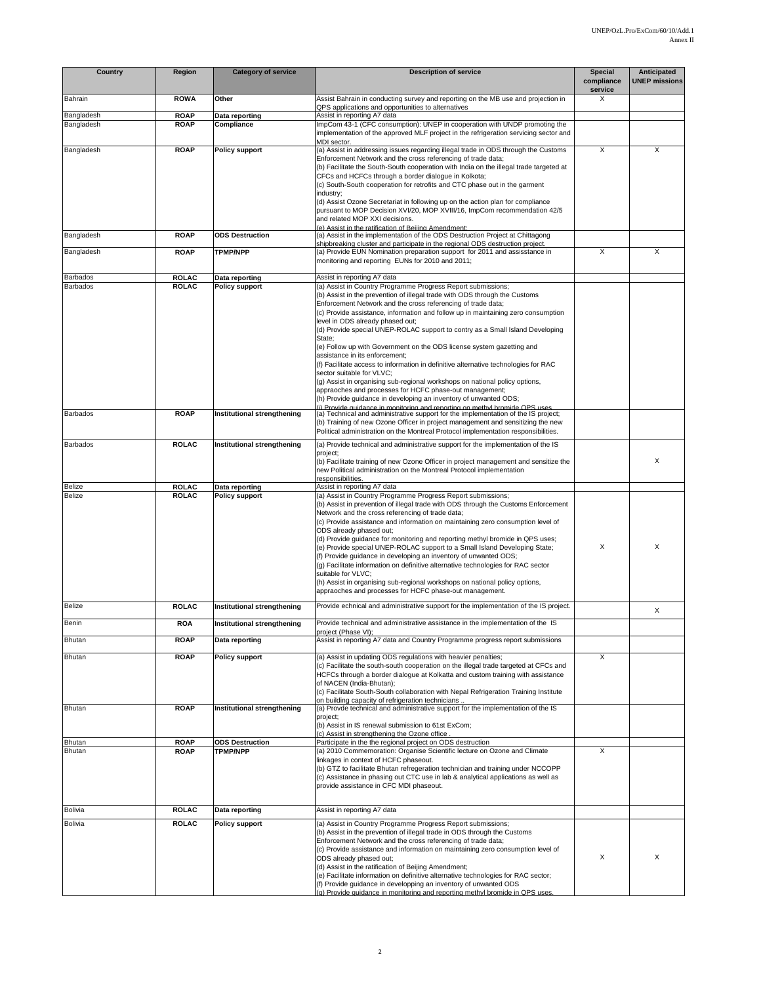| Country                 | Region                       | <b>Category of service</b>              | <b>Description of service</b>                                                                                                                                                                                                                                                                                                                                                                                                                                                                                                                                                                                                                                                                                                                                                                                                                                                                                                                              | <b>Special</b><br>compliance<br>service | Anticipated<br><b>UNEP missions</b> |
|-------------------------|------------------------------|-----------------------------------------|------------------------------------------------------------------------------------------------------------------------------------------------------------------------------------------------------------------------------------------------------------------------------------------------------------------------------------------------------------------------------------------------------------------------------------------------------------------------------------------------------------------------------------------------------------------------------------------------------------------------------------------------------------------------------------------------------------------------------------------------------------------------------------------------------------------------------------------------------------------------------------------------------------------------------------------------------------|-----------------------------------------|-------------------------------------|
| Bahrain                 | <b>ROWA</b>                  | Other                                   | Assist Bahrain in conducting survey and reporting on the MB use and projection in<br>QPS applications and opportunities to alternatives                                                                                                                                                                                                                                                                                                                                                                                                                                                                                                                                                                                                                                                                                                                                                                                                                    | X                                       |                                     |
| Bangladesh              | <b>ROAP</b>                  | Data reporting                          | Assist in reporting A7 data                                                                                                                                                                                                                                                                                                                                                                                                                                                                                                                                                                                                                                                                                                                                                                                                                                                                                                                                |                                         |                                     |
| Bangladesh              | <b>ROAP</b>                  | Compliance                              | ImpCom 43-1 (CFC consumption): UNEP in cooperation with UNDP promoting the<br>implementation of the approved MLF project in the refrigeration servicing sector and<br>MDI sector.                                                                                                                                                                                                                                                                                                                                                                                                                                                                                                                                                                                                                                                                                                                                                                          |                                         |                                     |
| Bangladesh              | <b>ROAP</b>                  | Policy support                          | (a) Assist in addressing issues regarding illegal trade in ODS through the Customs<br>Enforcement Network and the cross referencing of trade data;<br>(b) Facilitate the South-South cooperation with India on the illegal trade targeted at<br>CFCs and HCFCs through a border dialogue in Kolkota;<br>(c) South-South cooperation for retrofits and CTC phase out in the garment<br>industry;<br>(d) Assist Ozone Secretariat in following up on the action plan for compliance<br>pursuant to MOP Decision XVI/20, MOP XVIII/16, ImpCom recommendation 42/5<br>and related MOP XXI decisions.<br>(e) Assist in the ratification of Beiling Amendment:                                                                                                                                                                                                                                                                                                   | X                                       | X                                   |
| Bangladesh              | <b>ROAP</b>                  | <b>ODS</b> Destruction                  | (a) Assist in the implementation of the ODS Destruction Project at Chittagong<br>shipbreaking cluster and participate in the regional ODS destruction project.                                                                                                                                                                                                                                                                                                                                                                                                                                                                                                                                                                                                                                                                                                                                                                                             |                                         |                                     |
| Bangladesh              | <b>ROAP</b>                  | <b>TPMP/NPP</b>                         | (a) Provide EUN Nomination preparation support for 2011 and assisstance in<br>monitoring and reporting EUNs for 2010 and 2011;                                                                                                                                                                                                                                                                                                                                                                                                                                                                                                                                                                                                                                                                                                                                                                                                                             | X                                       | X                                   |
| <b>Barbados</b>         | <b>ROLAC</b>                 | Data reporting                          | Assist in reporting A7 data                                                                                                                                                                                                                                                                                                                                                                                                                                                                                                                                                                                                                                                                                                                                                                                                                                                                                                                                |                                         |                                     |
| Barbados                | <b>ROLAC</b>                 | <b>Policy support</b>                   | (a) Assist in Country Programme Progress Report submissions;<br>(b) Assist in the prevention of illegal trade with ODS through the Customs<br>Enforcement Network and the cross referencing of trade data;<br>(c) Provide assistance, information and follow up in maintaining zero consumption<br>level in ODS already phased out;<br>(d) Provide special UNEP-ROLAC support to contry as a Small Island Developing<br>State;<br>(e) Follow up with Government on the ODS license system gazetting and<br>assistance in its enforcement;<br>(f) Facilitate access to information in definitive alternative technologies for RAC<br>sector suitable for VLVC;<br>(g) Assist in organising sub-regional workshops on national policy options,<br>appraoches and processes for HCFC phase-out management;<br>(h) Provide quidance in developing an inventory of unwanted ODS;<br>(i) Provide guidance in monitoring and reporting on methyl bromide OPS uses |                                         |                                     |
| Barbados                | <b>ROAP</b>                  | Institutional strengthening             | (a) Technical and administrative support for the implementation of the IS project;<br>(b) Training of new Ozone Officer in project management and sensitizing the new<br>Political administration on the Montreal Protocol implementation responsibilities.                                                                                                                                                                                                                                                                                                                                                                                                                                                                                                                                                                                                                                                                                                |                                         |                                     |
| <b>Barbados</b>         | <b>ROLAC</b>                 | Institutional strengthening             | (a) Provide technical and administrative support for the implementation of the IS<br>project;<br>(b) Facilitate training of new Ozone Officer in project management and sensitize the<br>new Political administration on the Montreal Protocol implementation<br>responsibilities.                                                                                                                                                                                                                                                                                                                                                                                                                                                                                                                                                                                                                                                                         |                                         | X                                   |
| Belize<br><b>Belize</b> | <b>ROLAC</b><br><b>ROLAC</b> | Data reporting<br><b>Policy support</b> | Assist in reporting A7 data<br>(a) Assist in Country Programme Progress Report submissions;                                                                                                                                                                                                                                                                                                                                                                                                                                                                                                                                                                                                                                                                                                                                                                                                                                                                |                                         |                                     |
|                         |                              |                                         | (b) Assist in prevention of illegal trade with ODS through the Customs Enforcement<br>Network and the cross referencing of trade data;<br>(c) Provide assistance and information on maintaining zero consumption level of<br>ODS already phased out;<br>(d) Provide guidance for monitoring and reporting methyl bromide in QPS uses;<br>(e) Provide special UNEP-ROLAC support to a Small Island Developing State;<br>(f) Provide guidance in developing an inventory of unwanted ODS;<br>(g) Facilitate information on definitive alternative technologies for RAC sector<br>suitable for VLVC;<br>(h) Assist in organising sub-regional workshops on national policy options,<br>appraoches and processes for HCFC phase-out management.                                                                                                                                                                                                                | X                                       | X                                   |
| Belize                  | <b>ROLAC</b>                 | Institutional strengthening             | Provide echnical and administrative support for the implementation of the IS project.                                                                                                                                                                                                                                                                                                                                                                                                                                                                                                                                                                                                                                                                                                                                                                                                                                                                      |                                         | X                                   |
| Benin                   | <b>ROA</b>                   | Institutional strengthening             | Provide technical and administrative assistance in the implementation of the IS<br>project (Phase VI);                                                                                                                                                                                                                                                                                                                                                                                                                                                                                                                                                                                                                                                                                                                                                                                                                                                     |                                         |                                     |
| Bhutan                  | <b>ROAP</b>                  | Data reporting                          | Assist in reporting A7 data and Country Programme progress report submissions                                                                                                                                                                                                                                                                                                                                                                                                                                                                                                                                                                                                                                                                                                                                                                                                                                                                              |                                         |                                     |
| Bhutan                  | <b>ROAP</b>                  | <b>Policy support</b>                   | (a) Assist in updating ODS regulations with heavier penalties;<br>(c) Facilitate the south-south cooperation on the illegal trade targeted at CFCs and<br>HCFCs through a border dialogue at Kolkatta and custom training with assistance<br>of NACEN (India-Bhutan);<br>(c) Facilitate South-South collaboration with Nepal Refrigeration Training Institute<br>on building capacity of refrigeration technicians,                                                                                                                                                                                                                                                                                                                                                                                                                                                                                                                                        | X                                       |                                     |
| Bhutan                  | <b>ROAP</b>                  | Institutional strengthening             | (a) Provde technical and administrative support for the implementation of the IS<br>project:<br>(b) Assist in IS renewal submission to 61st ExCom;<br>(c) Assist in strengthening the Ozone office                                                                                                                                                                                                                                                                                                                                                                                                                                                                                                                                                                                                                                                                                                                                                         |                                         |                                     |
| Bhutan                  | <b>ROAP</b>                  | <b>ODS Destruction</b>                  | Participate in the the regional project on ODS destruction                                                                                                                                                                                                                                                                                                                                                                                                                                                                                                                                                                                                                                                                                                                                                                                                                                                                                                 |                                         |                                     |
| Bhutan                  | <b>ROAP</b>                  | <b>TPMP/NPP</b>                         | (a) 2010 Commemoration: Organise Scientific lecture on Ozone and Climate<br>linkages in context of HCFC phaseout.<br>(b) GTZ to facilitate Bhutan refregeration technician and training under NCCOPP<br>(c) Assistance in phasing out CTC use in lab & analytical applications as well as<br>provide assistance in CFC MDI phaseout.                                                                                                                                                                                                                                                                                                                                                                                                                                                                                                                                                                                                                       | X                                       |                                     |
| Bolivia                 | <b>ROLAC</b>                 | Data reporting                          | Assist in reporting A7 data                                                                                                                                                                                                                                                                                                                                                                                                                                                                                                                                                                                                                                                                                                                                                                                                                                                                                                                                |                                         |                                     |
| Bolivia                 | <b>ROLAC</b>                 | <b>Policy support</b>                   | (a) Assist in Country Programme Progress Report submissions;<br>(b) Assist in the prevention of illegal trade in ODS through the Customs<br>Enforcement Network and the cross referencing of trade data;<br>(c) Provide assistance and information on maintaining zero consumption level of<br>ODS already phased out;<br>(d) Assist in the ratification of Beijing Amendment;<br>(e) Facilitate information on definitive alternative technologies for RAC sector;<br>(f) Provide guidance in developping an inventory of unwanted ODS<br>(g) Provide guidance in monitoring and reporting methyl bromide in QPS uses                                                                                                                                                                                                                                                                                                                                     | X                                       | X                                   |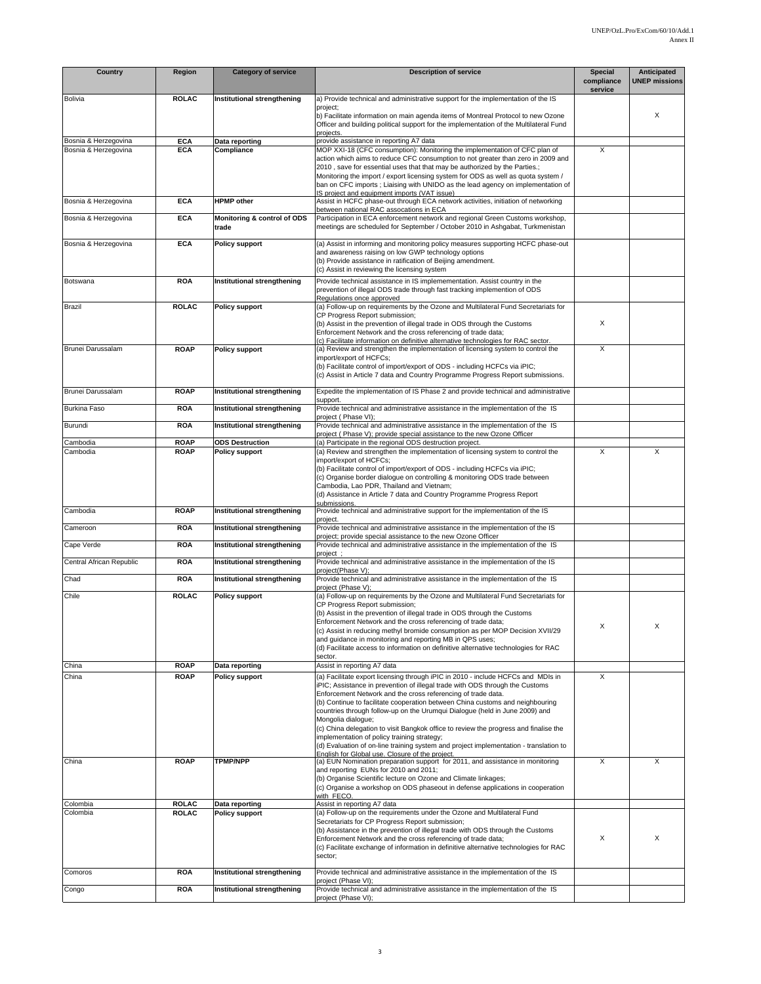| Country                  | <b>Region</b>                | <b>Category of service</b>                            | <b>Description of service</b>                                                                                                                                                                                                                                                                                                                                                                                                                                                                                                                                                                                                                                                                                                            | <b>Special</b><br>compliance | Anticipated<br><b>UNEP missions</b> |
|--------------------------|------------------------------|-------------------------------------------------------|------------------------------------------------------------------------------------------------------------------------------------------------------------------------------------------------------------------------------------------------------------------------------------------------------------------------------------------------------------------------------------------------------------------------------------------------------------------------------------------------------------------------------------------------------------------------------------------------------------------------------------------------------------------------------------------------------------------------------------------|------------------------------|-------------------------------------|
| Bolivia                  | <b>ROLAC</b>                 | Institutional strengthening                           | a) Provide technical and administrative support for the implementation of the IS                                                                                                                                                                                                                                                                                                                                                                                                                                                                                                                                                                                                                                                         | service                      |                                     |
|                          |                              |                                                       | project;<br>b) Facilitate information on main agenda items of Montreal Protocol to new Ozone<br>Officer and building political support for the implementation of the Multilateral Fund<br>projects.                                                                                                                                                                                                                                                                                                                                                                                                                                                                                                                                      |                              | X                                   |
| Bosnia & Herzegovina     | <b>ECA</b>                   | Data reporting                                        | provide assistance in reporting A7 data                                                                                                                                                                                                                                                                                                                                                                                                                                                                                                                                                                                                                                                                                                  |                              |                                     |
| Bosnia & Herzegovina     | <b>ECA</b>                   | Compliance                                            | MOP XXI-18 (CFC consumption): Monitoring the implementation of CFC plan of<br>action which aims to reduce CFC consumption to not greater than zero in 2009 and<br>2010, save for essential uses that that may be authorized by the Parties.;<br>Monitoring the import / export licensing system for ODS as well as quota system /<br>ban on CFC imports ; Liaising with UNIDO as the lead agency on implementation of<br>IS project and equipment imports (VAT issue)                                                                                                                                                                                                                                                                    | $\times$                     |                                     |
| Bosnia & Herzegovina     | <b>ECA</b>                   | <b>HPMP</b> other                                     | Assist in HCFC phase-out through ECA network activities, initiation of networking<br>between national RAC assocations in ECA                                                                                                                                                                                                                                                                                                                                                                                                                                                                                                                                                                                                             |                              |                                     |
| Bosnia & Herzegovina     | <b>ECA</b>                   | Monitoring & control of ODS<br>trade                  | Participation in ECA enforcement network and regional Green Customs workshop,<br>meetings are scheduled for September / October 2010 in Ashgabat, Turkmenistan                                                                                                                                                                                                                                                                                                                                                                                                                                                                                                                                                                           |                              |                                     |
| Bosnia & Herzegovina     | <b>ECA</b>                   | <b>Policy support</b>                                 | (a) Assist in informing and monitoring policy measures supporting HCFC phase-out<br>and awareness raising on low GWP technology options<br>(b) Provide assistance in ratification of Beijing amendment.<br>(c) Assist in reviewing the licensing system                                                                                                                                                                                                                                                                                                                                                                                                                                                                                  |                              |                                     |
| Botswana                 | <b>ROA</b>                   | Institutional strengthening                           | Provide technical assistance in IS implemementation. Assist country in the<br>prevention of illegal ODS trade through fast tracking implemention of ODS<br>Regulations once approved                                                                                                                                                                                                                                                                                                                                                                                                                                                                                                                                                     |                              |                                     |
| Brazil                   | <b>ROLAC</b>                 | <b>Policy support</b>                                 | (a) Follow-up on requirements by the Ozone and Multilateral Fund Secretariats for<br>CP Progress Report submission;<br>(b) Assist in the prevention of illegal trade in ODS through the Customs<br>Enforcement Network and the cross referencing of trade data;<br>(c) Facilitate information on definitive alternative technologies for RAC sector.                                                                                                                                                                                                                                                                                                                                                                                     | X                            |                                     |
| Brunei Darussalam        | <b>ROAP</b>                  | Policy support                                        | (a) Review and strengthen the implementation of licensing system to control the<br>import/export of HCFCs;<br>(b) Facilitate control of import/export of ODS - including HCFCs via iPIC;<br>(c) Assist in Article 7 data and Country Programme Progress Report submissions.                                                                                                                                                                                                                                                                                                                                                                                                                                                              | X                            |                                     |
| Brunei Darussalam        | <b>ROAP</b>                  | Institutional strengthening                           | Expedite the implementation of IS Phase 2 and provide technical and administrative                                                                                                                                                                                                                                                                                                                                                                                                                                                                                                                                                                                                                                                       |                              |                                     |
| <b>Burkina Faso</b>      | <b>ROA</b>                   | Institutional strengthening                           | support.<br>Provide technical and administrative assistance in the implementation of the IS<br>project (Phase VI);                                                                                                                                                                                                                                                                                                                                                                                                                                                                                                                                                                                                                       |                              |                                     |
| Burundi<br>Cambodia      | <b>ROA</b><br><b>ROAP</b>    | Institutional strengthening<br><b>ODS Destruction</b> | Provide technical and administrative assistance in the implementation of the IS<br>project (Phase V); provide special assistance to the new Ozone Officer<br>(a) Participate in the regional ODS destruction project.                                                                                                                                                                                                                                                                                                                                                                                                                                                                                                                    |                              |                                     |
| Cambodia                 | <b>ROAP</b>                  | <b>Policy support</b>                                 | (a) Review and strengthen the implementation of licensing system to control the<br>import/export of HCFCs;<br>(b) Facilitate control of import/export of ODS - including HCFCs via iPIC;<br>(c) Organise border dialogue on controlling & monitoring ODS trade between<br>Cambodia, Lao PDR, Thailand and Vietnam;<br>(d) Assistance in Article 7 data and Country Programme Progress Report<br>submissions                                                                                                                                                                                                                                                                                                                              | X                            | Χ                                   |
| Cambodia                 | <b>ROAP</b>                  | Institutional strengthening                           | Provide technical and administrative support for the implementation of the IS<br>project.                                                                                                                                                                                                                                                                                                                                                                                                                                                                                                                                                                                                                                                |                              |                                     |
| Cameroon                 | <b>ROA</b>                   | Institutional strengthening                           | Provide technical and administrative assistance in the implementation of the IS                                                                                                                                                                                                                                                                                                                                                                                                                                                                                                                                                                                                                                                          |                              |                                     |
| Cape Verde               | <b>ROA</b>                   | Institutional strengthening                           | project; provide special assistance to the new Ozone Officer<br>Provide technical and administrative assistance in the implementation of the IS                                                                                                                                                                                                                                                                                                                                                                                                                                                                                                                                                                                          |                              |                                     |
| Central African Republic | <b>ROA</b>                   | Institutional strengthening                           | project :<br>Provide technical and administrative assistance in the implementation of the IS                                                                                                                                                                                                                                                                                                                                                                                                                                                                                                                                                                                                                                             |                              |                                     |
| Chad                     | <b>ROA</b>                   | Institutional strengthening                           | project(Phase V):<br>Provide technical and administrative assistance in the implementation of the IS                                                                                                                                                                                                                                                                                                                                                                                                                                                                                                                                                                                                                                     |                              |                                     |
| Chile                    | <b>ROLAC</b>                 | <b>Policy support</b>                                 | proiect (Phase V):<br>(a) Follow-up on requirements by the Ozone and Multilateral Fund Secretariats for<br>CP Progress Report submission;<br>(b) Assist in the prevention of illegal trade in ODS through the Customs<br>Enforcement Network and the cross referencing of trade data;<br>(c) Assist in reducing methyl bromide consumption as per MOP Decision XVII/29<br>and guidance in monitoring and reporting MB in QPS uses;<br>(d) Facilitate access to information on definitive alternative technologies for RAC<br>sector.                                                                                                                                                                                                     | х                            | х                                   |
| China<br>China           | <b>ROAP</b><br><b>ROAP</b>   | Data reporting<br><b>Policy support</b>               | Assist in reporting A7 data<br>(a) Facilitate export licensing through iPIC in 2010 - include HCFCs and MDIs in<br>iPIC; Assistance in prevention of illegal trade with ODS through the Customs<br>Enforcement Network and the cross referencing of trade data.<br>(b) Continue to facilitate cooperation between China customs and neighbouring<br>countries through follow-up on the Urumqui Dialogue (held in June 2009) and<br>Mongolia dialogue;<br>(c) China delegation to visit Bangkok office to review the progress and finalise the<br>implementation of policy training strategy;<br>(d) Evaluation of on-line training system and project implementation - translation to<br>English for Global use. Closure of the project. | X                            |                                     |
| China                    | <b>ROAP</b>                  | <b>TPMP/NPP</b>                                       | (a) EUN Nomination preparation support for 2011, and assistance in monitoring<br>and reporting EUNs for 2010 and 2011;<br>(b) Organise Scientific lecture on Ozone and Climate linkages;<br>(c) Organise a workshop on ODS phaseout in defense applications in cooperation<br>with FECO.                                                                                                                                                                                                                                                                                                                                                                                                                                                 | X                            | X                                   |
| Colombia<br>Colombia     | <b>ROLAC</b><br><b>ROLAC</b> | Data reporting<br><b>Policy support</b>               | Assist in reporting A7 data<br>(a) Follow-up on the requirements under the Ozone and Multilateral Fund<br>Secretariats for CP Progress Report submission;<br>(b) Assistance in the prevention of illegal trade with ODS through the Customs<br>Enforcement Network and the cross referencing of trade data;<br>(c) Facilitate exchange of information in definitive alternative technologies for RAC<br>sector;                                                                                                                                                                                                                                                                                                                          | X                            | X                                   |
| Comoros                  | <b>ROA</b>                   | Institutional strengthening                           | Provide technical and administrative assistance in the implementation of the IS<br>project (Phase VI);                                                                                                                                                                                                                                                                                                                                                                                                                                                                                                                                                                                                                                   |                              |                                     |
| Congo                    | <b>ROA</b>                   | Institutional strengthening                           | Provide technical and administrative assistance in the implementation of the IS<br>project (Phase VI);                                                                                                                                                                                                                                                                                                                                                                                                                                                                                                                                                                                                                                   |                              |                                     |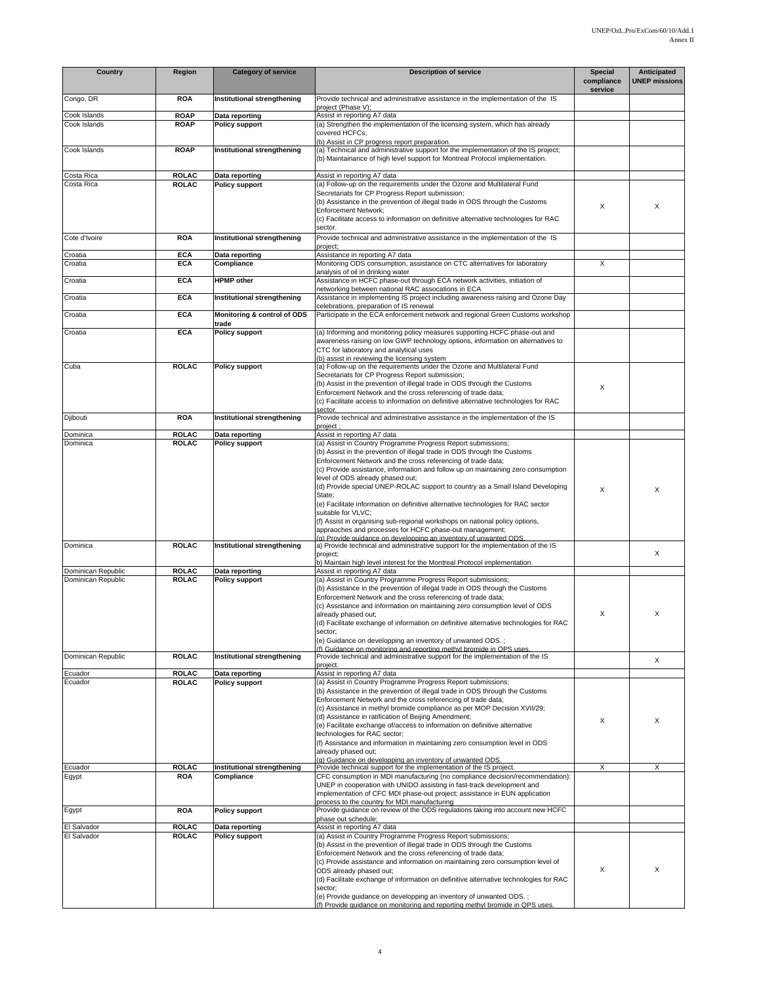| Country                                  | Region                       | <b>Category of service</b>              | <b>Description of service</b>                                                                                                                                                                                                                                                                                                                                                                                                                                                                                                                                                                                                                                                         | <b>Special</b><br>compliance<br>service | Anticipated<br><b>UNEP missions</b> |
|------------------------------------------|------------------------------|-----------------------------------------|---------------------------------------------------------------------------------------------------------------------------------------------------------------------------------------------------------------------------------------------------------------------------------------------------------------------------------------------------------------------------------------------------------------------------------------------------------------------------------------------------------------------------------------------------------------------------------------------------------------------------------------------------------------------------------------|-----------------------------------------|-------------------------------------|
| Congo, DR                                | <b>ROA</b>                   | Institutional strengthening             | Provide technical and administrative assistance in the implementation of the IS<br>project (Phase V);                                                                                                                                                                                                                                                                                                                                                                                                                                                                                                                                                                                 |                                         |                                     |
| Cook Islands                             | <b>ROAP</b>                  | Data reporting                          | Assist in reporting A7 data                                                                                                                                                                                                                                                                                                                                                                                                                                                                                                                                                                                                                                                           |                                         |                                     |
| Cook Islands                             | <b>ROAP</b>                  | <b>Policy support</b>                   | (a) Strengthen the implementation of the licensing system, which has already<br>covered HCFCs:<br>(b) Assist in CP progress report preparation.                                                                                                                                                                                                                                                                                                                                                                                                                                                                                                                                       |                                         |                                     |
| Cook Islands                             | <b>ROAP</b>                  | Institutional strengthening             | (a) Technical and administrative support for the implementation of the IS project;<br>(b) Maintainance of high level support for Montreal Protocol implementation.                                                                                                                                                                                                                                                                                                                                                                                                                                                                                                                    |                                         |                                     |
| Costa Rica                               | <b>ROLAC</b>                 | Data reporting                          | Assist in reporting A7 data                                                                                                                                                                                                                                                                                                                                                                                                                                                                                                                                                                                                                                                           |                                         |                                     |
| Costa Rica                               | <b>ROLAC</b>                 | <b>Policy support</b>                   | (a) Follow-up on the requirements under the Ozone and Multilateral Fund<br>Secretariats for CP Progress Report submission;<br>(b) Assistance in the prevention of illegal trade in ODS through the Customs<br><b>Enforcement Network:</b><br>(c) Facilitate access to information on definitive alternative technologies for RAC                                                                                                                                                                                                                                                                                                                                                      | X                                       | X                                   |
| Cote d'Ivoire                            | <b>ROA</b>                   | Institutional strengthening             | sector.<br>Provide technical and administrative assistance in the implementation of the IS<br>project;                                                                                                                                                                                                                                                                                                                                                                                                                                                                                                                                                                                |                                         |                                     |
| Croatia                                  | <b>ECA</b>                   | Data reporting                          | Assistance in reporting A7 data                                                                                                                                                                                                                                                                                                                                                                                                                                                                                                                                                                                                                                                       |                                         |                                     |
| Croatia                                  | <b>ECA</b>                   | Compliance                              | Monitoring ODS consumption, assistance on CTC alternatives for laboratory<br>analysis of oil in drinking water                                                                                                                                                                                                                                                                                                                                                                                                                                                                                                                                                                        | X                                       |                                     |
| Croatia                                  | <b>ECA</b>                   | <b>HPMP</b> other                       | Assistance in HCFC phase-out through ECA network activities, initiation of<br>networking between national RAC assocations in ECA                                                                                                                                                                                                                                                                                                                                                                                                                                                                                                                                                      |                                         |                                     |
| Croatia                                  | <b>ECA</b>                   | Institutional strengthening             | Assistance in implementing IS project including awareness raising and Ozone Day<br>celebrations, preparation of IS renewal                                                                                                                                                                                                                                                                                                                                                                                                                                                                                                                                                            |                                         |                                     |
| Croatia                                  | <b>ECA</b>                   | Monitoring & control of ODS<br>trade    | Participate in the ECA enforcement network and regional Green Customs workshop                                                                                                                                                                                                                                                                                                                                                                                                                                                                                                                                                                                                        |                                         |                                     |
| Croatia                                  | <b>ECA</b>                   | <b>Policy support</b>                   | (a) Informing and monitoring policy measures supporting HCFC phase-out and<br>awareness raising on low GWP technology options, information on alternatives to<br>CTC for laboratory and analytical uses<br>(b) assist in reviewing the licensing system                                                                                                                                                                                                                                                                                                                                                                                                                               |                                         |                                     |
| Cuba                                     | <b>ROLAC</b>                 | <b>Policy support</b>                   | (a) Follow-up on the requirements under the Ozone and Multilateral Fund<br>Secretariats for CP Progress Report submission;<br>(b) Assist in the prevention of illegal trade in ODS through the Customs<br>Enforcement Network and the cross referencing of trade data;<br>(c) Facilitate access to information on definitive alternative technologies for RAC<br>sector                                                                                                                                                                                                                                                                                                               | X                                       |                                     |
| Djibouti                                 | <b>ROA</b>                   | Institutional strengthening             | Provide technical and administrative assistance in the implementation of the IS<br>project;                                                                                                                                                                                                                                                                                                                                                                                                                                                                                                                                                                                           |                                         |                                     |
| Dominica                                 | <b>ROLAC</b>                 | Data reporting                          | Assist in reporting A7 data                                                                                                                                                                                                                                                                                                                                                                                                                                                                                                                                                                                                                                                           |                                         |                                     |
|                                          |                              |                                         | (b) Assist in the prevention of illegal trade in ODS through the Customs<br>Enforcement Network and the cross referencing of trade data;<br>(c) Provide assistance, information and follow up on maintaining zero consumption<br>level of ODS already phased out;<br>(d) Provide special UNEP-ROLAC support to country as a Small Island Developing<br>State:<br>(e) Facilitate information on definitive alternative technologies for RAC sector<br>suitable for VLVC;<br>(f) Assist in organising sub-regional workshops on national policy options,<br>appraoches and processes for HCFC phase-out management;<br>(a) Provide guidance on developping an inventory of unwanted ODS | X                                       | X                                   |
| Dominica                                 | <b>ROLAC</b>                 | Institutional strengthening             | a) Provide technical and administrative support for the implementation of the IS<br>project;<br>b) Maintain high level interest for the Montreal Protocol implementation.                                                                                                                                                                                                                                                                                                                                                                                                                                                                                                             |                                         | X                                   |
| Dominican Republic<br>Dominican Republic | <b>ROLAC</b><br><b>ROLAC</b> | Data reporting<br><b>Policy support</b> | Assist in reporting A7 data<br>(a) Assist in Country Programme Progress Report submissions;<br>(b) Assistance in the prevention of illegal trade in ODS through the Customs<br>Enforcement Network and the cross referencing of trade data;<br>(c) Assistance and information on maintaining zero consumption level of ODS<br>already phased out;<br>(d) Facilitate exchange of information on definitive alternative technologies for RAC<br>sector;<br>(e) Guidance on developping an inventory of unwanted ODS.;<br>(f) Guidance on monitoring and reporting methyl bromide in QPS uses.                                                                                           | X                                       | X                                   |
| Dominican Republic                       | <b>ROLAC</b>                 | Institutional strengthening             | Provide technical and administrative support for the implementation of the IS<br>project.                                                                                                                                                                                                                                                                                                                                                                                                                                                                                                                                                                                             |                                         | X                                   |
| Ecuador                                  | <b>ROLAC</b>                 | Data reporting                          | Assist in reporting A7 data                                                                                                                                                                                                                                                                                                                                                                                                                                                                                                                                                                                                                                                           |                                         |                                     |
| Ecuador                                  | <b>ROLAC</b>                 | <b>Policy support</b>                   | (a) Assist in Country Programme Progress Report submissions;<br>(b) Assistance in the prevention of illegal trade in ODS through the Customs<br>Enforcement Network and the cross referencing of trade data;<br>(c) Assistance in methyl bromide compliance as per MOP Decision XVII/29;<br>(d) Assistance in ratification of Beijing Amendment;<br>(e) Facilitate exchange of/access to information on definitive alternative<br>technologies for RAC sector;<br>(f) Assistance and information in maintaining zero consumption level in ODS<br>already phased out;<br>(a) Guidance on developping an inventory of unwanted ODS.                                                     | X                                       | X                                   |
| Ecuador                                  | <b>ROLAC</b>                 | Institutional strengthening             | Provide technical support for the implementation of the IS project.                                                                                                                                                                                                                                                                                                                                                                                                                                                                                                                                                                                                                   | X                                       | X                                   |
| Egypt                                    | <b>ROA</b>                   | Compliance                              | CFC consumption in MDI manufacturing (no compliance decision/recommendation):<br>UNEP in cooperation with UNIDO assisting in fast-track development and<br>implementation of CFC MDI phase-out project; assistance in EUN application<br>process to the country for MDI manufacturing                                                                                                                                                                                                                                                                                                                                                                                                 |                                         |                                     |
| Egypt                                    | <b>ROA</b>                   | <b>Policy support</b>                   | Provide guidance on review of the ODS regulations taking into account new HCFC<br>phase out schedule;                                                                                                                                                                                                                                                                                                                                                                                                                                                                                                                                                                                 |                                         |                                     |
| El Salvador                              | <b>ROLAC</b>                 | Data reporting                          | Assist in reporting A7 data                                                                                                                                                                                                                                                                                                                                                                                                                                                                                                                                                                                                                                                           |                                         |                                     |
| El Salvador                              | <b>ROLAC</b>                 | <b>Policy support</b>                   | (a) Assist in Country Programme Progress Report submissions;<br>(b) Assist in the prevention of illegal trade in ODS through the Customs<br>Enforcement Network and the cross referencing of trade data;<br>(c) Provide assistance and information on maintaining zero consumption level of<br>ODS already phased out;<br>(d) Facilitate exchange of information on definitive alternative technologies for RAC<br>sector;<br>(e) Provide guidance on developping an inventory of unwanted ODS.;<br>(f) Provide auidance on monitoring and reporting methyl bromide in QPS uses.                                                                                                      | Х                                       | X                                   |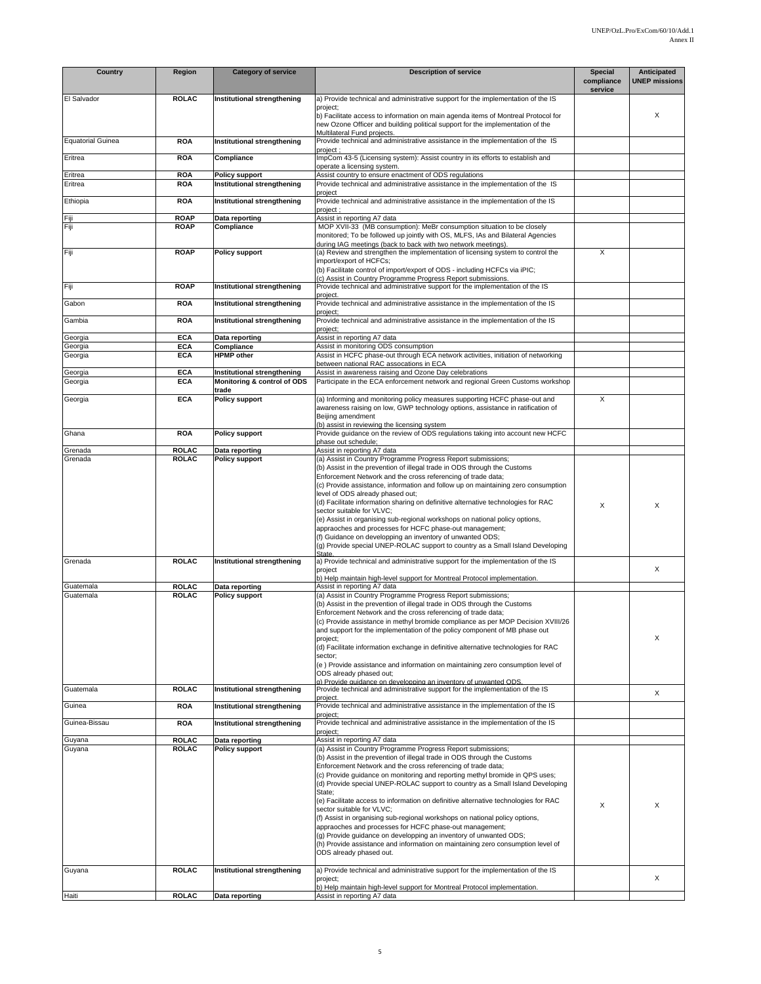| Country                  | Region                       | <b>Category of service</b>                                 | <b>Description of service</b>                                                                                                                                  | <b>Special</b>        | Anticipated          |
|--------------------------|------------------------------|------------------------------------------------------------|----------------------------------------------------------------------------------------------------------------------------------------------------------------|-----------------------|----------------------|
|                          |                              |                                                            |                                                                                                                                                                | compliance<br>service | <b>UNEP missions</b> |
| El Salvador              | <b>ROLAC</b>                 | Institutional strengthening                                | a) Provide technical and administrative support for the implementation of the IS                                                                               |                       |                      |
|                          |                              |                                                            | project;<br>b) Facilitate access to information on main agenda items of Montreal Protocol for                                                                  |                       | X                    |
|                          |                              |                                                            | new Ozone Officer and building political support for the implementation of the<br>Multilateral Fund projects.                                                  |                       |                      |
| <b>Equatorial Guinea</b> | <b>ROA</b>                   | Institutional strengthening                                | Provide technical and administrative assistance in the implementation of the IS                                                                                |                       |                      |
| Eritrea                  | <b>ROA</b>                   | Compliance                                                 | project ;<br>ImpCom 43-5 (Licensing system): Assist country in its efforts to establish and                                                                    |                       |                      |
|                          |                              |                                                            | operate a licensing system.                                                                                                                                    |                       |                      |
| Eritrea<br>Eritrea       | <b>ROA</b><br>ROA            | <b>Policy support</b><br>Institutional strengthening       | Assist country to ensure enactment of ODS regulations<br>Provide technical and administrative assistance in the implementation of the IS                       |                       |                      |
|                          |                              |                                                            | project                                                                                                                                                        |                       |                      |
| Ethiopia                 | <b>ROA</b>                   | Institutional strengthening                                | Provide technical and administrative assistance in the implementation of the IS<br>project;                                                                    |                       |                      |
| Fiji                     | <b>ROAP</b>                  | Data reporting                                             | Assist in reporting A7 data                                                                                                                                    |                       |                      |
| Fiji                     | <b>ROAP</b>                  | Compliance                                                 | MOP XVII-33 (MB consumption): MeBr consumption situation to be closely<br>monitored; To be followed up jointly with OS, MLFS, IAs and Bilateral Agencies       |                       |                      |
|                          |                              |                                                            | during IAG meetings (back to back with two network meetings).                                                                                                  |                       |                      |
| Fiji                     | <b>ROAP</b>                  | <b>Policy support</b>                                      | (a) Review and strengthen the implementation of licensing system to control the<br>import/export of HCFCs;                                                     | X                     |                      |
|                          |                              |                                                            | (b) Facilitate control of import/export of ODS - including HCFCs via iPIC;                                                                                     |                       |                      |
| Fiji                     | <b>ROAP</b>                  | Institutional strengthening                                | (c) Assist in Country Programme Progress Report submissions.<br>Provide technical and administrative support for the implementation of the IS                  |                       |                      |
| Gabon                    | <b>ROA</b>                   | Institutional strengthening                                | project.<br>Provide technical and administrative assistance in the implementation of the IS                                                                    |                       |                      |
|                          |                              |                                                            | project;                                                                                                                                                       |                       |                      |
| Gambia                   | <b>ROA</b>                   | Institutional strengthening                                | Provide technical and administrative assistance in the implementation of the IS<br>project;                                                                    |                       |                      |
| Georgia                  | <b>ECA</b>                   | Data reporting                                             | Assist in reporting A7 data                                                                                                                                    |                       |                      |
| Georgia<br>Georgia       | <b>ECA</b><br><b>ECA</b>     | Compliance<br><b>HPMP</b> other                            | Assist in monitoring ODS consumption<br>Assist in HCFC phase-out through ECA network activities, initiation of networking                                      |                       |                      |
|                          |                              |                                                            | between national RAC assocations in ECA                                                                                                                        |                       |                      |
| Georgia<br>Georgia       | <b>ECA</b><br><b>ECA</b>     | Institutional strengthening<br>Monitoring & control of ODS | Assist in awareness raising and Ozone Day celebrations<br>Participate in the ECA enforcement network and regional Green Customs workshop                       |                       |                      |
|                          |                              | trade                                                      |                                                                                                                                                                |                       |                      |
| Georgia                  | <b>ECA</b>                   | Policy support                                             | (a) Informing and monitoring policy measures supporting HCFC phase-out and<br>awareness raising on low, GWP technology options, assistance in ratification of  | X                     |                      |
|                          |                              |                                                            | Beijing amendment                                                                                                                                              |                       |                      |
| Ghana                    | <b>ROA</b>                   | <b>Policy support</b>                                      | (b) assist in reviewing the licensing system<br>Provide guidance on the review of ODS regulations taking into account new HCFC                                 |                       |                      |
|                          |                              |                                                            | phase out schedule;                                                                                                                                            |                       |                      |
| Grenada<br>Grenada       | <b>ROLAC</b><br><b>ROLAC</b> | Data reporting<br><b>Policy support</b>                    | Assist in reporting A7 data<br>(a) Assist in Country Programme Progress Report submissions;                                                                    |                       |                      |
|                          |                              |                                                            | (b) Assist in the prevention of illegal trade in ODS through the Customs                                                                                       |                       |                      |
|                          |                              |                                                            | Enforcement Network and the cross referencing of trade data;<br>(c) Provide assistance, information and follow up on maintaining zero consumption              |                       |                      |
|                          |                              |                                                            | level of ODS already phased out;                                                                                                                               |                       |                      |
|                          |                              |                                                            | (d) Facilitate information sharing on definitive alternative technologies for RAC<br>sector suitable for VLVC;                                                 | X                     | X                    |
|                          |                              |                                                            | (e) Assist in organising sub-regional workshops on national policy options,                                                                                    |                       |                      |
|                          |                              |                                                            | appraoches and processes for HCFC phase-out management;<br>(f) Guidance on developping an inventory of unwanted ODS;                                           |                       |                      |
|                          |                              |                                                            | (g) Provide special UNEP-ROLAC support to country as a Small Island Developing<br>State                                                                        |                       |                      |
| Grenada                  | <b>ROLAC</b>                 | Institutional strengthening                                | a) Provide technical and administrative support for the implementation of the IS                                                                               |                       |                      |
|                          |                              |                                                            | project<br>b) Help maintain high-level support for Montreal Protocol implementation.                                                                           |                       | X                    |
| Guatemala                | <b>ROLAC</b>                 | Data reporting                                             | Assist in reporting A7 data                                                                                                                                    |                       |                      |
| Guatemala                | <b>ROLAC</b>                 | <b>Policy support</b>                                      | (a) Assist in Country Programme Progress Report submissions;<br>(b) Assist in the prevention of illegal trade in ODS through the Customs                       |                       |                      |
|                          |                              |                                                            | Enforcement Network and the cross referencing of trade data;                                                                                                   |                       |                      |
|                          |                              |                                                            | (c) Provide assistance in methyl bromide compliance as per MOP Decision XVIII/26<br>and support for the implementation of the policy component of MB phase out |                       |                      |
|                          |                              |                                                            | project;                                                                                                                                                       |                       | X                    |
|                          |                              |                                                            | (d) Facilitate information exchange in definitive alternative technologies for RAC<br>sector;                                                                  |                       |                      |
|                          |                              |                                                            | (e) Provide assistance and information on maintaining zero consumption level of<br>ODS already phased out;                                                     |                       |                      |
|                          |                              |                                                            | a) Provide auidance on developping an inventory of unwanted ODS.                                                                                               |                       |                      |
| Guatemala                | <b>ROLAC</b>                 | Institutional strengthening                                | Provide technical and administrative support for the implementation of the IS<br>project.                                                                      |                       | X                    |
| Guinea                   | <b>ROA</b>                   | Institutional strengthening                                | Provide technical and administrative assistance in the implementation of the IS                                                                                |                       |                      |
| Guinea-Bissau            | <b>ROA</b>                   | Institutional strengthening                                | project;<br>Provide technical and administrative assistance in the implementation of the IS                                                                    |                       |                      |
| Guyana                   | ROLAC                        | Data reporting                                             | project;<br>Assist in reporting A7 data                                                                                                                        |                       |                      |
| Guyana                   | <b>ROLAC</b>                 | <b>Policy support</b>                                      | (a) Assist in Country Programme Progress Report submissions;                                                                                                   |                       |                      |
|                          |                              |                                                            | (b) Assist in the prevention of illegal trade in ODS through the Customs<br>Enforcement Network and the cross referencing of trade data;                       |                       |                      |
|                          |                              |                                                            | (c) Provide guidance on monitoring and reporting methyl bromide in QPS uses;                                                                                   |                       |                      |
|                          |                              |                                                            | (d) Provide special UNEP-ROLAC support to country as a Small Island Developing<br>State;                                                                       |                       |                      |
|                          |                              |                                                            | (e) Facilitate access to information on definitive alternative technologies for RAC                                                                            | X                     | X                    |
|                          |                              |                                                            | sector suitable for VLVC;<br>(f) Assist in organising sub-regional workshops on national policy options,                                                       |                       |                      |
|                          |                              |                                                            | appraoches and processes for HCFC phase-out management;                                                                                                        |                       |                      |
|                          |                              |                                                            | (g) Provide guidance on developping an inventory of unwanted ODS;<br>(h) Provide assistance and information on maintaining zero consumption level of           |                       |                      |
|                          |                              |                                                            | ODS already phased out.                                                                                                                                        |                       |                      |
| Guyana                   | <b>ROLAC</b>                 | Institutional strengthening                                | a) Provide technical and administrative support for the implementation of the IS                                                                               |                       |                      |
|                          |                              |                                                            | project;                                                                                                                                                       |                       | X                    |
| Haiti                    | <b>ROLAC</b>                 | Data reporting                                             | b) Help maintain high-level support for Montreal Protocol implementation.<br>Assist in reporting A7 data                                                       |                       |                      |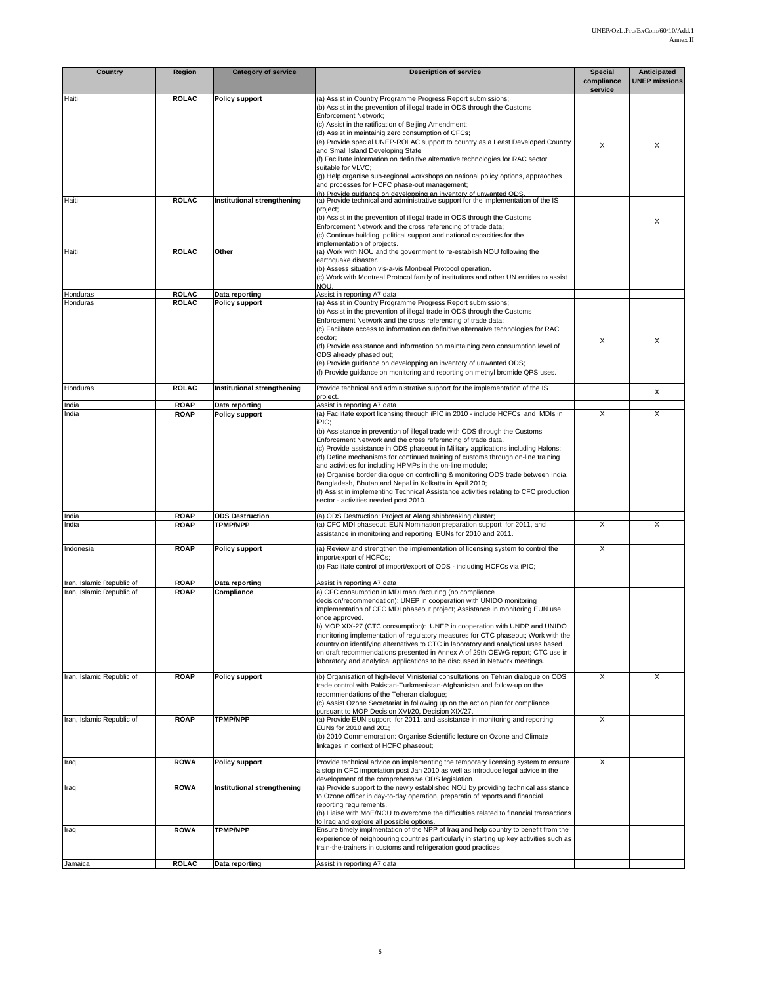| <b>Country</b>            | Region                       | <b>Category of service</b>              | <b>Description of service</b>                                                                                                                                                                                                                                                                                                                                                                                                                                                                                                                                                                                                                                                                                                   | <b>Special</b>          | Anticipated          |
|---------------------------|------------------------------|-----------------------------------------|---------------------------------------------------------------------------------------------------------------------------------------------------------------------------------------------------------------------------------------------------------------------------------------------------------------------------------------------------------------------------------------------------------------------------------------------------------------------------------------------------------------------------------------------------------------------------------------------------------------------------------------------------------------------------------------------------------------------------------|-------------------------|----------------------|
|                           |                              |                                         |                                                                                                                                                                                                                                                                                                                                                                                                                                                                                                                                                                                                                                                                                                                                 | compliance<br>service   | <b>UNEP missions</b> |
| Haiti                     | <b>ROLAC</b>                 | Policy support                          | (a) Assist in Country Programme Progress Report submissions;<br>(b) Assist in the prevention of illegal trade in ODS through the Customs<br><b>Enforcement Network;</b><br>(c) Assist in the ratification of Beijing Amendment;<br>(d) Assist in maintainig zero consumption of CFCs;<br>(e) Provide special UNEP-ROLAC support to country as a Least Developed Country<br>and Small Island Developing State;<br>(f) Facilitate information on definitive alternative technologies for RAC sector<br>suitable for VLVC:<br>(g) Help organise sub-regional workshops on national policy options, appraoches<br>and processes for HCFC phase-out management;<br>(h) Provide quidance on developping an inventory of unwanted ODS. | X                       | X                    |
| Haiti                     | <b>ROLAC</b>                 | Institutional strengthening             | (a) Provide technical and administrative support for the implementation of the IS<br>project:<br>(b) Assist in the prevention of illegal trade in ODS through the Customs<br>Enforcement Network and the cross referencing of trade data;<br>(c) Continue building political support and national capacities for the<br>implementation of projects.                                                                                                                                                                                                                                                                                                                                                                             |                         | X                    |
| Haiti                     | <b>ROLAC</b>                 | Other                                   | (a) Work with NOU and the government to re-establish NOU following the<br>earthquake disaster.<br>(b) Assess situation vis-a-vis Montreal Protocol operation.<br>(c) Work with Montreal Protocol family of institutions and other UN entities to assist<br>NOU.                                                                                                                                                                                                                                                                                                                                                                                                                                                                 |                         |                      |
| Honduras<br>Honduras      | <b>ROLAC</b><br><b>ROLAC</b> | Data reporting<br><b>Policy support</b> | Assist in reporting A7 data<br>(a) Assist in Country Programme Progress Report submissions;                                                                                                                                                                                                                                                                                                                                                                                                                                                                                                                                                                                                                                     |                         |                      |
|                           |                              |                                         | (b) Assist in the prevention of illegal trade in ODS through the Customs<br>Enforcement Network and the cross referencing of trade data;<br>(c) Facilitate access to information on definitive alternative technologies for RAC<br>sector;<br>(d) Provide assistance and information on maintaining zero consumption level of<br>ODS already phased out;<br>(e) Provide quidance on developping an inventory of unwanted ODS;<br>(f) Provide guidance on monitoring and reporting on methyl bromide QPS uses.                                                                                                                                                                                                                   | Х                       | X                    |
| Honduras                  | <b>ROLAC</b>                 | Institutional strengthening             | Provide technical and administrative support for the implementation of the IS<br>project.                                                                                                                                                                                                                                                                                                                                                                                                                                                                                                                                                                                                                                       |                         | X                    |
| India<br>India            | <b>ROAP</b><br><b>ROAP</b>   | Data reporting<br><b>Policy support</b> | Assist in reporting A7 data<br>(a) Facilitate export licensing through iPIC in 2010 - include HCFCs and MDIs in                                                                                                                                                                                                                                                                                                                                                                                                                                                                                                                                                                                                                 | X                       | X                    |
|                           |                              |                                         | iPIC:<br>(b) Assistance in prevention of illegal trade with ODS through the Customs<br>Enforcement Network and the cross referencing of trade data.<br>(c) Provide assistance in ODS phaseout in Military applications including Halons;<br>(d) Define mechanisms for continued training of customs through on-line training<br>and activities for including HPMPs in the on-line module;<br>(e) Organise border dialogue on controlling & monitoring ODS trade between India,<br>Bangladesh, Bhutan and Nepal in Kolkatta in April 2010;<br>(f) Assist in implementing Technical Assistance activities relating to CFC production<br>sector - activities needed post 2010.                                                     |                         |                      |
| India                     | <b>ROAP</b>                  | <b>ODS Destruction</b>                  | (a) ODS Destruction: Project at Alang shipbreaking cluster;                                                                                                                                                                                                                                                                                                                                                                                                                                                                                                                                                                                                                                                                     |                         |                      |
| India                     | <b>ROAP</b>                  | <b>TPMP/NPP</b>                         | (a) CFC MDI phaseout: EUN Nomination preparation support for 2011, and<br>assistance in monitoring and reporting EUNs for 2010 and 2011.                                                                                                                                                                                                                                                                                                                                                                                                                                                                                                                                                                                        | X                       | X                    |
| Indonesia                 | <b>ROAP</b>                  | <b>Policy support</b>                   | (a) Review and strengthen the implementation of licensing system to control the<br>import/export of HCFCs;<br>(b) Facilitate control of import/export of ODS - including HCFCs via iPIC;                                                                                                                                                                                                                                                                                                                                                                                                                                                                                                                                        | X                       |                      |
| Iran, Islamic Republic of | <b>ROAP</b>                  | Data reporting                          | Assist in reporting A7 data                                                                                                                                                                                                                                                                                                                                                                                                                                                                                                                                                                                                                                                                                                     |                         |                      |
| Iran, Islamic Republic of | <b>ROAP</b>                  | Compliance                              | a) CFC consumption in MDI manufacturing (no compliance<br>decision/recommendation): UNEP in cooperation with UNIDO monitoring<br>implementation of CFC MDI phaseout project; Assistance in monitoring EUN use<br>once approved.<br>b) MOP XIX-27 (CTC consumption): UNEP in cooperation with UNDP and UNIDO<br>monitoring implementation of regulatory measures for CTC phaseout; Work with the<br>country on identifying alternatives to CTC in laboratory and analytical uses based<br>on draft recommendations presented in Annex A of 29th OEWG report; CTC use in<br>laboratory and analytical applications to be discussed in Network meetings.                                                                           |                         |                      |
| Iran, Islamic Republic of | <b>ROAP</b>                  | Policy support                          | (b) Organisation of high-level Ministerial consultations on Tehran dialogue on ODS<br>trade control with Pakistan-Turkmenistan-Afghanistan and follow-up on the<br>recommendations of the Teheran dialogue;<br>(c) Assist Ozone Secretariat in following up on the action plan for compliance<br>pursuant to MOP Decision XVI/20, Decision XIX/27.                                                                                                                                                                                                                                                                                                                                                                              | $\overline{\mathsf{x}}$ | X                    |
| Iran, Islamic Republic of | <b>ROAP</b>                  | <b>TPMP/NPP</b>                         | (a) Provide EUN support for 2011, and assistance in monitoring and reporting<br>EUNs for 2010 and 201;<br>(b) 2010 Commemoration: Organise Scientific lecture on Ozone and Climate<br>linkages in context of HCFC phaseout;                                                                                                                                                                                                                                                                                                                                                                                                                                                                                                     | X                       |                      |
| Iraq                      | <b>ROWA</b>                  | <b>Policy support</b>                   | Provide technical advice on implementing the temporary licensing system to ensure<br>a stop in CFC importation post Jan 2010 as well as introduce legal advice in the<br>development of the comprehensive ODS legislation.                                                                                                                                                                                                                                                                                                                                                                                                                                                                                                      | X                       |                      |
| Iraq                      | <b>ROWA</b>                  | Institutional strengthening             | (a) Provide support to the newly established NOU by providing technical assistance<br>to Ozone officer in day-to-day operation, preparatin of reports and financial<br>reporting requirements.<br>(b) Liaise with MoE/NOU to overcome the difficulties related to financial transactions<br>to Iraq and explore all possible options.                                                                                                                                                                                                                                                                                                                                                                                           |                         |                      |
| Iraq                      | <b>ROWA</b>                  | <b>TPMP/NPP</b>                         | Ensure timely implmentation of the NPP of Iraq and help country to benefit from the<br>experience of neighbouring countries particularly in starting up key activities such as<br>train-the-trainers in customs and refrigeration good practices                                                                                                                                                                                                                                                                                                                                                                                                                                                                                |                         |                      |
| Jamaica                   | <b>ROLAC</b>                 | Data reporting                          | Assist in reporting A7 data                                                                                                                                                                                                                                                                                                                                                                                                                                                                                                                                                                                                                                                                                                     |                         |                      |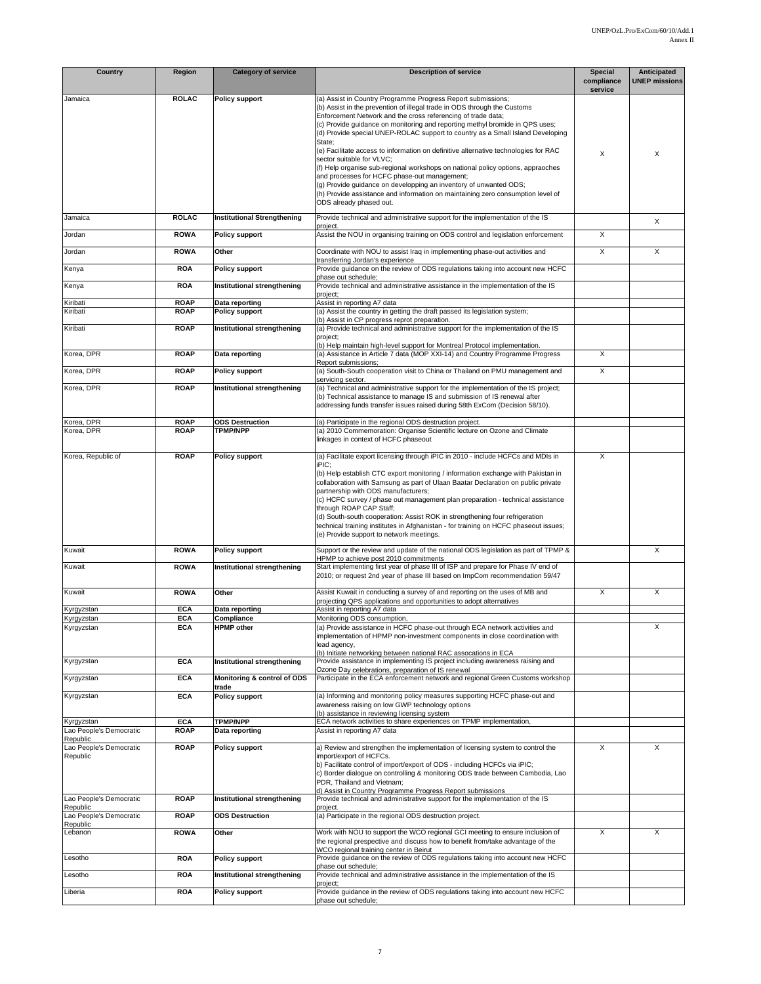| Country                             | Region                     | <b>Category of service</b>                | <b>Description of service</b>                                                                                                                                  | <b>Special</b><br>compliance | Anticipated<br><b>UNEP missions</b> |
|-------------------------------------|----------------------------|-------------------------------------------|----------------------------------------------------------------------------------------------------------------------------------------------------------------|------------------------------|-------------------------------------|
| Jamaica                             | <b>ROLAC</b>               | <b>Policy support</b>                     | (a) Assist in Country Programme Progress Report submissions;                                                                                                   | service                      |                                     |
|                                     |                            |                                           | (b) Assist in the prevention of illegal trade in ODS through the Customs                                                                                       |                              |                                     |
|                                     |                            |                                           | Enforcement Network and the cross referencing of trade data;<br>(c) Provide guidance on monitoring and reporting methyl bromide in QPS uses;                   |                              |                                     |
|                                     |                            |                                           | (d) Provide special UNEP-ROLAC support to country as a Small Island Developing                                                                                 |                              |                                     |
|                                     |                            |                                           | State:                                                                                                                                                         |                              |                                     |
|                                     |                            |                                           | (e) Facilitate access to information on definitive alternative technologies for RAC<br>sector suitable for VLVC;                                               | X                            | X                                   |
|                                     |                            |                                           | (f) Help organise sub-regional workshops on national policy options, appraoches                                                                                |                              |                                     |
|                                     |                            |                                           | and processes for HCFC phase-out management;                                                                                                                   |                              |                                     |
|                                     |                            |                                           | (g) Provide guidance on developping an inventory of unwanted ODS;<br>(h) Provide assistance and information on maintaining zero consumption level of           |                              |                                     |
|                                     |                            |                                           | ODS already phased out.                                                                                                                                        |                              |                                     |
| Jamaica                             | <b>ROLAC</b>               | <b>Institutional Strengthening</b>        | Provide technical and administrative support for the implementation of the IS                                                                                  |                              |                                     |
|                                     |                            |                                           | project.                                                                                                                                                       |                              | X                                   |
| Jordan                              | <b>ROWA</b>                | <b>Policy support</b>                     | Assist the NOU in organising training on ODS control and legislation enforcement                                                                               | X                            |                                     |
| Jordan                              | <b>ROWA</b>                | Other                                     | Coordinate with NOU to assist Iraq in implementing phase-out activities and                                                                                    | X                            | X                                   |
| Kenya                               | <b>ROA</b>                 | <b>Policy support</b>                     | transferring Jordan's experience<br>Provide guidance on the review of ODS regulations taking into account new HCFC                                             |                              |                                     |
|                                     |                            |                                           | phase out schedule;                                                                                                                                            |                              |                                     |
| Kenya                               | <b>ROA</b>                 | Institutional strengthening               | Provide technical and administrative assistance in the implementation of the IS<br>project;                                                                    |                              |                                     |
| Kiribati                            | <b>ROAP</b>                | Data reporting                            | Assist in reporting A7 data                                                                                                                                    |                              |                                     |
| Kiribati                            | <b>ROAP</b>                | <b>Policy support</b>                     | (a) Assist the country in getting the draft passed its legislation system;<br>(b) Assist in CP progress reprot preparation.                                    |                              |                                     |
| Kiribati                            | <b>ROAP</b>                | Institutional strengthening               | (a) Provide technical and administrative support for the implementation of the IS                                                                              |                              |                                     |
|                                     |                            |                                           | project;                                                                                                                                                       |                              |                                     |
| Korea, DPR                          | <b>ROAP</b>                | Data reporting                            | (b) Help maintain high-level support for Montreal Protocol implementation.<br>(a) Assistance in Article 7 data (MOP XXI-14) and Country Programme Progress     | X                            |                                     |
|                                     |                            |                                           | Report submissions:<br>(a) South-South cooperation visit to China or Thailand on PMU management and                                                            | X                            |                                     |
| Korea, DPR                          | <b>ROAP</b>                | <b>Policy support</b>                     | servicing sector.                                                                                                                                              |                              |                                     |
| Korea, DPR                          | <b>ROAP</b>                | Institutional strengthening               | (a) Technical and administrative support for the implementation of the IS project;                                                                             |                              |                                     |
|                                     |                            |                                           | (b) Technical assistance to manage IS and submission of IS renewal after<br>addressing funds transfer issues raised during 58th ExCom (Decision 58/10).        |                              |                                     |
|                                     |                            |                                           |                                                                                                                                                                |                              |                                     |
| Korea, DPR<br>Korea, DPR            | <b>ROAP</b><br><b>ROAP</b> | <b>ODS Destruction</b><br><b>TPMP/NPP</b> | (a) Participate in the regional ODS destruction project.<br>(a) 2010 Commemoration: Organise Scientific lecture on Ozone and Climate                           |                              |                                     |
|                                     |                            |                                           | linkages in context of HCFC phaseout                                                                                                                           |                              |                                     |
| Korea, Republic of                  | <b>ROAP</b>                | <b>Policy support</b>                     | (a) Facilitate export licensing through iPIC in 2010 - include HCFCs and MDIs in                                                                               | X                            |                                     |
|                                     |                            |                                           | iPIC:                                                                                                                                                          |                              |                                     |
|                                     |                            |                                           | (b) Help establish CTC export monitoring / information exchange with Pakistan in                                                                               |                              |                                     |
|                                     |                            |                                           | collaboration with Samsung as part of Ulaan Baatar Declaration on public private<br>partnership with ODS manufacturers;                                        |                              |                                     |
|                                     |                            |                                           | (c) HCFC survey / phase out management plan preparation - technical assistance                                                                                 |                              |                                     |
|                                     |                            |                                           | through ROAP CAP Staff;<br>(d) South-south cooperation: Assist ROK in strengthening four refrigeration                                                         |                              |                                     |
|                                     |                            |                                           | technical training institutes in Afghanistan - for training on HCFC phaseout issues;                                                                           |                              |                                     |
|                                     |                            |                                           | (e) Provide support to network meetings.                                                                                                                       |                              |                                     |
| Kuwait                              | <b>ROWA</b>                | <b>Policy support</b>                     | Support or the review and update of the national ODS legislation as part of TPMP &                                                                             |                              | X                                   |
| Kuwait                              | <b>ROWA</b>                | Institutional strengthening               | HPMP to achieve post 2010 commitments<br>Start implementing first year of phase III of ISP and prepare for Phase IV end of                                     |                              |                                     |
|                                     |                            |                                           | 2010; or request 2nd year of phase III based on ImpCom recommendation 59/47                                                                                    |                              |                                     |
|                                     | <b>ROWA</b>                | Other                                     |                                                                                                                                                                | X                            | X                                   |
| Kuwait                              |                            |                                           | Assist Kuwait in conducting a survey of and reporting on the uses of MB and<br>projecting QPS applications and opportunities to adopt alternatives             |                              |                                     |
| Kyrgyzstan                          | <b>ECA</b>                 | Data reporting                            | Assist in reporting A7 data                                                                                                                                    |                              |                                     |
| Kyrgyzstan<br>Kyrgyzstan            | <b>ECA</b><br>ECA          | Compliance<br>HPMP other                  | Monitoring ODS consumption,<br>(a) Provide assistance in HCFC phase-out through ECA network activities and                                                     |                              | х                                   |
|                                     |                            |                                           | implementation of HPMP non-investment components in close coordination with                                                                                    |                              |                                     |
|                                     |                            |                                           | lead agency,<br>(b) Initiate networking between national RAC assocations in ECA                                                                                |                              |                                     |
| Kyrgyzstan                          | <b>ECA</b>                 | Institutional strengthening               | Provide assistance in implementing IS project including awareness raising and                                                                                  |                              |                                     |
| Kyrgyzstan                          | <b>ECA</b>                 | Monitoring & control of ODS               | Ozone Day celebrations, preparation of IS renewal<br>Participate in the ECA enforcement network and regional Green Customs workshop                            |                              |                                     |
|                                     |                            | trade                                     |                                                                                                                                                                |                              |                                     |
| Kyrgyzstan                          | <b>ECA</b>                 | <b>Policy support</b>                     | (a) Informing and monitoring policy measures supporting HCFC phase-out and                                                                                     |                              |                                     |
|                                     |                            |                                           | awareness raising on low GWP technology options<br>(b) assistance in reviewing licensing system                                                                |                              |                                     |
| Kyrgyzstan                          | <b>ECA</b>                 | <b>TPMP/NPP</b>                           | ECA network activities to share experiences on TPMP implementation,                                                                                            |                              |                                     |
| Lao People's Democratic<br>Republic | <b>ROAP</b>                | Data reporting                            | Assist in reporting A7 data                                                                                                                                    |                              |                                     |
| Lao People's Democratic             | <b>ROAP</b>                | Policy support                            | a) Review and strengthen the implementation of licensing system to control the                                                                                 | X                            | X                                   |
| Republic                            |                            |                                           | import/export of HCFCs.<br>b) Facilitate control of import/export of ODS - including HCFCs via iPIC;                                                           |                              |                                     |
|                                     |                            |                                           | c) Border dialoque on controlling & monitoring ODS trade between Cambodia, Lao                                                                                 |                              |                                     |
|                                     |                            |                                           | PDR, Thailand and Vietnam;<br>d) Assist in Country Programme Progress Report submissions                                                                       |                              |                                     |
| Lao People's Democratic             | <b>ROAP</b>                | Institutional strengthening               | Provide technical and administrative support for the implementation of the IS                                                                                  |                              |                                     |
| Republic<br>Lao People's Democratic | <b>ROAP</b>                | <b>ODS Destruction</b>                    | project.<br>(a) Participate in the regional ODS destruction project.                                                                                           |                              |                                     |
| Republic                            |                            |                                           |                                                                                                                                                                |                              |                                     |
| Lebanon                             | <b>ROWA</b>                | Other                                     | Work with NOU to support the WCO regional GCI meeting to ensure inclusion of<br>the regional prespective and discuss how to benefit from/take advantage of the | X                            | X                                   |
|                                     |                            |                                           | WCO regional training center in Beirut                                                                                                                         |                              |                                     |
| Lesotho                             | <b>ROA</b>                 | <b>Policy support</b>                     | Provide guidance on the review of ODS regulations taking into account new HCFC<br>phase out schedule;                                                          |                              |                                     |
| Lesotho                             | <b>ROA</b>                 | Institutional strengthening               | Provide technical and administrative assistance in the implementation of the IS                                                                                |                              |                                     |
| Liberia                             | <b>ROA</b>                 | Policy support                            | project;<br>Provide guidance in the review of ODS regulations taking into account new HCFC                                                                     |                              |                                     |
|                                     |                            |                                           | phase out schedule;                                                                                                                                            |                              |                                     |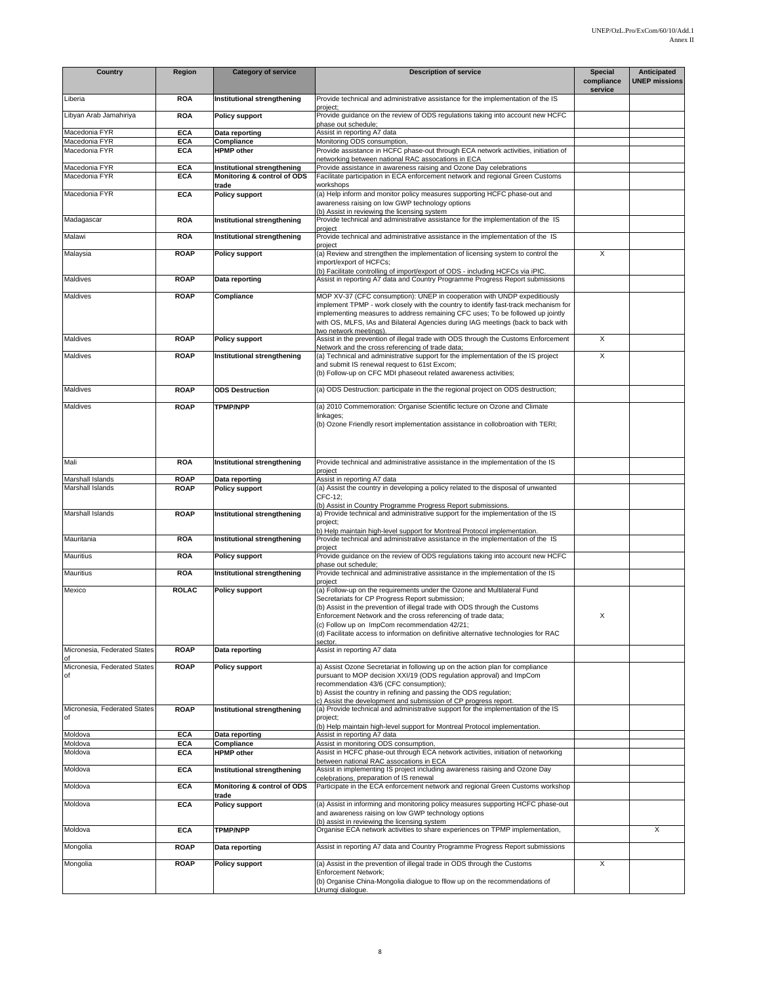| <b>Country</b>                     | Region                   | <b>Category of service</b>                                 | <b>Description of service</b>                                                                                                                                                                                                                                                                                                                                                                                              | Special<br>compliance | <b>Anticipated</b><br><b>UNEP missions</b> |
|------------------------------------|--------------------------|------------------------------------------------------------|----------------------------------------------------------------------------------------------------------------------------------------------------------------------------------------------------------------------------------------------------------------------------------------------------------------------------------------------------------------------------------------------------------------------------|-----------------------|--------------------------------------------|
| Liberia                            | <b>ROA</b>               | Institutional strengthening                                | Provide technical and administrative assistance for the implementation of the IS                                                                                                                                                                                                                                                                                                                                           | service               |                                            |
| Libyan Arab Jamahiriya             | <b>ROA</b>               | <b>Policy support</b>                                      | project;<br>Provide guidance on the review of ODS regulations taking into account new HCFC                                                                                                                                                                                                                                                                                                                                 |                       |                                            |
| Macedonia FYR                      | <b>ECA</b>               | Data reporting                                             | phase out schedule;<br>Assist in reporting A7 data                                                                                                                                                                                                                                                                                                                                                                         |                       |                                            |
| Macedonia FYR                      | <b>ECA</b>               | Compliance                                                 | Monitoring ODS consumption,                                                                                                                                                                                                                                                                                                                                                                                                |                       |                                            |
| Macedonia FYR                      | <b>ECA</b>               | <b>HPMP</b> other                                          | Provide assistance in HCFC phase-out through ECA network activities, initiation of<br>networking between national RAC assocations in ECA                                                                                                                                                                                                                                                                                   |                       |                                            |
| Macedonia FYR<br>Macedonia FYR     | <b>ECA</b><br><b>ECA</b> | Institutional strengthening<br>Monitoring & control of ODS | Provide assistance in awareness raising and Ozone Day celebrations<br>Facilitate participation in ECA enforcement network and regional Green Customs                                                                                                                                                                                                                                                                       |                       |                                            |
| Macedonia FYR                      | <b>ECA</b>               | trade<br><b>Policy support</b>                             | workshops<br>(a) Help inform and monitor policy measures supporting HCFC phase-out and                                                                                                                                                                                                                                                                                                                                     |                       |                                            |
|                                    |                          |                                                            | awareness raising on low GWP technology options<br>(b) Assist in reviewing the licensing system                                                                                                                                                                                                                                                                                                                            |                       |                                            |
| Madagascar                         | <b>ROA</b>               | Institutional strengthening                                | Provide technical and administrative assistance for the implementation of the IS<br>project                                                                                                                                                                                                                                                                                                                                |                       |                                            |
| Malawi                             | <b>ROA</b>               | Institutional strengthening                                | Provide technical and administrative assistance in the implementation of the IS<br>project                                                                                                                                                                                                                                                                                                                                 |                       |                                            |
| Malaysia                           | <b>ROAP</b>              | <b>Policy support</b>                                      | (a) Review and strengthen the implementation of licensing system to control the<br>import/export of HCFCs;<br>(b) Facilitate controlling of import/export of ODS - including HCFCs via iPIC.                                                                                                                                                                                                                               | X                     |                                            |
| Maldives                           | <b>ROAP</b>              | Data reporting                                             | Assist in reporting A7 data and Country Programme Progress Report submissions                                                                                                                                                                                                                                                                                                                                              |                       |                                            |
| Maldives                           | <b>ROAP</b>              | Compliance                                                 | MOP XV-37 (CFC consumption): UNEP in cooperation with UNDP expeditiously                                                                                                                                                                                                                                                                                                                                                   |                       |                                            |
|                                    |                          |                                                            | implement TPMP - work closely with the country to identify fast-track mechanism for<br>implementing measures to address remaining CFC uses; To be followed up jointly<br>with OS, MLFS, IAs and Bilateral Agencies during IAG meetings (back to back with<br>two network meetings)                                                                                                                                         |                       |                                            |
| Maldives                           | <b>ROAP</b>              | <b>Policy support</b>                                      | Assist in the prevention of illegal trade with ODS through the Customs Enforcement<br>Network and the cross referencing of trade data;                                                                                                                                                                                                                                                                                     | X                     |                                            |
| Maldives                           | <b>ROAP</b>              | Institutional strengthening                                | (a) Technical and administrative support for the implementation of the IS project<br>and submit IS renewal request to 61st Excom;<br>(b) Follow-up on CFC MDI phaseout related awareness activities;                                                                                                                                                                                                                       | X                     |                                            |
| Maldives                           | <b>ROAP</b>              | <b>ODS Destruction</b>                                     | (a) ODS Destruction: participate in the the regional project on ODS destruction;                                                                                                                                                                                                                                                                                                                                           |                       |                                            |
| <b>Maldives</b>                    | <b>ROAP</b>              | <b>TPMP/NPP</b>                                            | (a) 2010 Commemoration: Organise Scientific lecture on Ozone and Climate<br>linkages;<br>(b) Ozone Friendly resort implementation assistance in collobroation with TERI;                                                                                                                                                                                                                                                   |                       |                                            |
| Mali                               | <b>ROA</b>               | Institutional strengthening                                | Provide technical and administrative assistance in the implementation of the IS<br>project                                                                                                                                                                                                                                                                                                                                 |                       |                                            |
| Marshall Islands                   | <b>ROAP</b>              | Data reporting                                             | Assist in reporting A7 data                                                                                                                                                                                                                                                                                                                                                                                                |                       |                                            |
| Marshall Islands                   | <b>ROAP</b>              | <b>Policy support</b>                                      | (a) Assist the country in developing a policy related to the disposal of unwanted<br>CFC-12:<br>(b) Assist in Country Programme Progress Report submissions.                                                                                                                                                                                                                                                               |                       |                                            |
| Marshall Islands                   | <b>ROAP</b>              | Institutional strengthening                                | a) Provide technical and administrative support for the implementation of the IS<br>project;                                                                                                                                                                                                                                                                                                                               |                       |                                            |
| Mauritania                         | <b>ROA</b>               | Institutional strengthening                                | b) Help maintain high-level support for Montreal Protocol implementation.<br>Provide technical and administrative assistance in the implementation of the IS                                                                                                                                                                                                                                                               |                       |                                            |
| Mauritius                          | <b>ROA</b>               | <b>Policy support</b>                                      | project<br>Provide guidance on the review of ODS regulations taking into account new HCFC                                                                                                                                                                                                                                                                                                                                  |                       |                                            |
| Mauritius                          | <b>ROA</b>               | Institutional strengthening                                | phase out schedule;<br>Provide technical and administrative assistance in the implementation of the IS                                                                                                                                                                                                                                                                                                                     |                       |                                            |
|                                    |                          |                                                            | project                                                                                                                                                                                                                                                                                                                                                                                                                    |                       |                                            |
| Mexico                             | <b>ROLAC</b>             | <b>Policy support</b>                                      | (a) Follow-up on the requirements under the Ozone and Multilateral Fund<br>Secretariats for CP Progress Report submission;<br>(b) Assist in the prevention of illegal trade with ODS through the Customs<br>Enforcement Network and the cross referencing of trade data;<br>c) Follow up on ImpCom recommendation 42/21;<br>(d) Facilitate access to information on definitive alternative technologies for RAC<br>sector. | X                     |                                            |
| Micronesia, Federated States<br>of | <b>ROAP</b>              | Data reporting                                             | Assist in reporting A7 data                                                                                                                                                                                                                                                                                                                                                                                                |                       |                                            |
| Micronesia, Federated States<br>of | <b>ROAP</b>              | <b>Policy support</b>                                      | a) Assist Ozone Secretariat in following up on the action plan for compliance<br>pursuant to MOP decision XXI/19 (ODS regulation approval) and ImpCom<br>recommendation 43/6 (CFC consumption);<br>b) Assist the country in refining and passing the ODS regulation;<br>c) Assist the development and submission of CP progress report.                                                                                    |                       |                                            |
| Micronesia, Federated States<br>of | <b>ROAP</b>              | Institutional strengthening                                | (a) Provide technical and administrative support for the implementation of the IS<br>project;<br>(b) Help maintain high-level support for Montreal Protocol implementation.                                                                                                                                                                                                                                                |                       |                                            |
| Moldova                            | <b>ECA</b>               | Data reporting                                             | Assist in reporting A7 data                                                                                                                                                                                                                                                                                                                                                                                                |                       |                                            |
| Moldova                            | <b>ECA</b>               | Compliance                                                 | Assist in monitoring ODS consumption,                                                                                                                                                                                                                                                                                                                                                                                      |                       |                                            |
| Moldova                            | <b>ECA</b>               | <b>HPMP</b> other                                          | Assist in HCFC phase-out through ECA network activities, initiation of networking<br>between national RAC assocations in ECA                                                                                                                                                                                                                                                                                               |                       |                                            |
| Moldova                            | <b>ECA</b>               | Institutional strengthening                                | Assist in implementing IS project including awareness raising and Ozone Day<br>celebrations, preparation of IS renewal                                                                                                                                                                                                                                                                                                     |                       |                                            |
| Moldova                            | <b>ECA</b>               | Monitoring & control of ODS<br>trade                       | Participate in the ECA enforcement network and regional Green Customs workshop                                                                                                                                                                                                                                                                                                                                             |                       |                                            |
| Moldova                            | <b>ECA</b>               | <b>Policy support</b>                                      | (a) Assist in informing and monitoring policy measures supporting HCFC phase-out<br>and awareness raising on low GWP technology options                                                                                                                                                                                                                                                                                    |                       |                                            |
| Moldova                            | <b>ECA</b>               | <b>TPMP/NPP</b>                                            | (b) assist in reviewing the licensing system<br>Organise ECA network activities to share experiences on TPMP implementation,                                                                                                                                                                                                                                                                                               |                       | X                                          |
| Mongolia                           | <b>ROAP</b>              | Data reporting                                             | Assist in reporting A7 data and Country Programme Progress Report submissions                                                                                                                                                                                                                                                                                                                                              |                       |                                            |
|                                    |                          |                                                            |                                                                                                                                                                                                                                                                                                                                                                                                                            |                       |                                            |
| Mongolia                           | <b>ROAP</b>              | <b>Policy support</b>                                      | (a) Assist in the prevention of illegal trade in ODS through the Customs<br><b>Enforcement Network;</b><br>(b) Organise China-Mongolia dialogue to fllow up on the recommendations of<br>Urumqi dialogue.                                                                                                                                                                                                                  | X                     |                                            |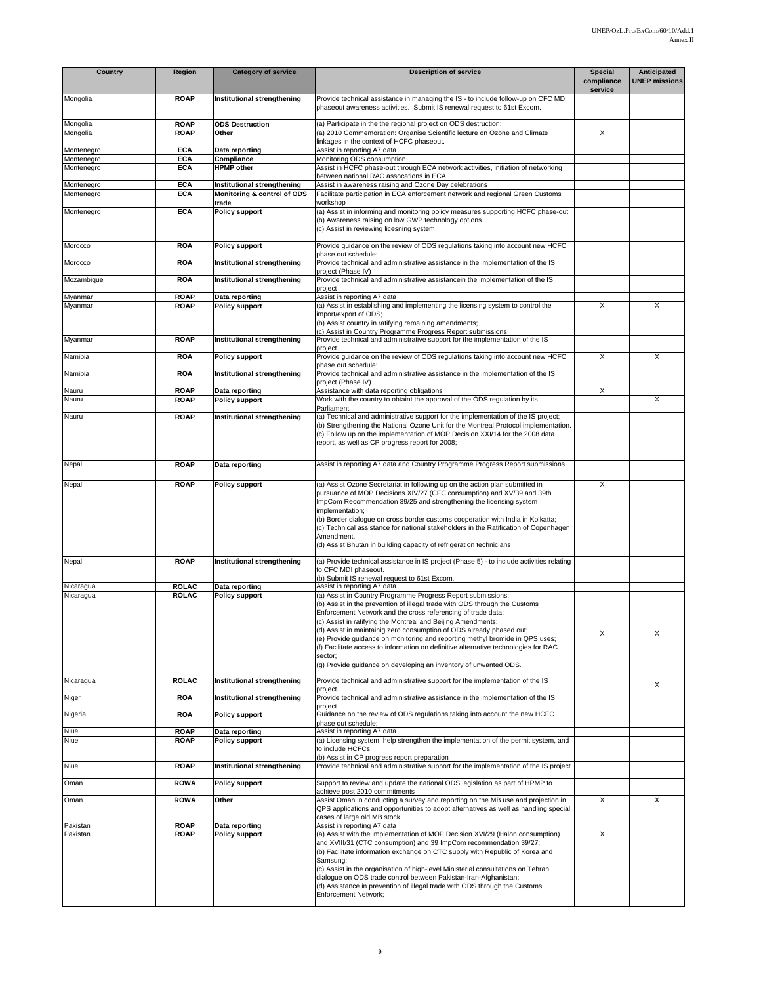| Country                  | Region                     | <b>Category of service</b>                                 | <b>Description of service</b>                                                                                                                                                                                                                                                                                                                                                                                                                                                                                                                                                                            | <b>Special</b><br>compliance<br>service | Anticipated<br><b>UNEP missions</b> |
|--------------------------|----------------------------|------------------------------------------------------------|----------------------------------------------------------------------------------------------------------------------------------------------------------------------------------------------------------------------------------------------------------------------------------------------------------------------------------------------------------------------------------------------------------------------------------------------------------------------------------------------------------------------------------------------------------------------------------------------------------|-----------------------------------------|-------------------------------------|
| Mongolia                 | <b>ROAP</b>                | Institutional strengthening                                | Provide technical assistance in managing the IS - to include follow-up on CFC MDI<br>phaseout awareness activities. Submit IS renewal request to 61st Excom.                                                                                                                                                                                                                                                                                                                                                                                                                                             |                                         |                                     |
| Mongolia<br>Mongolia     | <b>ROAP</b><br><b>ROAP</b> | <b>ODS Destruction</b><br>Other                            | (a) Participate in the the regional project on ODS destruction;<br>(a) 2010 Commemoration: Organise Scientific lecture on Ozone and Climate                                                                                                                                                                                                                                                                                                                                                                                                                                                              | X                                       |                                     |
|                          |                            |                                                            | linkages in the context of HCFC phaseout.                                                                                                                                                                                                                                                                                                                                                                                                                                                                                                                                                                |                                         |                                     |
| Montenegro               | <b>ECA</b>                 | Data reporting                                             | Assist in reporting A7 data                                                                                                                                                                                                                                                                                                                                                                                                                                                                                                                                                                              |                                         |                                     |
| Montenegro<br>Montenegro | <b>ECA</b><br><b>ECA</b>   | Compliance<br><b>HPMP</b> other                            | Monitoring ODS consumption<br>Assist in HCFC phase-out through ECA network activities, initiation of networking                                                                                                                                                                                                                                                                                                                                                                                                                                                                                          |                                         |                                     |
|                          |                            |                                                            | between national RAC assocations in ECA                                                                                                                                                                                                                                                                                                                                                                                                                                                                                                                                                                  |                                         |                                     |
| Montenegro<br>Montenegro | <b>ECA</b><br><b>ECA</b>   | Institutional strengthening<br>Monitoring & control of ODS | Assist in awareness raising and Ozone Day celebrations<br>Facilitate participation in ECA enforcement network and regional Green Customs                                                                                                                                                                                                                                                                                                                                                                                                                                                                 |                                         |                                     |
|                          |                            | trade                                                      | workshop                                                                                                                                                                                                                                                                                                                                                                                                                                                                                                                                                                                                 |                                         |                                     |
| Montenegro               | <b>ECA</b>                 | <b>Policy support</b>                                      | (a) Assist in informing and monitoring policy measures supporting HCFC phase-out<br>(b) Awareness raising on low GWP technology options<br>(c) Assist in reviewing licesning system                                                                                                                                                                                                                                                                                                                                                                                                                      |                                         |                                     |
| Morocco                  | <b>ROA</b>                 | <b>Policy support</b>                                      | Provide quidance on the review of ODS regulations taking into account new HCFC                                                                                                                                                                                                                                                                                                                                                                                                                                                                                                                           |                                         |                                     |
| Morocco                  | <b>ROA</b>                 | Institutional strengthening                                | phase out schedule;<br>Provide technical and administrative assistance in the implementation of the IS<br>project (Phase IV)                                                                                                                                                                                                                                                                                                                                                                                                                                                                             |                                         |                                     |
| Mozambique               | <b>ROA</b>                 | Institutional strengthening                                | Provide technical and administrative assistancein the implementation of the IS<br>project                                                                                                                                                                                                                                                                                                                                                                                                                                                                                                                |                                         |                                     |
| Myanmar<br>Myanmar       | <b>ROAP</b><br><b>ROAP</b> | Data reporting<br><b>Policy support</b>                    | Assist in reporting A7 data<br>(a) Assist in establishing and implementing the licensing system to control the                                                                                                                                                                                                                                                                                                                                                                                                                                                                                           | Χ                                       | X                                   |
|                          |                            |                                                            | import/export of ODS;                                                                                                                                                                                                                                                                                                                                                                                                                                                                                                                                                                                    |                                         |                                     |
|                          |                            |                                                            | (b) Assist country in ratifying remaining amendments;                                                                                                                                                                                                                                                                                                                                                                                                                                                                                                                                                    |                                         |                                     |
| Myanmar                  | <b>ROAP</b>                | Institutional strengthening                                | (c) Assist in Country Programme Progress Report submissions<br>Provide technical and administrative support for the implementation of the IS                                                                                                                                                                                                                                                                                                                                                                                                                                                             |                                         |                                     |
|                          |                            |                                                            | project.                                                                                                                                                                                                                                                                                                                                                                                                                                                                                                                                                                                                 |                                         |                                     |
| Namibia                  | <b>ROA</b>                 | <b>Policy support</b>                                      | Provide guidance on the review of ODS regulations taking into account new HCFC<br>phase out schedule:                                                                                                                                                                                                                                                                                                                                                                                                                                                                                                    | X                                       | X                                   |
| Namibia                  | <b>ROA</b>                 | Institutional strengthening                                | Provide technical and administrative assistance in the implementation of the IS<br>project (Phase IV)                                                                                                                                                                                                                                                                                                                                                                                                                                                                                                    |                                         |                                     |
| Nauru                    | <b>ROAP</b>                | Data reporting                                             | Assistance with data reporting obligations                                                                                                                                                                                                                                                                                                                                                                                                                                                                                                                                                               | X                                       |                                     |
| Nauru                    | <b>ROAP</b>                | <b>Policy support</b>                                      | Work with the country to obtaint the approval of the ODS regulation by its<br>Parliament.                                                                                                                                                                                                                                                                                                                                                                                                                                                                                                                |                                         | X                                   |
| Nauru                    | <b>ROAP</b>                | Institutional strengthening                                | (a) Technical and administrative support for the implementation of the IS project;<br>(b) Strengthening the National Ozone Unit for the Montreal Protocol implementation.<br>(c) Follow up on the implementation of MOP Decision XXI/14 for the 2008 data<br>report, as well as CP progress report for 2008;                                                                                                                                                                                                                                                                                             |                                         |                                     |
| Nepal                    | <b>ROAP</b>                | Data reporting                                             | Assist in reporting A7 data and Country Programme Progress Report submissions                                                                                                                                                                                                                                                                                                                                                                                                                                                                                                                            |                                         |                                     |
| Nepal                    | <b>ROAP</b>                | <b>Policy support</b>                                      | (a) Assist Ozone Secretariat in following up on the action plan submitted in                                                                                                                                                                                                                                                                                                                                                                                                                                                                                                                             | X                                       |                                     |
|                          |                            |                                                            | pursuance of MOP Decisions XIV/27 (CFC consumption) and XV/39 and 39th<br>ImpCom Recommendation 39/25 and strengthening the licensing system<br>implementation;<br>(b) Border dialogue on cross border customs cooperation with India in Kolkatta;<br>(c) Technical assistance for national stakeholders in the Ratification of Copenhagen<br>Amendment.<br>(d) Assist Bhutan in building capacity of refrigeration technicians                                                                                                                                                                          |                                         |                                     |
| Nepal                    | <b>ROAP</b>                | Institutional strengthening                                | (a) Provide technical assistance in IS project (Phase 5) - to include activities relating<br>to CFC MDI phaseout.<br>(b) Submit IS renewal request to 61st Excom.                                                                                                                                                                                                                                                                                                                                                                                                                                        |                                         |                                     |
| Nicaragua                | <b>ROLAC</b>               | Data reporting                                             | Assist in reporting A7 data                                                                                                                                                                                                                                                                                                                                                                                                                                                                                                                                                                              |                                         |                                     |
| Nicaragua                | <b>ROLAC</b>               | <b>Policy support</b>                                      | (a) Assist in Country Programme Progress Report submissions;<br>(b) Assist in the prevention of illegal trade with ODS through the Customs<br>Enforcement Network and the cross referencing of trade data;<br>(c) Assist in ratifying the Montreal and Beijing Amendments;<br>(d) Assist in maintainig zero consumption of ODS already phased out;<br>(e) Provide guidance on monitoring and reporting methyl bromide in QPS uses;<br>(f) Facilitate access to information on definitive alternative technologies for RAC<br>sector;<br>(g) Provide guidance on developing an inventory of unwanted ODS. | X                                       | X                                   |
| Nicaragua                | <b>ROLAC</b>               | Institutional strengthening                                | Provide technical and administrative support for the implementation of the IS<br>project.                                                                                                                                                                                                                                                                                                                                                                                                                                                                                                                |                                         | X                                   |
| Niger                    | <b>ROA</b>                 | Institutional strengthening                                | Provide technical and administrative assistance in the implementation of the IS<br>project                                                                                                                                                                                                                                                                                                                                                                                                                                                                                                               |                                         |                                     |
| Nigeria                  | <b>ROA</b>                 | <b>Policy support</b>                                      | Guidance on the review of ODS regulations taking into account the new HCFC<br>phase out schedule;                                                                                                                                                                                                                                                                                                                                                                                                                                                                                                        |                                         |                                     |
| Niue                     | <b>ROAP</b>                | Data reporting                                             | Assist in reporting A7 data                                                                                                                                                                                                                                                                                                                                                                                                                                                                                                                                                                              |                                         |                                     |
| Niue                     | <b>ROAP</b>                | <b>Policy support</b>                                      | (a) Licensing system: help strengthen the implementation of the permit system, and<br>to include HCFCs                                                                                                                                                                                                                                                                                                                                                                                                                                                                                                   |                                         |                                     |
| Niue                     | <b>ROAP</b>                | Institutional strengthening                                | (b) Assist in CP progress report preparation<br>Provide technical and administrative support for the implementation of the IS project                                                                                                                                                                                                                                                                                                                                                                                                                                                                    |                                         |                                     |
| Oman                     | <b>ROWA</b>                | <b>Policy support</b>                                      | Support to review and update the national ODS legislation as part of HPMP to<br>achieve post 2010 commitments                                                                                                                                                                                                                                                                                                                                                                                                                                                                                            |                                         |                                     |
| Oman                     | <b>ROWA</b>                | Other                                                      | Assist Oman in conducting a survey and reporting on the MB use and projection in<br>QPS applications and opportunities to adopt alternatives as well as handling special                                                                                                                                                                                                                                                                                                                                                                                                                                 | X                                       | X                                   |
| Pakistan                 | <b>ROAP</b>                | Data reporting                                             | cases of large old MB stock<br>Assist in reporting A7 data                                                                                                                                                                                                                                                                                                                                                                                                                                                                                                                                               |                                         |                                     |
| Pakistan                 | <b>ROAP</b>                | <b>Policy support</b>                                      | (a) Assist with the implementation of MOP Decision XVI/29 (Halon consumption)<br>and XVIII/31 (CTC consumption) and 39 ImpCom recommendation 39/27;<br>(b) Facilitate information exchange on CTC supply with Republic of Korea and<br>Samsung;<br>(c) Assist in the organisation of high-level Ministerial consultations on Tehran<br>dialoque on ODS trade control between Pakistan-Iran-Afghanistan;<br>(d) Assistance in prevention of illegal trade with ODS through the Customs<br>Enforcement Network;                                                                                            | X                                       |                                     |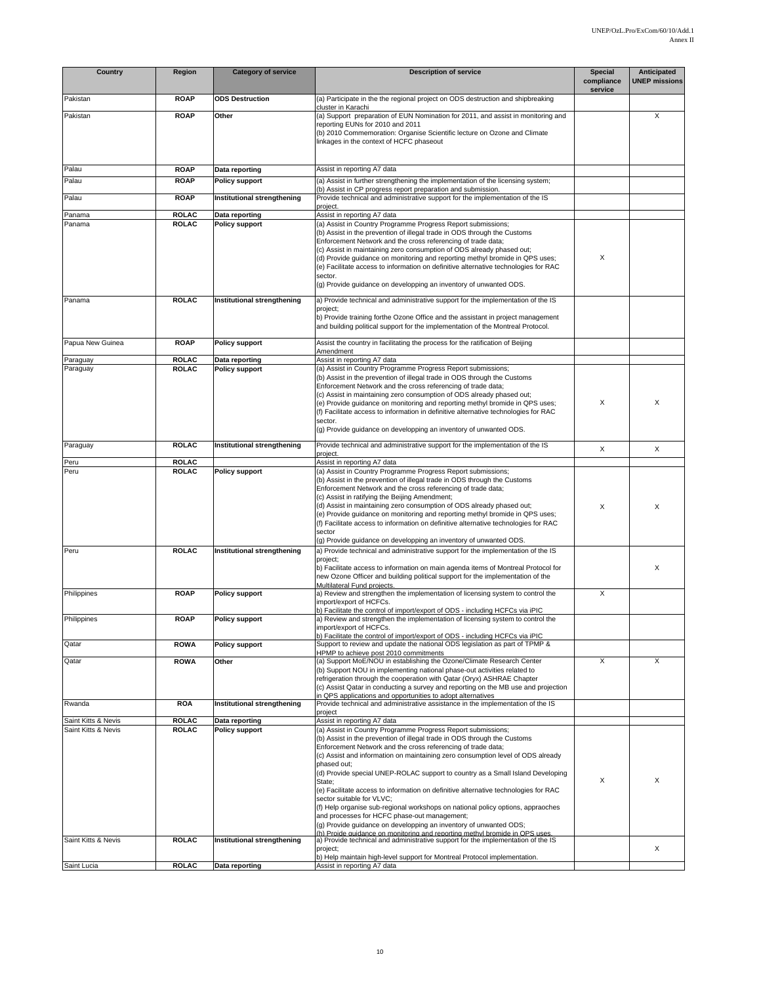| Country             | Region       | <b>Category of service</b>  | <b>Description of service</b>                                                                                                                                                                                                                                                                                                                                                                                                                                                                                                                                                                                                                                                                                                                                                                                    | Special<br>compliance | Anticipated<br><b>UNEP missions</b> |
|---------------------|--------------|-----------------------------|------------------------------------------------------------------------------------------------------------------------------------------------------------------------------------------------------------------------------------------------------------------------------------------------------------------------------------------------------------------------------------------------------------------------------------------------------------------------------------------------------------------------------------------------------------------------------------------------------------------------------------------------------------------------------------------------------------------------------------------------------------------------------------------------------------------|-----------------------|-------------------------------------|
| Pakistan            | <b>ROAP</b>  | <b>ODS Destruction</b>      | (a) Participate in the the regional project on ODS destruction and shipbreaking                                                                                                                                                                                                                                                                                                                                                                                                                                                                                                                                                                                                                                                                                                                                  | service               |                                     |
| Pakistan            | <b>ROAP</b>  | Other                       | cluster in Karachi<br>(a) Support preparation of EUN Nomination for 2011, and assist in monitoring and<br>reporting EUNs for 2010 and 2011<br>(b) 2010 Commemoration: Organise Scientific lecture on Ozone and Climate<br>linkages in the context of HCFC phaseout                                                                                                                                                                                                                                                                                                                                                                                                                                                                                                                                               |                       | X                                   |
| Palau               | <b>ROAP</b>  | Data reporting              | Assist in reporting A7 data                                                                                                                                                                                                                                                                                                                                                                                                                                                                                                                                                                                                                                                                                                                                                                                      |                       |                                     |
| Palau               | <b>ROAP</b>  | <b>Policy support</b>       | (a) Assist in further strengthening the implementation of the licensing system;                                                                                                                                                                                                                                                                                                                                                                                                                                                                                                                                                                                                                                                                                                                                  |                       |                                     |
| Palau               | <b>ROAP</b>  | Institutional strengthening | (b) Assist in CP progress report preparation and submission.<br>Provide technical and administrative support for the implementation of the IS                                                                                                                                                                                                                                                                                                                                                                                                                                                                                                                                                                                                                                                                    |                       |                                     |
| Panama              | <b>ROLAC</b> | Data reporting              | project.<br>Assist in reporting A7 data                                                                                                                                                                                                                                                                                                                                                                                                                                                                                                                                                                                                                                                                                                                                                                          |                       |                                     |
| Panama              | <b>ROLAC</b> | <b>Policy support</b>       | (a) Assist in Country Programme Progress Report submissions;<br>(b) Assist in the prevention of illegal trade in ODS through the Customs<br>Enforcement Network and the cross referencing of trade data;<br>(c) Assist in maintaining zero consumption of ODS already phased out;<br>(d) Provide guidance on monitoring and reporting methyl bromide in QPS uses;<br>(e) Facilitate access to information on definitive alternative technologies for RAC<br>sector.<br>(g) Provide guidance on developping an inventory of unwanted ODS.                                                                                                                                                                                                                                                                         | X                     |                                     |
| Panama              | <b>ROLAC</b> | Institutional strengthening | a) Provide technical and administrative support for the implementation of the IS<br>project;<br>b) Provide training forthe Ozone Office and the assistant in project management<br>and building political support for the implementation of the Montreal Protocol.                                                                                                                                                                                                                                                                                                                                                                                                                                                                                                                                               |                       |                                     |
| Papua New Guinea    | <b>ROAP</b>  | <b>Policy support</b>       | Assist the country in facilitating the process for the ratification of Beijing<br>Amendment                                                                                                                                                                                                                                                                                                                                                                                                                                                                                                                                                                                                                                                                                                                      |                       |                                     |
| Paraguay            | <b>ROLAC</b> | Data reporting              | Assist in reporting A7 data                                                                                                                                                                                                                                                                                                                                                                                                                                                                                                                                                                                                                                                                                                                                                                                      |                       |                                     |
| Paraguay            | <b>ROLAC</b> | <b>Policy support</b>       | (a) Assist in Country Programme Progress Report submissions;<br>(b) Assist in the prevention of illegal trade in ODS through the Customs<br>Enforcement Network and the cross referencing of trade data;<br>(c) Assist in maintaining zero consumption of ODS already phased out;<br>(e) Provide guidance on monitoring and reporting methyl bromide in QPS uses;<br>(f) Facilitate access to information in definitive alternative technologies for RAC<br>sector.<br>(g) Provide guidance on developping an inventory of unwanted ODS.                                                                                                                                                                                                                                                                         | X                     | X                                   |
| Paraguay            | <b>ROLAC</b> | Institutional strengthening | Provide technical and administrative support for the implementation of the IS                                                                                                                                                                                                                                                                                                                                                                                                                                                                                                                                                                                                                                                                                                                                    | X                     | X                                   |
| Peru                | <b>ROLAC</b> |                             | project.<br>Assist in reporting A7 data                                                                                                                                                                                                                                                                                                                                                                                                                                                                                                                                                                                                                                                                                                                                                                          |                       |                                     |
| Peru                | <b>ROLAC</b> | <b>Policy support</b>       | (a) Assist in Country Programme Progress Report submissions;<br>(b) Assist in the prevention of illegal trade in ODS through the Customs<br>Enforcement Network and the cross referencing of trade data;<br>(c) Assist in ratifying the Beijing Amendment;<br>(d) Assist in maintaining zero consumption of ODS already phased out;<br>(e) Provide guidance on monitoring and reporting methyl bromide in QPS uses;<br>(f) Facilitate access to information on definitive alternative technologies for RAC<br>sector                                                                                                                                                                                                                                                                                             | X                     | X                                   |
| Peru                | <b>ROLAC</b> | Institutional strengthening | (g) Provide guidance on developping an inventory of unwanted ODS.<br>a) Provide technical and administrative support for the implementation of the IS<br>project;<br>b) Facilitate access to information on main agenda items of Montreal Protocol for<br>new Ozone Officer and building political support for the implementation of the<br>Multilateral Fund proiects.                                                                                                                                                                                                                                                                                                                                                                                                                                          |                       | Χ                                   |
| Philippines         | <b>ROAP</b>  | <b>Policy support</b>       | a) Review and strengthen the implementation of licensing system to control the<br>import/export of HCFCs.                                                                                                                                                                                                                                                                                                                                                                                                                                                                                                                                                                                                                                                                                                        | X                     |                                     |
| Philippines         | <b>ROAP</b>  | <b>Policy support</b>       | b) Facilitate the control of import/export of ODS - including HCFCs via iPIC<br>a) Review and strengthen the implementation of licensing system to control the<br>import/export of HCFCs.                                                                                                                                                                                                                                                                                                                                                                                                                                                                                                                                                                                                                        |                       |                                     |
| Qatar               | <b>ROWA</b>  | <b>Policy support</b>       | b) Facilitate the control of import/export of ODS - including HCFCs via iPIC<br>Support to review and update the national ODS legislation as part of TPMP &                                                                                                                                                                                                                                                                                                                                                                                                                                                                                                                                                                                                                                                      |                       |                                     |
| Qatar               | <b>ROWA</b>  | Other                       | HPMP to achieve post 2010 commitments<br>(a) Support MoE/NOU in establishing the Ozone/Climate Research Center<br>(b) Support NOU in implementing national phase-out activities related to<br>refrigeration through the cooperation with Qatar (Oryx) ASHRAE Chapter<br>(c) Assist Qatar in conducting a survey and reporting on the MB use and projection                                                                                                                                                                                                                                                                                                                                                                                                                                                       | X                     | X                                   |
| Rwanda              | <b>ROA</b>   | Institutional strengthening | in QPS applications and opportunities to adopt alternatives<br>Provide technical and administrative assistance in the implementation of the IS<br>project                                                                                                                                                                                                                                                                                                                                                                                                                                                                                                                                                                                                                                                        |                       |                                     |
| Saint Kitts & Nevis | <b>ROLAC</b> | Data reporting              | Assist in reporting A7 data                                                                                                                                                                                                                                                                                                                                                                                                                                                                                                                                                                                                                                                                                                                                                                                      |                       |                                     |
| Saint Kitts & Nevis | <b>ROLAC</b> | <b>Policy support</b>       | (a) Assist in Country Programme Progress Report submissions;<br>(b) Assist in the prevention of illegal trade in ODS through the Customs<br>Enforcement Network and the cross referencing of trade data;<br>(c) Assist and information on maintaining zero consumption level of ODS already<br>phased out:<br>(d) Provide special UNEP-ROLAC support to country as a Small Island Developing<br>State;<br>(e) Facilitate access to information on definitive alternative technologies for RAC<br>sector suitable for VLVC;<br>(f) Help organise sub-regional workshops on national policy options, appraoches<br>and processes for HCFC phase-out management;<br>(g) Provide guidance on developping an inventory of unwanted ODS;<br>h) Proide guidance on monitoring and reporting methyl bromide in OPS uses. | X                     | X                                   |
| Saint Kitts & Nevis | <b>ROLAC</b> | Institutional strengthening | a) Provide technical and administrative support for the implementation of the IS<br>project;<br>b) Help maintain high-level support for Montreal Protocol implementation.                                                                                                                                                                                                                                                                                                                                                                                                                                                                                                                                                                                                                                        |                       | X                                   |
| Saint Lucia         | <b>ROLAC</b> | Data reporting              | Assist in reporting A7 data                                                                                                                                                                                                                                                                                                                                                                                                                                                                                                                                                                                                                                                                                                                                                                                      |                       |                                     |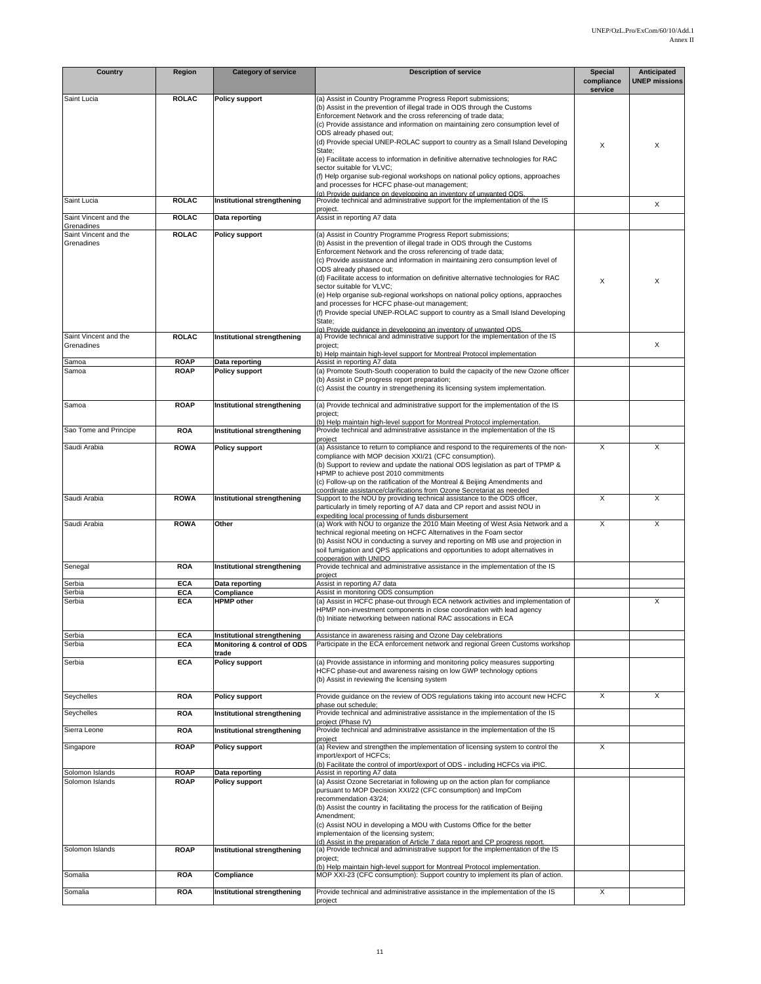| <b>Country</b>                       | Region                       | <b>Category of service</b>                                          | <b>Description of service</b>                                                                                                                                                                                                                                                                                                                                                                                                                                                                                                                                                                                                                                                  | <b>Special</b><br>compliance | Anticipated<br><b>UNEP missions</b> |
|--------------------------------------|------------------------------|---------------------------------------------------------------------|--------------------------------------------------------------------------------------------------------------------------------------------------------------------------------------------------------------------------------------------------------------------------------------------------------------------------------------------------------------------------------------------------------------------------------------------------------------------------------------------------------------------------------------------------------------------------------------------------------------------------------------------------------------------------------|------------------------------|-------------------------------------|
| Saint Lucia                          | <b>ROLAC</b>                 | Policy support                                                      | (a) Assist in Country Programme Progress Report submissions;                                                                                                                                                                                                                                                                                                                                                                                                                                                                                                                                                                                                                   | service                      |                                     |
|                                      |                              |                                                                     | (b) Assist in the prevention of illegal trade in ODS through the Customs<br>Enforcement Network and the cross referencing of trade data;<br>(c) Provide assistance and information on maintaining zero consumption level of<br>ODS already phased out;<br>(d) Provide special UNEP-ROLAC support to country as a Small Island Developing                                                                                                                                                                                                                                                                                                                                       | X                            | X                                   |
|                                      |                              |                                                                     | State;<br>(e) Facilitate access to information in definitive alternative technologies for RAC<br>sector suitable for VLVC;<br>(f) Help organise sub-regional workshops on national policy options, approaches                                                                                                                                                                                                                                                                                                                                                                                                                                                                  |                              |                                     |
|                                      |                              |                                                                     | and processes for HCFC phase-out management;<br>(a) Provide guidance on developping an inventory of unwanted ODS.                                                                                                                                                                                                                                                                                                                                                                                                                                                                                                                                                              |                              |                                     |
| Saint Lucia<br>Saint Vincent and the | <b>ROLAC</b><br><b>ROLAC</b> | Institutional strengthening<br>Data reporting                       | Provide technical and administrative support for the implementation of the IS<br>project.<br>Assist in reporting A7 data                                                                                                                                                                                                                                                                                                                                                                                                                                                                                                                                                       |                              | X                                   |
| Grenadines                           |                              |                                                                     | (a) Assist in Country Programme Progress Report submissions;                                                                                                                                                                                                                                                                                                                                                                                                                                                                                                                                                                                                                   |                              |                                     |
| Saint Vincent and the<br>Grenadines  | <b>ROLAC</b>                 | <b>Policy support</b>                                               | (b) Assist in the prevention of illegal trade in ODS through the Customs<br>Enforcement Network and the cross referencing of trade data;<br>(c) Provide assistance and information in maintaining zero consumption level of<br>ODS already phased out;<br>(d) Facilitate access to information on definitive alternative technologies for RAC<br>sector suitable for VLVC;<br>(e) Help organise sub-regional workshops on national policy options, appraoches<br>and processes for HCFC phase-out management;<br>(f) Provide special UNEP-ROLAC support to country as a Small Island Developing<br>State;<br>(a) Provide guidance in developping an inventory of unwanted ODS. | X                            | X                                   |
| Saint Vincent and the<br>Grenadines  | <b>ROLAC</b>                 | Institutional strengthening                                         | a) Provide technical and administrative support for the implementation of the IS<br>project;                                                                                                                                                                                                                                                                                                                                                                                                                                                                                                                                                                                   |                              | X                                   |
| Samoa                                | <b>ROAP</b>                  | Data reporting                                                      | b) Help maintain high-level support for Montreal Protocol implementation<br>Assist in reporting A7 data                                                                                                                                                                                                                                                                                                                                                                                                                                                                                                                                                                        |                              |                                     |
| Samoa                                | <b>ROAP</b>                  | Policy support                                                      | (a) Promote South-South cooperation to build the capacity of the new Ozone officer<br>(b) Assist in CP progress report preparation;<br>(c) Assist the country in strengethening its licensing system implementation.                                                                                                                                                                                                                                                                                                                                                                                                                                                           |                              |                                     |
| Samoa                                | <b>ROAP</b>                  | Institutional strengthening                                         | (a) Provide technical and administrative support for the implementation of the IS<br>project;<br>(b) Help maintain high-level support for Montreal Protocol implementation.                                                                                                                                                                                                                                                                                                                                                                                                                                                                                                    |                              |                                     |
| Sao Tome and Principe                | <b>ROA</b>                   | Institutional strengthening                                         | Provide technical and administrative assistance in the implementation of the IS                                                                                                                                                                                                                                                                                                                                                                                                                                                                                                                                                                                                |                              |                                     |
| Saudi Arabia                         | <b>ROWA</b>                  | <b>Policy support</b>                                               | project<br>(a) Assistance to return to compliance and respond to the requirements of the non-<br>compliance with MOP decision XXI/21 (CFC consumption).<br>(b) Support to review and update the national ODS legislation as part of TPMP &<br>HPMP to achieve post 2010 commitments<br>(c) Follow-up on the ratification of the Montreal & Beijing Amendments and                                                                                                                                                                                                                                                                                                              | X                            | X                                   |
| Saudi Arabia                         | <b>ROWA</b>                  | Institutional strengthening                                         | coordinate assistance/clarifications from Ozone Secretariat as needed<br>Support to the NOU by providing technical assistance to the ODS officer,<br>particularly in timely reporting of A7 data and CP report and assist NOU in<br>expediting local processing of funds disbursement                                                                                                                                                                                                                                                                                                                                                                                          | X                            | X                                   |
| Saudi Arabia                         | <b>ROWA</b>                  | Other                                                               | (a) Work with NOU to organize the 2010 Main Meeting of West Asia Network and a<br>technical regional meeting on HCFC Alternatives in the Foam sector<br>(b) Assist NOU in conducting a survey and reporting on MB use and projection in<br>soil fumigation and QPS applications and opportunities to adopt alternatives in<br>cooperation with UNIDO                                                                                                                                                                                                                                                                                                                           | X                            | X                                   |
| Senegal                              | <b>ROA</b>                   | Institutional strengthening                                         | Provide technical and administrative assistance in the implementation of the IS<br>project                                                                                                                                                                                                                                                                                                                                                                                                                                                                                                                                                                                     |                              |                                     |
| Serbia                               | <b>ECA</b>                   | Data reporting                                                      | Assist in reporting A7 data                                                                                                                                                                                                                                                                                                                                                                                                                                                                                                                                                                                                                                                    |                              |                                     |
| Serbia<br>Serbia                     | <b>ECA</b><br><b>ECA</b>     | Compliance<br><b>HPMP</b> other                                     | Assist in monitoring ODS consumption<br>(a) Assist in HCFC phase-out through ECA network activities and implementation of                                                                                                                                                                                                                                                                                                                                                                                                                                                                                                                                                      |                              | X                                   |
|                                      |                              |                                                                     | HPMP non-investment components in close coordination with lead agency<br>(b) Initiate networking between national RAC assocations in ECA                                                                                                                                                                                                                                                                                                                                                                                                                                                                                                                                       |                              |                                     |
| Serbia<br>Serbia                     | <b>ECA</b><br><b>ECA</b>     | Institutional strengthening<br>Monitoring & control of ODS<br>trade | Assistance in awareness raising and Ozone Day celebrations<br>Participate in the ECA enforcement network and regional Green Customs workshop                                                                                                                                                                                                                                                                                                                                                                                                                                                                                                                                   |                              |                                     |
| Serbia                               | <b>ECA</b>                   | Policy support                                                      | (a) Provide assistance in informing and monitoring policy measures supporting<br>HCFC phase-out and awareness raising on low GWP technology options<br>(b) Assist in reviewing the licensing system                                                                                                                                                                                                                                                                                                                                                                                                                                                                            |                              |                                     |
| Seychelles                           | <b>ROA</b>                   | Policy support                                                      | Provide guidance on the review of ODS regulations taking into account new HCFC<br>phase out schedule;                                                                                                                                                                                                                                                                                                                                                                                                                                                                                                                                                                          | X                            | X                                   |
| Seychelles                           | <b>ROA</b>                   | Institutional strengthening                                         | Provide technical and administrative assistance in the implementation of the IS<br>proiect (Phase IV)                                                                                                                                                                                                                                                                                                                                                                                                                                                                                                                                                                          |                              |                                     |
| Sierra Leone                         | <b>ROA</b>                   | Institutional strengthening                                         | Provide technical and administrative assistance in the implementation of the IS<br>project                                                                                                                                                                                                                                                                                                                                                                                                                                                                                                                                                                                     |                              |                                     |
| Singapore                            | <b>ROAP</b>                  | <b>Policy support</b>                                               | (a) Review and strengthen the implementation of licensing system to control the<br>import/export of HCFCs:<br>(b) Facilitate the control of import/export of ODS - including HCFCs via iPIC.                                                                                                                                                                                                                                                                                                                                                                                                                                                                                   | X                            |                                     |
| Solomon Islands<br>Solomon Islands   | <b>ROAP</b><br><b>ROAP</b>   | Data reporting<br>Policy support                                    | Assist in reporting A7 data<br>(a) Assist Ozone Secretariat in following up on the action plan for compliance<br>pursuant to MOP Decision XXI/22 (CFC consumption) and ImpCom<br>recommendation 43/24;<br>(b) Assist the country in facilitating the process for the ratification of Beijing<br>Amendment;<br>(c) Assist NOU in developing a MOU with Customs Office for the better<br>implementaion of the licensing system;                                                                                                                                                                                                                                                  |                              |                                     |
| Solomon Islands                      | <b>ROAP</b>                  | Institutional strengthening                                         | (d) Assist in the preparation of Article 7 data report and CP progress report.<br>(a) Provide technical and administrative support for the implementation of the IS<br>project;                                                                                                                                                                                                                                                                                                                                                                                                                                                                                                |                              |                                     |
| Somalia                              | <b>ROA</b>                   | Compliance                                                          | (b) Help maintain high-level support for Montreal Protocol implementation.<br>MOP XXI-23 (CFC consumption): Support country to implement its plan of action.                                                                                                                                                                                                                                                                                                                                                                                                                                                                                                                   |                              |                                     |
| Somalia                              | <b>ROA</b>                   | Institutional strengthening                                         | Provide technical and administrative assistance in the implementation of the IS<br>project                                                                                                                                                                                                                                                                                                                                                                                                                                                                                                                                                                                     | X                            |                                     |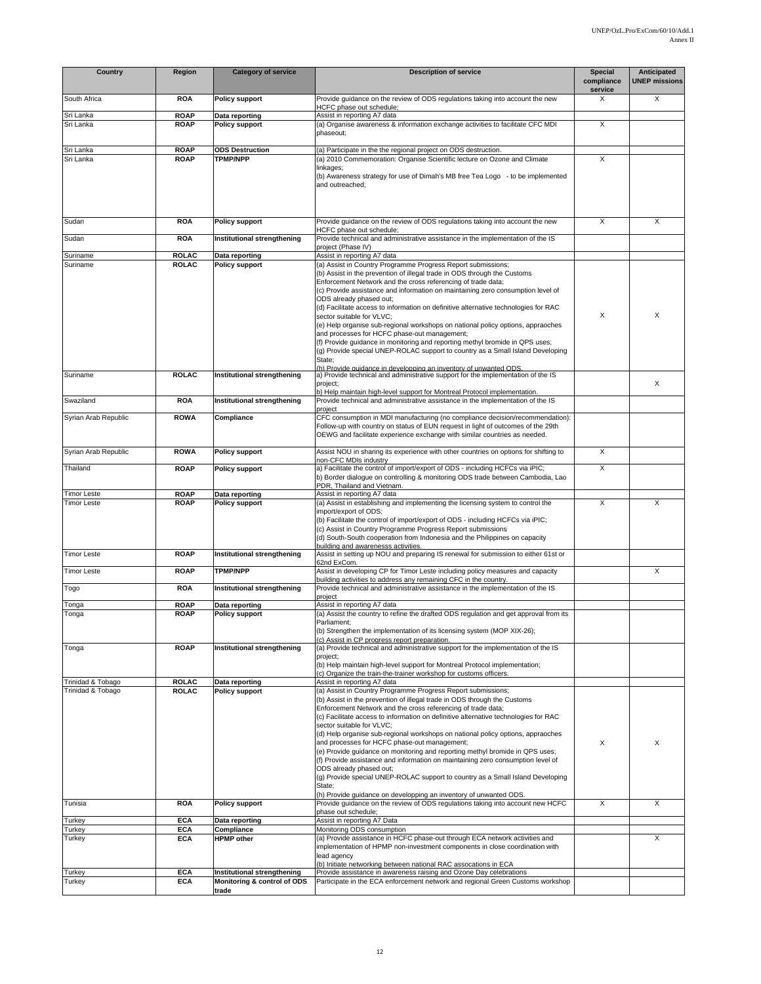| Country                                  | Region                       | <b>Category of service</b>                                          | <b>Description of service</b>                                                                                                                                                                                                                                                                                                                                                                                                                                                                                                                                                                                                                                                                                                                                                                                                                                 | <b>Special</b><br>compliance | Anticipated<br><b>UNEP missions</b> |
|------------------------------------------|------------------------------|---------------------------------------------------------------------|---------------------------------------------------------------------------------------------------------------------------------------------------------------------------------------------------------------------------------------------------------------------------------------------------------------------------------------------------------------------------------------------------------------------------------------------------------------------------------------------------------------------------------------------------------------------------------------------------------------------------------------------------------------------------------------------------------------------------------------------------------------------------------------------------------------------------------------------------------------|------------------------------|-------------------------------------|
| South Africa                             | <b>ROA</b>                   | <b>Policy support</b>                                               | Provide guidance on the review of ODS regulations taking into account the new<br>HCFC phase out schedule;                                                                                                                                                                                                                                                                                                                                                                                                                                                                                                                                                                                                                                                                                                                                                     | service<br>X                 | X                                   |
| Sri Lanka<br>Sri Lanka                   | <b>ROAP</b><br><b>ROAP</b>   | Data reporting<br><b>Policy support</b>                             | Assist in reporting A7 data<br>(a) Organise awareness & information exchange activities to facilitate CFC MDI<br>phaseout;                                                                                                                                                                                                                                                                                                                                                                                                                                                                                                                                                                                                                                                                                                                                    | X                            |                                     |
| Sri Lanka                                | <b>ROAP</b>                  | <b>ODS Destruction</b>                                              | (a) Participate in the the regional project on ODS destruction.                                                                                                                                                                                                                                                                                                                                                                                                                                                                                                                                                                                                                                                                                                                                                                                               |                              |                                     |
| Sri Lanka                                | <b>ROAP</b>                  | <b>TPMP/NPP</b>                                                     | (a) 2010 Commemoration: Organise Scientific lecture on Ozone and Climate<br>linkages;<br>(b) Awareness strategy for use of Dimah's MB free Tea Logo - to be implemented<br>and outreached;                                                                                                                                                                                                                                                                                                                                                                                                                                                                                                                                                                                                                                                                    | X                            |                                     |
| Sudan                                    | <b>ROA</b>                   | <b>Policy support</b>                                               | Provide guidance on the review of ODS regulations taking into account the new<br>HCFC phase out schedule;                                                                                                                                                                                                                                                                                                                                                                                                                                                                                                                                                                                                                                                                                                                                                     | X                            | X                                   |
| Sudan                                    | <b>ROA</b>                   | Institutional strengthening                                         | Provide technical and administrative assistance in the implementation of the IS<br>project (Phase IV)                                                                                                                                                                                                                                                                                                                                                                                                                                                                                                                                                                                                                                                                                                                                                         |                              |                                     |
| Suriname                                 | <b>ROLAC</b>                 | Data reporting                                                      | Assist in reporting A7 data                                                                                                                                                                                                                                                                                                                                                                                                                                                                                                                                                                                                                                                                                                                                                                                                                                   |                              |                                     |
| Suriname                                 | <b>ROLAC</b>                 | <b>Policy support</b>                                               | (a) Assist in Country Programme Progress Report submissions;<br>(b) Assist in the prevention of illegal trade in ODS through the Customs<br>Enforcement Network and the cross referencing of trade data;<br>(c) Provide assistance and information on maintaining zero consumption level of<br>ODS already phased out;<br>(d) Facilitate access to information on definitive alternative technologies for RAC<br>sector suitable for VLVC;<br>(e) Help organise sub-regional workshops on national policy options, appraoches<br>and processes for HCFC phase-out management;<br>(f) Provide guidance in monitoring and reporting methyl bromide in QPS uses;<br>(g) Provide special UNEP-ROLAC support to country as a Small Island Developing<br>State;<br>(h) Provide quidance in developping an inventory of unwanted ODS.                                | X                            | X                                   |
| Suriname                                 | <b>ROLAC</b>                 | Institutional strengthening                                         | a) Provide technical and administrative support for the implementation of the IS<br>project;                                                                                                                                                                                                                                                                                                                                                                                                                                                                                                                                                                                                                                                                                                                                                                  |                              | X                                   |
| Swaziland                                | <b>ROA</b>                   | Institutional strengthening                                         | b) Help maintain high-level support for Montreal Protocol implementation.<br>Provide technical and administrative assistance in the implementation of the IS                                                                                                                                                                                                                                                                                                                                                                                                                                                                                                                                                                                                                                                                                                  |                              |                                     |
| Syrian Arab Republic                     | <b>ROWA</b>                  | Compliance                                                          | project<br>CFC consumption in MDI manufacturing (no compliance decision/recommendation):<br>Follow-up with country on status of EUN request in light of outcomes of the 29th<br>OEWG and facilitate experience exchange with similar countries as needed.                                                                                                                                                                                                                                                                                                                                                                                                                                                                                                                                                                                                     |                              |                                     |
| Syrian Arab Republic                     | <b>ROWA</b>                  | <b>Policy support</b>                                               | Assist NOU in sharing its experience with other countries on options for shifting to<br>non-CFC MDIs industry                                                                                                                                                                                                                                                                                                                                                                                                                                                                                                                                                                                                                                                                                                                                                 | X                            |                                     |
| Thailand                                 | <b>ROAP</b>                  | <b>Policy support</b>                                               | a) Facilitate the control of import/export of ODS - including HCFCs via iPIC;<br>b) Border dialogue on controlling & monitoring ODS trade between Cambodia, Lao                                                                                                                                                                                                                                                                                                                                                                                                                                                                                                                                                                                                                                                                                               | X                            |                                     |
|                                          |                              |                                                                     | PDR, Thailand and Vietnam.                                                                                                                                                                                                                                                                                                                                                                                                                                                                                                                                                                                                                                                                                                                                                                                                                                    |                              |                                     |
| <b>Timor Leste</b><br><b>Timor Leste</b> | <b>ROAP</b><br><b>ROAP</b>   | Data reporting<br><b>Policy support</b>                             | Assist in reporting A7 data<br>(a) Assist in establishing and implementing the licensing system to control the<br>import/export of ODS;<br>(b) Facilitate the control of import/export of ODS - including HCFCs via iPIC;<br>(c) Assist in Country Programme Progress Report submissions<br>(d) South-South cooperation from Indonesia and the Philippines on capacity<br>building and awarenesss activities.                                                                                                                                                                                                                                                                                                                                                                                                                                                 | X                            | X                                   |
| <b>Timor Leste</b>                       | <b>ROAP</b>                  | Institutional strengthening                                         | Assist in setting up NOU and preparing IS renewal for submission to either 61st or<br>62nd ExCom.                                                                                                                                                                                                                                                                                                                                                                                                                                                                                                                                                                                                                                                                                                                                                             |                              |                                     |
| <b>Timor Leste</b>                       | <b>ROAP</b>                  | <b>TPMP/NPP</b>                                                     | Assist in developing CP for Timor Leste including policy measures and capacity<br>building activities to address any remaining CFC in the country.                                                                                                                                                                                                                                                                                                                                                                                                                                                                                                                                                                                                                                                                                                            |                              | X                                   |
| Togo                                     | <b>ROA</b>                   | Institutional strengthening                                         | Provide technical and administrative assistance in the implementation of the IS<br>project                                                                                                                                                                                                                                                                                                                                                                                                                                                                                                                                                                                                                                                                                                                                                                    |                              |                                     |
| Tonga                                    | <b>ROAP</b>                  | Data reporting                                                      | Assist in reporting A7 data                                                                                                                                                                                                                                                                                                                                                                                                                                                                                                                                                                                                                                                                                                                                                                                                                                   |                              |                                     |
| Tonga                                    | <b>ROAP</b>                  | <b>Policy support</b>                                               | (a) Assist the country to refine the drafted ODS regulation and get approval from its<br>Parliament;<br>(b) Strengthen the implementation of its licensing system (MOP XIX-26);<br>(c) Assist in CP progress report preparation.                                                                                                                                                                                                                                                                                                                                                                                                                                                                                                                                                                                                                              |                              |                                     |
| Tonga                                    | <b>ROAP</b>                  | Institutional strengthening                                         | (a) Provide technical and administrative support for the implementation of the IS<br>project;<br>(b) Help maintain high-level support for Montreal Protocol implementation;<br>(c) Organize the train-the-trainer workshop for customs officers.                                                                                                                                                                                                                                                                                                                                                                                                                                                                                                                                                                                                              |                              |                                     |
| Trinidad & Tobago<br>Trinidad & Tobago   | <b>ROLAC</b><br><b>ROLAC</b> | Data reporting<br>Policy support                                    | Assist in reporting A7 data<br>(a) Assist in Country Programme Progress Report submissions;<br>(b) Assist in the prevention of illegal trade in ODS through the Customs<br>Enforcement Network and the cross referencing of trade data;<br>(c) Facilitate access to information on definitive alternative technologies for RAC<br>sector suitable for VLVC;<br>(d) Help organise sub-regional workshops on national policy options, appraoches<br>and processes for HCFC phase-out management;<br>(e) Provide quidance on monitoring and reporting methyl bromide in QPS uses;<br>(f) Provide assistance and information on maintaining zero consumption level of<br>ODS already phased out;<br>(g) Provide special UNEP-ROLAC support to country as a Small Island Developing<br>State;<br>(h) Provide guidance on developping an inventory of unwanted ODS. | X                            | X                                   |
| Tunisia                                  | <b>ROA</b>                   | <b>Policy support</b>                                               | Provide guidance on the review of ODS regulations taking into account new HCFC<br>phase out schedule;                                                                                                                                                                                                                                                                                                                                                                                                                                                                                                                                                                                                                                                                                                                                                         | X                            | X                                   |
| Turkey                                   | <b>ECA</b>                   | Data reporting                                                      | Assist in reporting A7 Data                                                                                                                                                                                                                                                                                                                                                                                                                                                                                                                                                                                                                                                                                                                                                                                                                                   |                              |                                     |
| Turkey                                   | <b>ECA</b>                   | Compliance                                                          | Monitoring ODS consumption                                                                                                                                                                                                                                                                                                                                                                                                                                                                                                                                                                                                                                                                                                                                                                                                                                    |                              |                                     |
| Turkey                                   | <b>ECA</b>                   | <b>HPMP</b> other                                                   | (a) Provide assistance in HCFC phase-out through ECA network activities and<br>implementation of HPMP non-investment components in close coordination with<br>lead agency<br>(b) Initiate networking between national RAC assocations in ECA                                                                                                                                                                                                                                                                                                                                                                                                                                                                                                                                                                                                                  |                              | X                                   |
| Turkey<br>Turkey                         | <b>ECA</b><br><b>ECA</b>     | Institutional strengthening<br>Monitoring & control of ODS<br>trade | Provide assistance in awareness raising and Ozone Day celebrations<br>Participate in the ECA enforcement network and regional Green Customs workshop                                                                                                                                                                                                                                                                                                                                                                                                                                                                                                                                                                                                                                                                                                          |                              |                                     |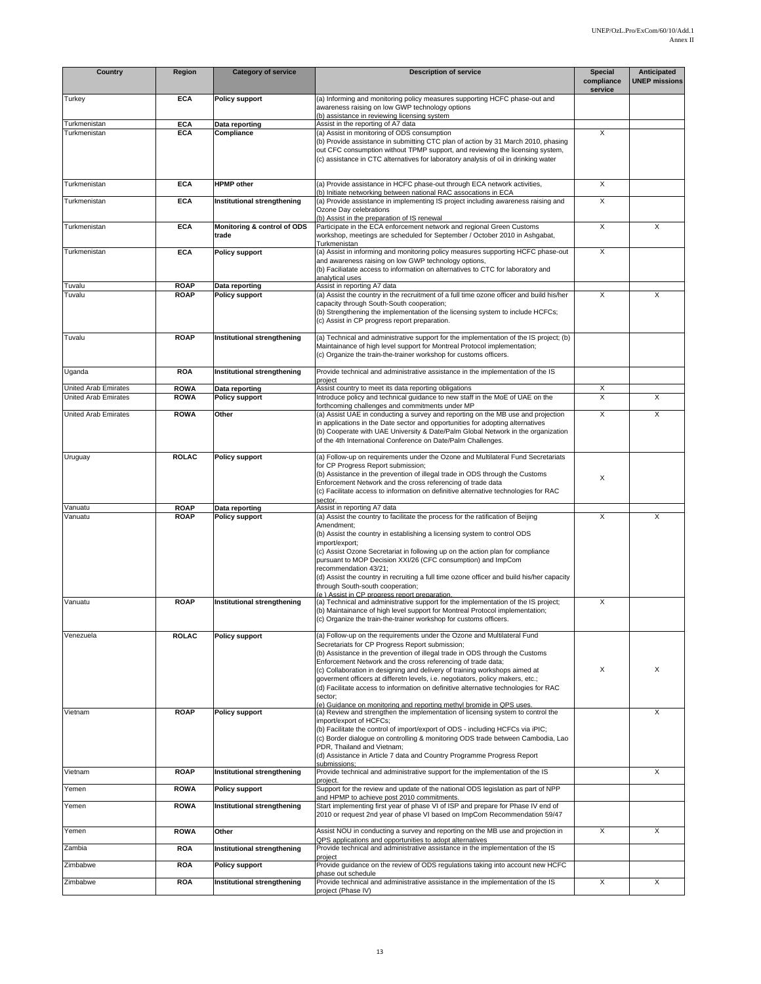| Country                                      | Region                     | <b>Category of service</b>              | <b>Description of service</b>                                                                                                                                                                                                                                                                                                                                                                                                                                                                                                                                                                                        | <b>Special</b><br>compliance<br>service | <b>Anticipated</b><br><b>UNEP missions</b> |
|----------------------------------------------|----------------------------|-----------------------------------------|----------------------------------------------------------------------------------------------------------------------------------------------------------------------------------------------------------------------------------------------------------------------------------------------------------------------------------------------------------------------------------------------------------------------------------------------------------------------------------------------------------------------------------------------------------------------------------------------------------------------|-----------------------------------------|--------------------------------------------|
| Turkey                                       | <b>ECA</b>                 | <b>Policy support</b>                   | (a) Informing and monitoring policy measures supporting HCFC phase-out and<br>awareness raising on low GWP technology options<br>(b) assistance in reviewing licensing system                                                                                                                                                                                                                                                                                                                                                                                                                                        |                                         |                                            |
| Turkmenistan                                 | <b>ECA</b><br><b>ECA</b>   | Data reporting                          | Assist in the reporting of A7 data                                                                                                                                                                                                                                                                                                                                                                                                                                                                                                                                                                                   | X                                       |                                            |
| Turkmenistan                                 |                            | Compliance                              | (a) Assist in monitoring of ODS consumption<br>(b) Provide assistance in submitting CTC plan of action by 31 March 2010, phasing<br>out CFC consumption without TPMP support, and reviewing the licensing system,<br>(c) assistance in CTC alternatives for laboratory analysis of oil in drinking water                                                                                                                                                                                                                                                                                                             |                                         |                                            |
| Turkmenistan                                 | <b>ECA</b>                 | <b>HPMP</b> other                       | (a) Provide assistance in HCFC phase-out through ECA network activities,<br>(b) Initiate networking between national RAC assocations in ECA                                                                                                                                                                                                                                                                                                                                                                                                                                                                          | Χ                                       |                                            |
| Turkmenistan                                 | <b>ECA</b>                 | Institutional strengthening             | (a) Provide assistance in implementing IS project including awareness raising and<br>Ozone Day celebrations<br>(b) Assist in the preparation of IS renewal                                                                                                                                                                                                                                                                                                                                                                                                                                                           | X                                       |                                            |
| Turkmenistan                                 | <b>ECA</b>                 | Monitoring & control of ODS<br>trade    | Participate in the ECA enforcement network and regional Green Customs<br>workshop, meetings are scheduled for September / October 2010 in Ashgabat,<br>Turkmenistan                                                                                                                                                                                                                                                                                                                                                                                                                                                  | X                                       | X                                          |
| Turkmenistan                                 | <b>ECA</b>                 | <b>Policy support</b>                   | (a) Assist in informing and monitoring policy measures supporting HCFC phase-out<br>and awareness raising on low GWP technology options,<br>(b) Faciliatate access to information on alternatives to CTC for laboratory and<br>analytical uses                                                                                                                                                                                                                                                                                                                                                                       | X                                       |                                            |
| Tuvalu<br>Tuvalu                             | <b>ROAP</b><br><b>ROAP</b> | Data reporting<br><b>Policy support</b> | Assist in reporting A7 data<br>(a) Assist the country in the recruitment of a full time ozone officer and build his/her<br>capacity through South-South cooperation;<br>(b) Strengthening the implementation of the licensing system to include HCFCs;<br>(c) Assist in CP progress report preparation.                                                                                                                                                                                                                                                                                                              | X                                       | X                                          |
| Tuvalu                                       | <b>ROAP</b>                | Institutional strengthening             | (a) Technical and administrative support for the implementation of the IS project; (b)<br>Maintainance of high level support for Montreal Protocol implementation;<br>(c) Organize the train-the-trainer workshop for customs officers.                                                                                                                                                                                                                                                                                                                                                                              |                                         |                                            |
| Uganda                                       | <b>ROA</b>                 | Institutional strengthening             | Provide technical and administrative assistance in the implementation of the IS<br>project                                                                                                                                                                                                                                                                                                                                                                                                                                                                                                                           |                                         |                                            |
| United Arab Emirates<br>United Arab Emirates | <b>ROWA</b><br><b>ROWA</b> | Data reporting<br><b>Policy support</b> | Assist country to meet its data reporting obligations<br>Introduce policy and technical guidance to new staff in the MoE of UAE on the                                                                                                                                                                                                                                                                                                                                                                                                                                                                               | X<br>Χ                                  | X                                          |
| United Arab Emirates                         | <b>ROWA</b>                | Other                                   | forthcoming challenges and commitments under MP<br>(a) Assist UAE in conducting a survey and reporting on the MB use and projection<br>in applications in the Date sector and opportunities for adopting alternatives<br>(b) Cooperate with UAE University & Date/Palm Global Network in the organization<br>of the 4th International Conference on Date/Palm Challenges.                                                                                                                                                                                                                                            | X                                       | X                                          |
| Uruguay                                      | <b>ROLAC</b>               | <b>Policy support</b>                   | (a) Follow-up on requirements under the Ozone and Multilateral Fund Secretariats<br>for CP Progress Report submission;<br>(b) Assistance in the prevention of illegal trade in ODS through the Customs<br>Enforcement Network and the cross referencing of trade data<br>(c) Facilitate access to information on definitive alternative technologies for RAC<br>sector.                                                                                                                                                                                                                                              | X                                       |                                            |
| Vanuatu<br>Vanuatu                           | <b>ROAP</b><br><b>ROAP</b> | Data reporting<br><b>Policy support</b> | Assist in reporting A7 data<br>(a) Assist the country to facilitate the process for the ratification of Beijing<br>Amendment;<br>(b) Assist the country in establishing a licensing system to control ODS<br>import/export;<br>(c) Assist Ozone Secretariat in following up on the action plan for compliance<br>pursuant to MOP Decision XXI/26 (CFC consumption) and ImpCom<br>recommendation 43/21;<br>(d) Assist the country in recruiting a full time ozone officer and build his/her capacity<br>through South-south cooperation;<br>(e) Assist in CP progress report preparation.                             | X                                       | X                                          |
| Vanuatu                                      | <b>ROAP</b>                | Institutional strengthening             | (a) Technical and administrative support for the implementation of the IS project;<br>(b) Maintainance of high level support for Montreal Protocol implementation;<br>(c) Organize the train-the-trainer workshop for customs officers.                                                                                                                                                                                                                                                                                                                                                                              | X                                       |                                            |
| Venezuela                                    | <b>ROLAC</b>               | <b>Policy support</b>                   | (a) Follow-up on the requirements under the Ozone and Multilateral Fund<br>Secretariats for CP Progress Report submission;<br>(b) Assistance in the prevention of illegal trade in ODS through the Customs<br>Enforcement Network and the cross referencing of trade data:<br>(c) Collaboration in designing and delivery of training workshops aimed at<br>goverment officers at differetn levels, i.e. negotiators, policy makers, etc.;<br>(d) Facilitate access to information on definitive alternative technologies for RAC<br>sector;<br>(e) Guidance on monitoring and reporting methyl bromide in QPS uses. | X                                       | X                                          |
| Vietnam                                      | <b>ROAP</b>                | <b>Policy support</b>                   | (a) Review and strengthen the implementation of licensing system to control the<br>import/export of HCFCs;<br>(b) Facilitate the control of import/export of ODS - including HCFCs via iPIC;<br>(c) Border dialogue on controlling & monitoring ODS trade between Cambodia, Lao<br>PDR, Thailand and Vietnam;<br>(d) Assistance in Article 7 data and Country Programme Progress Report<br>submissions:                                                                                                                                                                                                              |                                         | X                                          |
| Vietnam                                      | <b>ROAP</b>                | Institutional strengthening             | Provide technical and administrative support for the implementation of the IS<br>project.                                                                                                                                                                                                                                                                                                                                                                                                                                                                                                                            |                                         | X                                          |
| Yemen                                        | <b>ROWA</b>                | <b>Policy support</b>                   | Support for the review and update of the national ODS legislation as part of NPP<br>and HPMP to achieve post 2010 commitments.                                                                                                                                                                                                                                                                                                                                                                                                                                                                                       |                                         |                                            |
| Yemen                                        | <b>ROWA</b>                | Institutional strengthening             | Start implementing first year of phase VI of ISP and prepare for Phase IV end of<br>2010 or request 2nd year of phase VI based on ImpCom Recommendation 59/47                                                                                                                                                                                                                                                                                                                                                                                                                                                        |                                         |                                            |
| Yemen                                        | <b>ROWA</b>                | Other                                   | Assist NOU in conducting a survey and reporting on the MB use and projection in<br>QPS applications and opportunities to adopt alternatives                                                                                                                                                                                                                                                                                                                                                                                                                                                                          | X                                       | X                                          |
| Zambia                                       | <b>ROA</b>                 | Institutional strengthening             | Provide technical and administrative assistance in the implementation of the IS<br>project                                                                                                                                                                                                                                                                                                                                                                                                                                                                                                                           |                                         |                                            |
| Zimbabwe                                     | <b>ROA</b>                 | <b>Policy support</b>                   | Provide guidance on the review of ODS regulations taking into account new HCFC<br>phase out schedule                                                                                                                                                                                                                                                                                                                                                                                                                                                                                                                 |                                         |                                            |
| Zimbabwe                                     | <b>ROA</b>                 | Institutional strengthening             | Provide technical and administrative assistance in the implementation of the IS<br>project (Phase IV)                                                                                                                                                                                                                                                                                                                                                                                                                                                                                                                | X                                       | X                                          |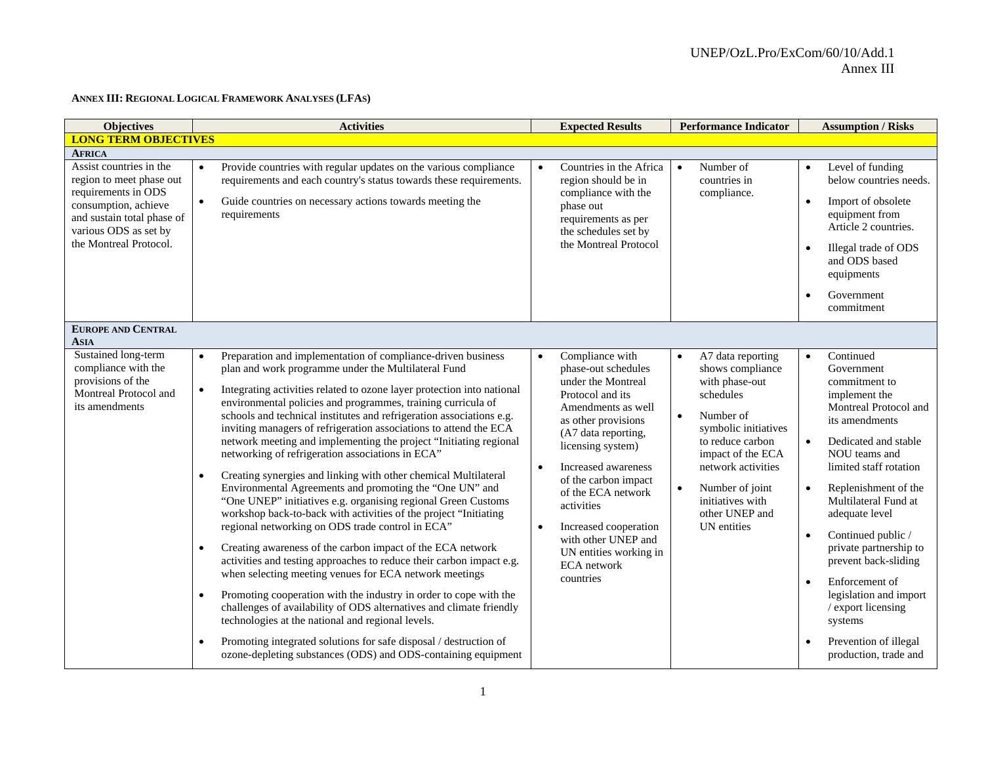#### **ANNEX III: REGIONAL LOGICAL FRAMEWORK ANALYSES (LFAS)**

| <b>Objectives</b>                                                                                                                                                                                    | <b>Activities</b>                                                                                                                                                                                                                                                                                                                                                                                                                                                                                                                                                                                                                                                                                                                                                                                                                                                                                                                                                                                                                                                                                                                                                                                                                                                                                                                                                                                                                                                               | <b>Expected Results</b>                                                                                                                                                                                                                                                                                                                                                                                          | <b>Performance Indicator</b>                                                                                                                                                                                                                                                            | <b>Assumption / Risks</b>                                                                                                                                                                                                                                                                                                                                                                                                                                                                            |
|------------------------------------------------------------------------------------------------------------------------------------------------------------------------------------------------------|---------------------------------------------------------------------------------------------------------------------------------------------------------------------------------------------------------------------------------------------------------------------------------------------------------------------------------------------------------------------------------------------------------------------------------------------------------------------------------------------------------------------------------------------------------------------------------------------------------------------------------------------------------------------------------------------------------------------------------------------------------------------------------------------------------------------------------------------------------------------------------------------------------------------------------------------------------------------------------------------------------------------------------------------------------------------------------------------------------------------------------------------------------------------------------------------------------------------------------------------------------------------------------------------------------------------------------------------------------------------------------------------------------------------------------------------------------------------------------|------------------------------------------------------------------------------------------------------------------------------------------------------------------------------------------------------------------------------------------------------------------------------------------------------------------------------------------------------------------------------------------------------------------|-----------------------------------------------------------------------------------------------------------------------------------------------------------------------------------------------------------------------------------------------------------------------------------------|------------------------------------------------------------------------------------------------------------------------------------------------------------------------------------------------------------------------------------------------------------------------------------------------------------------------------------------------------------------------------------------------------------------------------------------------------------------------------------------------------|
| <b>LONG TERM OBJECTIVES</b>                                                                                                                                                                          |                                                                                                                                                                                                                                                                                                                                                                                                                                                                                                                                                                                                                                                                                                                                                                                                                                                                                                                                                                                                                                                                                                                                                                                                                                                                                                                                                                                                                                                                                 |                                                                                                                                                                                                                                                                                                                                                                                                                  |                                                                                                                                                                                                                                                                                         |                                                                                                                                                                                                                                                                                                                                                                                                                                                                                                      |
| <b>AFRICA</b><br>Assist countries in the<br>region to meet phase out<br>requirements in ODS<br>consumption, achieve<br>and sustain total phase of<br>various ODS as set by<br>the Montreal Protocol. | Provide countries with regular updates on the various compliance<br>requirements and each country's status towards these requirements.<br>Guide countries on necessary actions towards meeting the<br>$\bullet$<br>requirements                                                                                                                                                                                                                                                                                                                                                                                                                                                                                                                                                                                                                                                                                                                                                                                                                                                                                                                                                                                                                                                                                                                                                                                                                                                 | Countries in the Africa<br>$\bullet$<br>region should be in<br>compliance with the<br>phase out<br>requirements as per<br>the schedules set by<br>the Montreal Protocol                                                                                                                                                                                                                                          | Number of<br>$\bullet$<br>countries in<br>compliance.                                                                                                                                                                                                                                   | Level of funding<br>$\bullet$<br>below countries needs.<br>Import of obsolete<br>$\bullet$<br>equipment from<br>Article 2 countries.<br>Illegal trade of ODS<br>$\bullet$                                                                                                                                                                                                                                                                                                                            |
|                                                                                                                                                                                                      |                                                                                                                                                                                                                                                                                                                                                                                                                                                                                                                                                                                                                                                                                                                                                                                                                                                                                                                                                                                                                                                                                                                                                                                                                                                                                                                                                                                                                                                                                 |                                                                                                                                                                                                                                                                                                                                                                                                                  |                                                                                                                                                                                                                                                                                         | and ODS based<br>equipments<br>Government<br>commitment                                                                                                                                                                                                                                                                                                                                                                                                                                              |
| <b>EUROPE AND CENTRAL</b><br><b>ASIA</b>                                                                                                                                                             |                                                                                                                                                                                                                                                                                                                                                                                                                                                                                                                                                                                                                                                                                                                                                                                                                                                                                                                                                                                                                                                                                                                                                                                                                                                                                                                                                                                                                                                                                 |                                                                                                                                                                                                                                                                                                                                                                                                                  |                                                                                                                                                                                                                                                                                         |                                                                                                                                                                                                                                                                                                                                                                                                                                                                                                      |
| Sustained long-term<br>compliance with the<br>provisions of the<br>Montreal Protocol and<br>its amendments                                                                                           | Preparation and implementation of compliance-driven business<br>$\bullet$<br>plan and work programme under the Multilateral Fund<br>Integrating activities related to ozone layer protection into national<br>$\bullet$<br>environmental policies and programmes, training curricula of<br>schools and technical institutes and refrigeration associations e.g.<br>inviting managers of refrigeration associations to attend the ECA<br>network meeting and implementing the project "Initiating regional<br>networking of refrigeration associations in ECA"<br>Creating synergies and linking with other chemical Multilateral<br>$\bullet$<br>Environmental Agreements and promoting the "One UN" and<br>"One UNEP" initiatives e.g. organising regional Green Customs<br>workshop back-to-back with activities of the project "Initiating<br>regional networking on ODS trade control in ECA"<br>Creating awareness of the carbon impact of the ECA network<br>$\bullet$<br>activities and testing approaches to reduce their carbon impact e.g.<br>when selecting meeting venues for ECA network meetings<br>Promoting cooperation with the industry in order to cope with the<br>$\bullet$<br>challenges of availability of ODS alternatives and climate friendly<br>technologies at the national and regional levels.<br>Promoting integrated solutions for safe disposal / destruction of<br>$\bullet$<br>ozone-depleting substances (ODS) and ODS-containing equipment | Compliance with<br>$\bullet$<br>phase-out schedules<br>under the Montreal<br>Protocol and its<br>Amendments as well<br>as other provisions<br>(A7 data reporting,<br>licensing system)<br>Increased awareness<br>$\bullet$<br>of the carbon impact<br>of the ECA network<br>activities<br>Increased cooperation<br>$\bullet$<br>with other UNEP and<br>UN entities working in<br><b>ECA</b> network<br>countries | A7 data reporting<br>$\bullet$<br>shows compliance<br>with phase-out<br>schedules<br>Number of<br>$\bullet$<br>symbolic initiatives<br>to reduce carbon<br>impact of the ECA<br>network activities<br>Number of joint<br>$\bullet$<br>initiatives with<br>other UNEP and<br>UN entities | Continued<br>$\bullet$<br>Government<br>commitment to<br>implement the<br>Montreal Protocol and<br>its amendments<br>Dedicated and stable<br>$\bullet$<br>NOU teams and<br>limited staff rotation<br>Replenishment of the<br>$\bullet$<br>Multilateral Fund at<br>adequate level<br>Continued public /<br>$\bullet$<br>private partnership to<br>prevent back-sliding<br>Enforcement of<br>legislation and import<br>/ export licensing<br>systems<br>Prevention of illegal<br>production, trade and |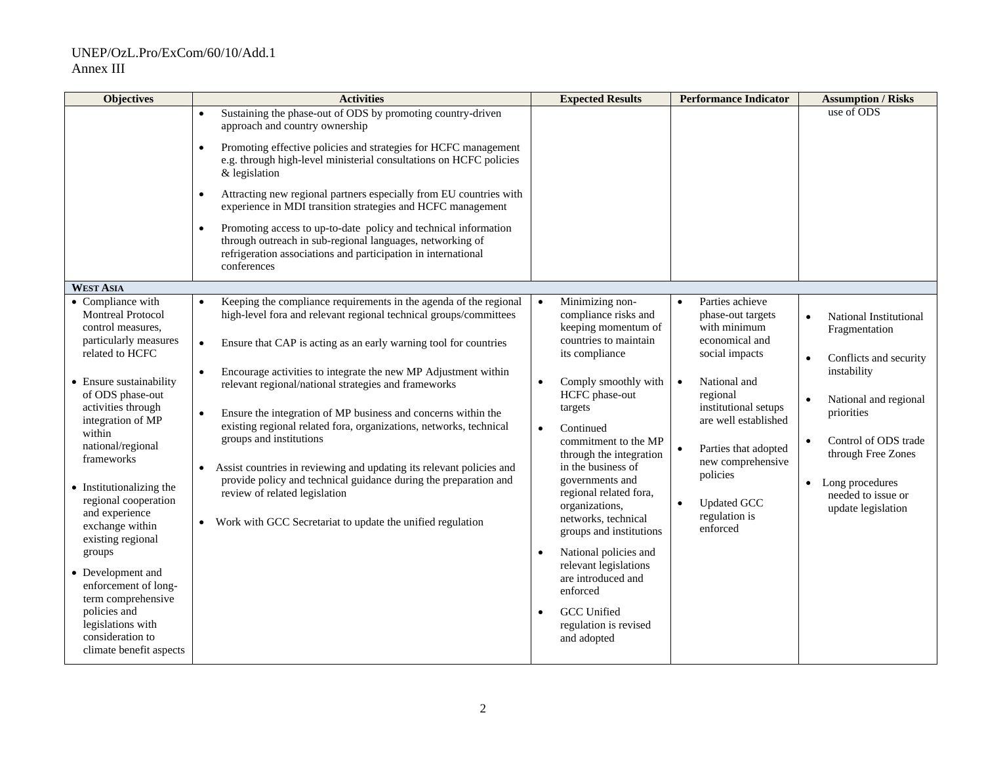| <b>Objectives</b>                                                                                                                                                                                                                                                                                                                                                                                                                                                                                                                  | <b>Activities</b>                                                                                                                                                                                                                                                                                                                                                                                                                                                                                                                                                                                                                                                                                                                                                                          | <b>Expected Results</b>                                                                                                                                                                                                                                                                                                                                                                                                                                                                                                                                        | <b>Performance Indicator</b>                                                                                                                                                                                                                                                                                                         | <b>Assumption / Risks</b>                                                                                                                                                                                                                                                   |
|------------------------------------------------------------------------------------------------------------------------------------------------------------------------------------------------------------------------------------------------------------------------------------------------------------------------------------------------------------------------------------------------------------------------------------------------------------------------------------------------------------------------------------|--------------------------------------------------------------------------------------------------------------------------------------------------------------------------------------------------------------------------------------------------------------------------------------------------------------------------------------------------------------------------------------------------------------------------------------------------------------------------------------------------------------------------------------------------------------------------------------------------------------------------------------------------------------------------------------------------------------------------------------------------------------------------------------------|----------------------------------------------------------------------------------------------------------------------------------------------------------------------------------------------------------------------------------------------------------------------------------------------------------------------------------------------------------------------------------------------------------------------------------------------------------------------------------------------------------------------------------------------------------------|--------------------------------------------------------------------------------------------------------------------------------------------------------------------------------------------------------------------------------------------------------------------------------------------------------------------------------------|-----------------------------------------------------------------------------------------------------------------------------------------------------------------------------------------------------------------------------------------------------------------------------|
|                                                                                                                                                                                                                                                                                                                                                                                                                                                                                                                                    | Sustaining the phase-out of ODS by promoting country-driven<br>approach and country ownership<br>Promoting effective policies and strategies for HCFC management<br>$\bullet$<br>e.g. through high-level ministerial consultations on HCFC policies<br>& legislation<br>Attracting new regional partners especially from EU countries with<br>$\bullet$<br>experience in MDI transition strategies and HCFC management<br>Promoting access to up-to-date policy and technical information<br>$\bullet$<br>through outreach in sub-regional languages, networking of<br>refrigeration associations and participation in international<br>conferences                                                                                                                                        |                                                                                                                                                                                                                                                                                                                                                                                                                                                                                                                                                                |                                                                                                                                                                                                                                                                                                                                      | use of ODS                                                                                                                                                                                                                                                                  |
| <b>WEST ASIA</b>                                                                                                                                                                                                                                                                                                                                                                                                                                                                                                                   |                                                                                                                                                                                                                                                                                                                                                                                                                                                                                                                                                                                                                                                                                                                                                                                            |                                                                                                                                                                                                                                                                                                                                                                                                                                                                                                                                                                |                                                                                                                                                                                                                                                                                                                                      |                                                                                                                                                                                                                                                                             |
| • Compliance with<br><b>Montreal Protocol</b><br>control measures,<br>particularly measures<br>related to HCFC<br>Ensure sustainability<br>of ODS phase-out<br>activities through<br>integration of MP<br>within<br>national/regional<br>frameworks<br>• Institutionalizing the<br>regional cooperation<br>and experience<br>exchange within<br>existing regional<br>groups<br>• Development and<br>enforcement of long-<br>term comprehensive<br>policies and<br>legislations with<br>consideration to<br>climate benefit aspects | Keeping the compliance requirements in the agenda of the regional<br>$\bullet$<br>high-level fora and relevant regional technical groups/committees<br>Ensure that CAP is acting as an early warning tool for countries<br>$\bullet$<br>Encourage activities to integrate the new MP Adjustment within<br>$\bullet$<br>relevant regional/national strategies and frameworks<br>Ensure the integration of MP business and concerns within the<br>existing regional related fora, organizations, networks, technical<br>groups and institutions<br>Assist countries in reviewing and updating its relevant policies and<br>provide policy and technical guidance during the preparation and<br>review of related legislation<br>• Work with GCC Secretariat to update the unified regulation | Minimizing non-<br>compliance risks and<br>keeping momentum of<br>countries to maintain<br>its compliance<br>Comply smoothly with<br>$\bullet$<br>HCFC phase-out<br>targets<br>Continued<br>$\bullet$<br>commitment to the MP<br>through the integration<br>in the business of<br>governments and<br>regional related fora,<br>organizations,<br>networks, technical<br>groups and institutions<br>National policies and<br>$\bullet$<br>relevant legislations<br>are introduced and<br>enforced<br><b>GCC</b> Unified<br>regulation is revised<br>and adopted | Parties achieve<br>$\bullet$<br>phase-out targets<br>with minimum<br>economical and<br>social impacts<br>National and<br>$\bullet$<br>regional<br>institutional setups<br>are well established<br>Parties that adopted<br>$\bullet$<br>new comprehensive<br>policies<br><b>Updated GCC</b><br>$\bullet$<br>regulation is<br>enforced | National Institutional<br>$\bullet$<br>Fragmentation<br>Conflicts and security<br>instability<br>National and regional<br>priorities<br>Control of ODS trade<br>$\bullet$<br>through Free Zones<br>Long procedures<br>$\bullet$<br>needed to issue or<br>update legislation |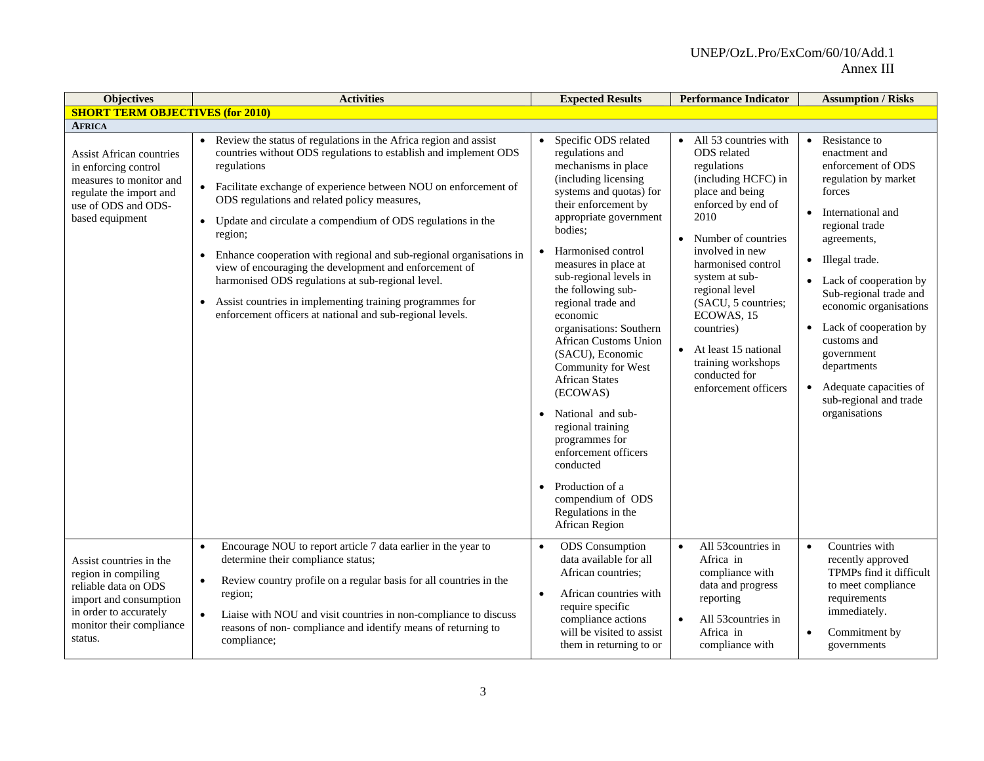| <b>Objectives</b>                                                                                                                                                 | <b>Activities</b>                                                                                                                                                                                                                                                                                                                                                                                                                                                                                                                                                                                                                                                                             | <b>Expected Results</b>                                                                                                                                                                                                                                                                                                                                                                                                                                                                                                                                                                                                            | <b>Performance Indicator</b>                                                                                                                                                                                                                                                                                                                                                                       | <b>Assumption / Risks</b>                                                                                                                                                                                                                                                                                                                                                                              |
|-------------------------------------------------------------------------------------------------------------------------------------------------------------------|-----------------------------------------------------------------------------------------------------------------------------------------------------------------------------------------------------------------------------------------------------------------------------------------------------------------------------------------------------------------------------------------------------------------------------------------------------------------------------------------------------------------------------------------------------------------------------------------------------------------------------------------------------------------------------------------------|------------------------------------------------------------------------------------------------------------------------------------------------------------------------------------------------------------------------------------------------------------------------------------------------------------------------------------------------------------------------------------------------------------------------------------------------------------------------------------------------------------------------------------------------------------------------------------------------------------------------------------|----------------------------------------------------------------------------------------------------------------------------------------------------------------------------------------------------------------------------------------------------------------------------------------------------------------------------------------------------------------------------------------------------|--------------------------------------------------------------------------------------------------------------------------------------------------------------------------------------------------------------------------------------------------------------------------------------------------------------------------------------------------------------------------------------------------------|
| <b>SHORT TERM OBJECTIVES (for 2010)</b>                                                                                                                           |                                                                                                                                                                                                                                                                                                                                                                                                                                                                                                                                                                                                                                                                                               |                                                                                                                                                                                                                                                                                                                                                                                                                                                                                                                                                                                                                                    |                                                                                                                                                                                                                                                                                                                                                                                                    |                                                                                                                                                                                                                                                                                                                                                                                                        |
| <b>AFRICA</b>                                                                                                                                                     |                                                                                                                                                                                                                                                                                                                                                                                                                                                                                                                                                                                                                                                                                               |                                                                                                                                                                                                                                                                                                                                                                                                                                                                                                                                                                                                                                    |                                                                                                                                                                                                                                                                                                                                                                                                    |                                                                                                                                                                                                                                                                                                                                                                                                        |
| <b>Assist African countries</b><br>in enforcing control<br>measures to monitor and<br>regulate the import and<br>use of ODS and ODS-<br>based equipment           | Review the status of regulations in the Africa region and assist<br>$\bullet$<br>countries without ODS regulations to establish and implement ODS<br>regulations<br>• Facilitate exchange of experience between NOU on enforcement of<br>ODS regulations and related policy measures,<br>• Update and circulate a compendium of ODS regulations in the<br>region;<br>Enhance cooperation with regional and sub-regional organisations in<br>$\bullet$<br>view of encouraging the development and enforcement of<br>harmonised ODS regulations at sub-regional level.<br>Assist countries in implementing training programmes for<br>enforcement officers at national and sub-regional levels. | Specific ODS related<br>regulations and<br>mechanisms in place<br>(including licensing<br>systems and quotas) for<br>their enforcement by<br>appropriate government<br>bodies;<br>Harmonised control<br>measures in place at<br>sub-regional levels in<br>the following sub-<br>regional trade and<br>economic<br>organisations: Southern<br>African Customs Union<br>(SACU), Economic<br>Community for West<br><b>African States</b><br>(ECOWAS)<br>National and sub-<br>regional training<br>programmes for<br>enforcement officers<br>conducted<br>Production of a<br>compendium of ODS<br>Regulations in the<br>African Region | $\bullet$ All 53 countries with<br>ODS related<br>regulations<br>(including HCFC) in<br>place and being<br>enforced by end of<br>2010<br>Number of countries<br>$\bullet$<br>involved in new<br>harmonised control<br>system at sub-<br>regional level<br>(SACU, 5 countries;<br>ECOWAS, 15<br>countries)<br>• At least 15 national<br>training workshops<br>conducted for<br>enforcement officers | Resistance to<br>$\bullet$<br>enactment and<br>enforcement of ODS<br>regulation by market<br>forces<br>International and<br>regional trade<br>agreements,<br>• Illegal trade.<br>Lack of cooperation by<br>Sub-regional trade and<br>economic organisations<br>Lack of cooperation by<br>customs and<br>government<br>departments<br>Adequate capacities of<br>sub-regional and trade<br>organisations |
| Assist countries in the<br>region in compiling<br>reliable data on ODS<br>import and consumption<br>in order to accurately<br>monitor their compliance<br>status. | Encourage NOU to report article 7 data earlier in the year to<br>$\bullet$<br>determine their compliance status;<br>Review country profile on a regular basis for all countries in the<br>$\bullet$<br>region;<br>Liaise with NOU and visit countries in non-compliance to discuss<br>$\bullet$<br>reasons of non-compliance and identify means of returning to<br>compliance;                                                                                                                                                                                                                                                                                                                | <b>ODS</b> Consumption<br>$\bullet$<br>data available for all<br>African countries;<br>African countries with<br>$\bullet$<br>require specific<br>compliance actions<br>will be visited to assist<br>them in returning to or                                                                                                                                                                                                                                                                                                                                                                                                       | All 53countries in<br>$\bullet$<br>Africa in<br>compliance with<br>data and progress<br>reporting<br>All 53 countries in<br>$\bullet$<br>Africa in<br>compliance with                                                                                                                                                                                                                              | Countries with<br>$\bullet$<br>recently approved<br>TPMPs find it difficult<br>to meet compliance<br>requirements<br>immediately.<br>Commitment by<br>$\bullet$<br>governments                                                                                                                                                                                                                         |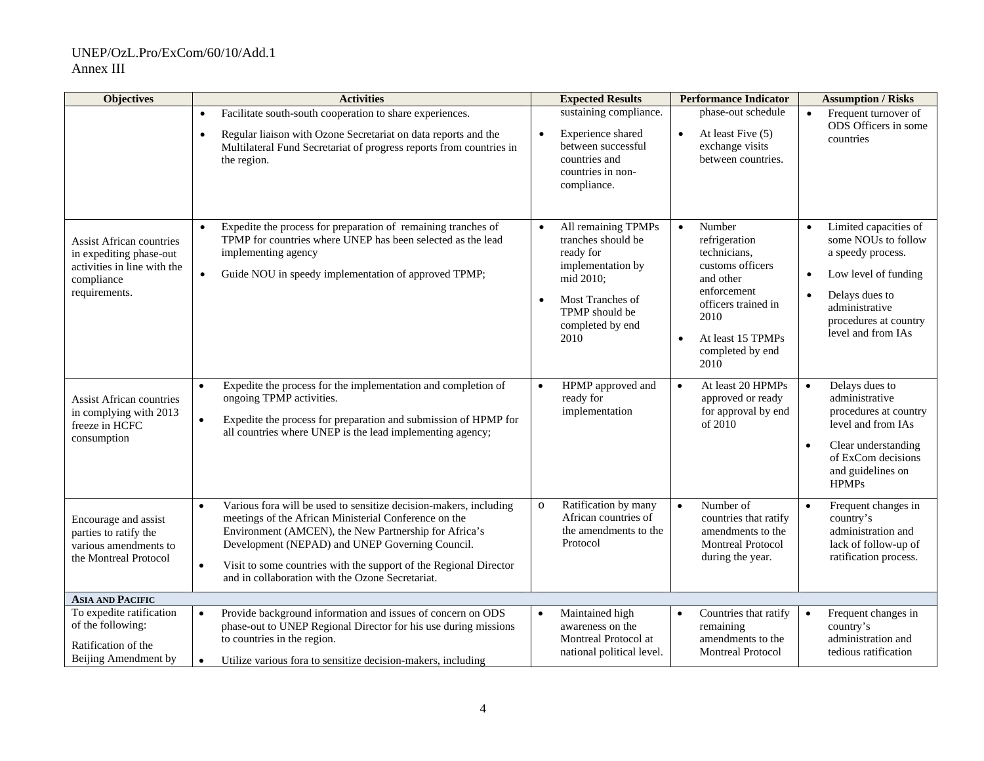| <b>Objectives</b>                                                                                                        | <b>Activities</b>                                                                                                                                                                                                                                                                                                                                                                         | <b>Expected Results</b>                                                                                                                                                              | <b>Performance Indicator</b>                                                                                                                                                         | <b>Assumption / Risks</b>                                                                                                                                                                                           |
|--------------------------------------------------------------------------------------------------------------------------|-------------------------------------------------------------------------------------------------------------------------------------------------------------------------------------------------------------------------------------------------------------------------------------------------------------------------------------------------------------------------------------------|--------------------------------------------------------------------------------------------------------------------------------------------------------------------------------------|--------------------------------------------------------------------------------------------------------------------------------------------------------------------------------------|---------------------------------------------------------------------------------------------------------------------------------------------------------------------------------------------------------------------|
|                                                                                                                          | Facilitate south-south cooperation to share experiences.<br>Regular liaison with Ozone Secretariat on data reports and the<br>$\bullet$<br>Multilateral Fund Secretariat of progress reports from countries in<br>the region.                                                                                                                                                             | sustaining compliance.<br>$\bullet$<br>Experience shared<br>between successful<br>countries and<br>countries in non-<br>compliance.                                                  | phase-out schedule<br>At least Five (5)<br>$\bullet$<br>exchange visits<br>between countries.                                                                                        | Frequent turnover of<br>ODS Officers in some<br>countries                                                                                                                                                           |
| <b>Assist African countries</b><br>in expediting phase-out<br>activities in line with the<br>compliance<br>requirements. | Expedite the process for preparation of remaining tranches of<br>TPMP for countries where UNEP has been selected as the lead<br>implementing agency<br>Guide NOU in speedy implementation of approved TPMP;                                                                                                                                                                               | All remaining TPMPs<br>$\bullet$<br>tranches should be<br>ready for<br>implementation by<br>mid 2010;<br>Most Tranches of<br>$\bullet$<br>TPMP should be<br>completed by end<br>2010 | Number<br>$\bullet$<br>refrigeration<br>technicians,<br>customs officers<br>and other<br>enforcement<br>officers trained in<br>2010<br>At least 15 TPMPs<br>completed by end<br>2010 | Limited capacities of<br>$\bullet$<br>some NOUs to follow<br>a speedy process.<br>Low level of funding<br>$\bullet$<br>Delays dues to<br>$\bullet$<br>administrative<br>procedures at country<br>level and from IAs |
| <b>Assist African countries</b><br>in complying with 2013<br>freeze in HCFC<br>consumption                               | Expedite the process for the implementation and completion of<br>$\bullet$<br>ongoing TPMP activities.<br>Expedite the process for preparation and submission of HPMP for<br>$\bullet$<br>all countries where UNEP is the lead implementing agency;                                                                                                                                       | HPMP approved and<br>$\bullet$<br>ready for<br>implementation                                                                                                                        | At least 20 HPMPs<br>$\bullet$<br>approved or ready<br>for approval by end<br>of 2010                                                                                                | Delays dues to<br>$\bullet$<br>administrative<br>procedures at country<br>level and from IAs<br>Clear understanding<br>$\bullet$<br>of ExCom decisions<br>and guidelines on<br><b>HPMPs</b>                         |
| Encourage and assist<br>parties to ratify the<br>various amendments to<br>the Montreal Protocol                          | Various fora will be used to sensitize decision-makers, including<br>$\bullet$<br>meetings of the African Ministerial Conference on the<br>Environment (AMCEN), the New Partnership for Africa's<br>Development (NEPAD) and UNEP Governing Council.<br>Visit to some countries with the support of the Regional Director<br>$\bullet$<br>and in collaboration with the Ozone Secretariat. | Ratification by many<br>$\circ$<br>African countries of<br>the amendments to the<br>Protocol                                                                                         | Number of<br>$\bullet$<br>countries that ratify<br>amendments to the<br><b>Montreal Protocol</b><br>during the year.                                                                 | Frequent changes in<br>$\bullet$<br>country's<br>administration and<br>lack of follow-up of<br>ratification process.                                                                                                |
| <b>ASIA AND PACIFIC</b>                                                                                                  |                                                                                                                                                                                                                                                                                                                                                                                           |                                                                                                                                                                                      |                                                                                                                                                                                      |                                                                                                                                                                                                                     |
| To expedite ratification<br>of the following:<br>Ratification of the<br>Beijing Amendment by                             | Provide background information and issues of concern on ODS<br>$\bullet$<br>phase-out to UNEP Regional Director for his use during missions<br>to countries in the region.<br>Utilize various for ato sensitize decision-makers, including<br>$\bullet$                                                                                                                                   | Maintained high<br>$\bullet$<br>awareness on the<br>Montreal Protocol at<br>national political level.                                                                                | Countries that ratify<br>$\bullet$<br>remaining<br>amendments to the<br><b>Montreal Protocol</b>                                                                                     | Frequent changes in<br>$\bullet$<br>country's<br>administration and<br>tedious ratification                                                                                                                         |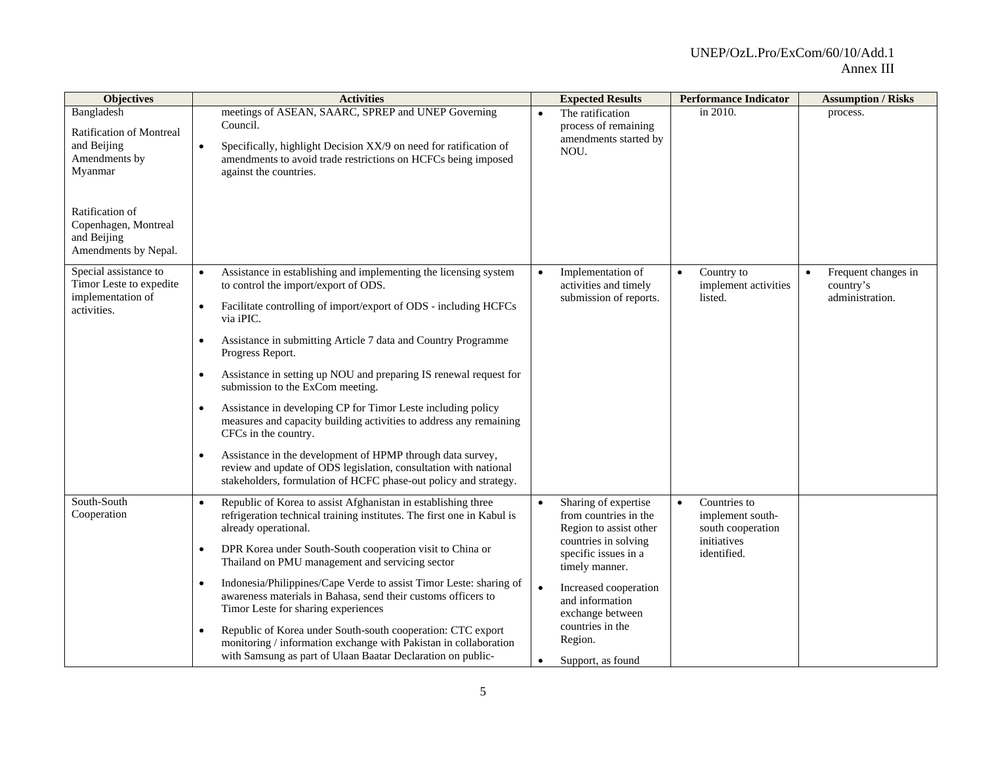| <b>Objectives</b>                                                                                                                                                          | <b>Activities</b>                                                                                                                                                                                                                                                                                                                                                                                                                                                                                                                                                                                                                                                                                                                                                                                                                         | <b>Expected Results</b>                                                                                                                                                                                                                                       | <b>Performance Indicator</b>                                                                     | <b>Assumption / Risks</b>                                        |
|----------------------------------------------------------------------------------------------------------------------------------------------------------------------------|-------------------------------------------------------------------------------------------------------------------------------------------------------------------------------------------------------------------------------------------------------------------------------------------------------------------------------------------------------------------------------------------------------------------------------------------------------------------------------------------------------------------------------------------------------------------------------------------------------------------------------------------------------------------------------------------------------------------------------------------------------------------------------------------------------------------------------------------|---------------------------------------------------------------------------------------------------------------------------------------------------------------------------------------------------------------------------------------------------------------|--------------------------------------------------------------------------------------------------|------------------------------------------------------------------|
| Bangladesh<br><b>Ratification of Montreal</b><br>and Beijing<br>Amendments by<br>Myanmar<br>Ratification of<br>Copenhagen, Montreal<br>and Beijing<br>Amendments by Nepal. | meetings of ASEAN, SAARC, SPREP and UNEP Governing<br>Council.<br>Specifically, highlight Decision XX/9 on need for ratification of<br>$\bullet$<br>amendments to avoid trade restrictions on HCFCs being imposed<br>against the countries.                                                                                                                                                                                                                                                                                                                                                                                                                                                                                                                                                                                               | The ratification<br>$\bullet$<br>process of remaining<br>amendments started by<br>NOU.                                                                                                                                                                        | in 2010.                                                                                         | process.                                                         |
| Special assistance to<br>Timor Leste to expedite<br>implementation of<br>activities.                                                                                       | Assistance in establishing and implementing the licensing system<br>$\bullet$<br>to control the import/export of ODS.<br>Facilitate controlling of import/export of ODS - including HCFCs<br>$\bullet$<br>via iPIC.<br>Assistance in submitting Article 7 data and Country Programme<br>$\bullet$<br>Progress Report.<br>Assistance in setting up NOU and preparing IS renewal request for<br>$\bullet$<br>submission to the ExCom meeting.<br>Assistance in developing CP for Timor Leste including policy<br>$\bullet$<br>measures and capacity building activities to address any remaining<br>CFCs in the country.<br>Assistance in the development of HPMP through data survey,<br>$\bullet$<br>review and update of ODS legislation, consultation with national<br>stakeholders, formulation of HCFC phase-out policy and strategy. | Implementation of<br>activities and timely<br>submission of reports.                                                                                                                                                                                          | Country to<br>$\bullet$<br>implement activities<br>listed.                                       | Frequent changes in<br>$\bullet$<br>country's<br>administration. |
| South-South<br>Cooperation                                                                                                                                                 | Republic of Korea to assist Afghanistan in establishing three<br>$\bullet$<br>refrigeration technical training institutes. The first one in Kabul is<br>already operational.<br>DPR Korea under South-South cooperation visit to China or<br>$\bullet$<br>Thailand on PMU management and servicing sector<br>Indonesia/Philippines/Cape Verde to assist Timor Leste: sharing of<br>$\bullet$<br>awareness materials in Bahasa, send their customs officers to<br>Timor Leste for sharing experiences<br>Republic of Korea under South-south cooperation: CTC export<br>$\bullet$<br>monitoring / information exchange with Pakistan in collaboration<br>with Samsung as part of Ulaan Baatar Declaration on public-                                                                                                                       | Sharing of expertise<br>from countries in the<br>Region to assist other<br>countries in solving<br>specific issues in a<br>timely manner.<br>Increased cooperation<br>and information<br>exchange between<br>countries in the<br>Region.<br>Support, as found | Countries to<br>$\bullet$<br>implement south-<br>south cooperation<br>initiatives<br>identified. |                                                                  |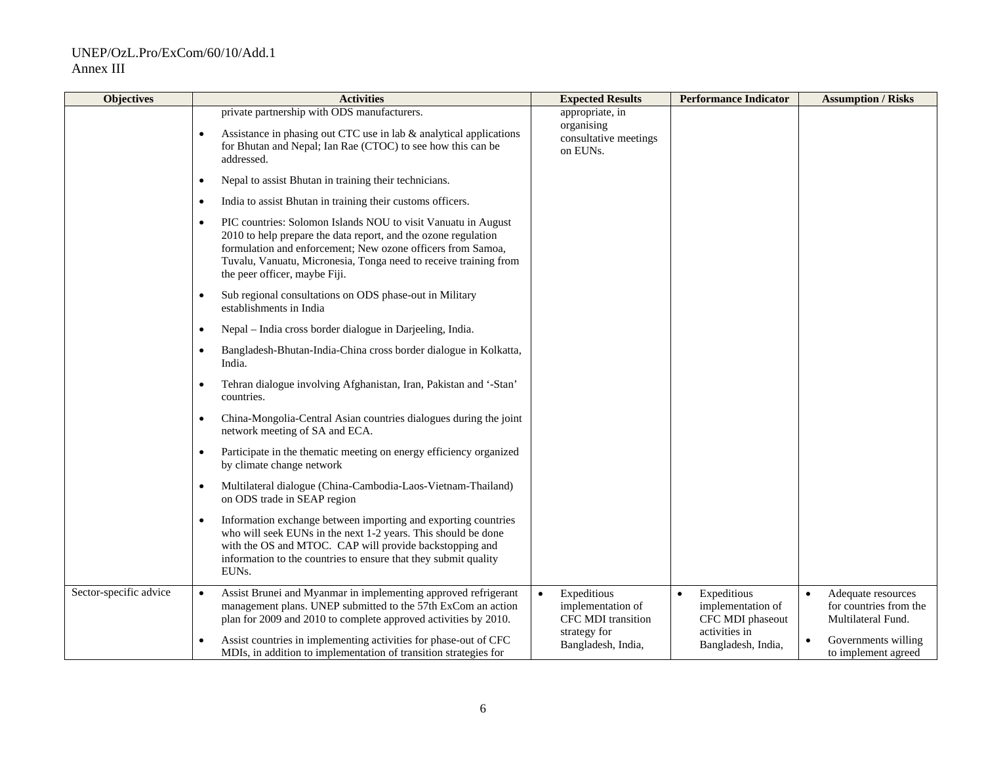| <b>Objectives</b>      | <b>Activities</b>                                                                                                                                                                                                                                                                                                | <b>Expected Results</b>                                            | <b>Performance Indicator</b>                                      | <b>Assumption / Risks</b>                                          |
|------------------------|------------------------------------------------------------------------------------------------------------------------------------------------------------------------------------------------------------------------------------------------------------------------------------------------------------------|--------------------------------------------------------------------|-------------------------------------------------------------------|--------------------------------------------------------------------|
|                        | private partnership with ODS manufacturers.<br>Assistance in phasing out CTC use in lab $\&$ analytical applications<br>$\bullet$<br>for Bhutan and Nepal; Ian Rae (CTOC) to see how this can be<br>addressed.                                                                                                   | appropriate, in<br>organising<br>consultative meetings<br>on EUNs. |                                                                   |                                                                    |
|                        | Nepal to assist Bhutan in training their technicians.<br>$\bullet$                                                                                                                                                                                                                                               |                                                                    |                                                                   |                                                                    |
|                        | India to assist Bhutan in training their customs officers.<br>$\bullet$                                                                                                                                                                                                                                          |                                                                    |                                                                   |                                                                    |
|                        | PIC countries: Solomon Islands NOU to visit Vanuatu in August<br>$\bullet$<br>2010 to help prepare the data report, and the ozone regulation<br>formulation and enforcement; New ozone officers from Samoa,<br>Tuvalu, Vanuatu, Micronesia, Tonga need to receive training from<br>the peer officer, maybe Fiji. |                                                                    |                                                                   |                                                                    |
|                        | Sub regional consultations on ODS phase-out in Military<br>$\bullet$<br>establishments in India                                                                                                                                                                                                                  |                                                                    |                                                                   |                                                                    |
|                        | Nepal - India cross border dialogue in Darjeeling, India.<br>$\bullet$                                                                                                                                                                                                                                           |                                                                    |                                                                   |                                                                    |
|                        | Bangladesh-Bhutan-India-China cross border dialogue in Kolkatta,<br>$\bullet$<br>India.                                                                                                                                                                                                                          |                                                                    |                                                                   |                                                                    |
|                        | Tehran dialogue involving Afghanistan, Iran, Pakistan and '-Stan'<br>$\bullet$<br>countries.                                                                                                                                                                                                                     |                                                                    |                                                                   |                                                                    |
|                        | China-Mongolia-Central Asian countries dialogues during the joint<br>$\bullet$<br>network meeting of SA and ECA.                                                                                                                                                                                                 |                                                                    |                                                                   |                                                                    |
|                        | Participate in the thematic meeting on energy efficiency organized<br>$\bullet$<br>by climate change network                                                                                                                                                                                                     |                                                                    |                                                                   |                                                                    |
|                        | Multilateral dialogue (China-Cambodia-Laos-Vietnam-Thailand)<br>$\bullet$<br>on ODS trade in SEAP region                                                                                                                                                                                                         |                                                                    |                                                                   |                                                                    |
|                        | Information exchange between importing and exporting countries<br>$\bullet$<br>who will seek EUNs in the next 1-2 years. This should be done<br>with the OS and MTOC. CAP will provide backstopping and<br>information to the countries to ensure that they submit quality<br>EUNs.                              |                                                                    |                                                                   |                                                                    |
| Sector-specific advice | Assist Brunei and Myanmar in implementing approved refrigerant<br>management plans. UNEP submitted to the 57th ExCom an action<br>plan for 2009 and 2010 to complete approved activities by 2010.                                                                                                                | Expeditious<br>implementation of<br>CFC MDI transition             | Expeditious<br>$\bullet$<br>implementation of<br>CFC MDI phaseout | Adequate resources<br>for countries from the<br>Multilateral Fund. |
|                        | Assist countries in implementing activities for phase-out of CFC<br>$\bullet$<br>MDIs, in addition to implementation of transition strategies for                                                                                                                                                                | strategy for<br>Bangladesh, India,                                 | activities in<br>Bangladesh, India,                               | Governments willing<br>to implement agreed                         |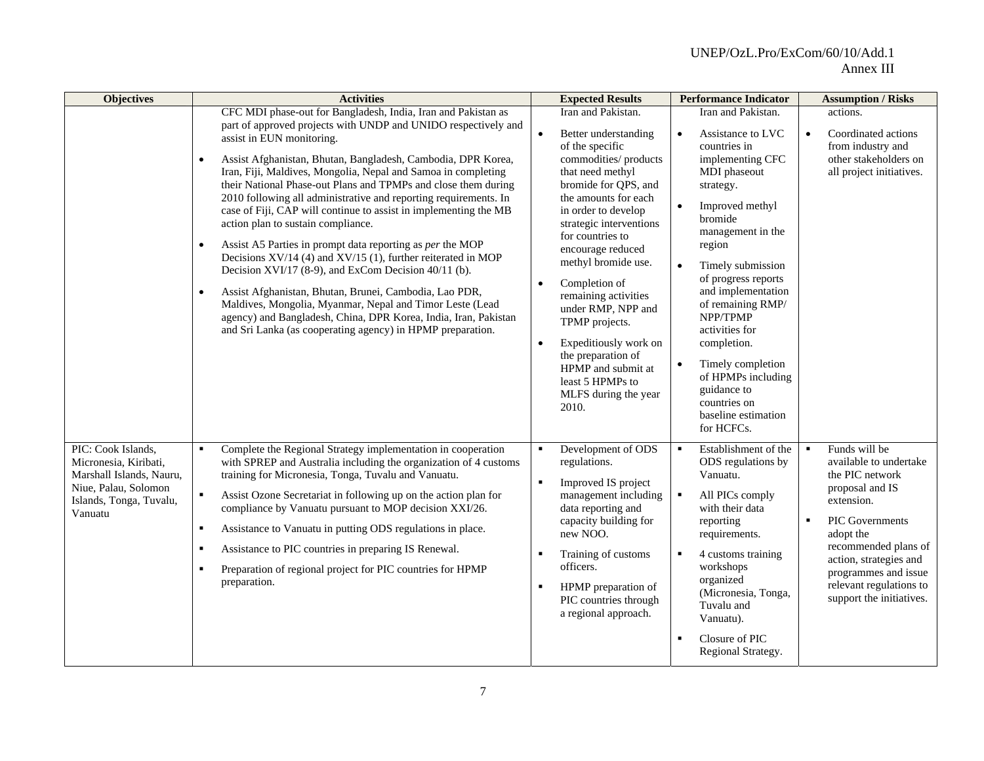| <b>Objectives</b>                                                                                                                     | <b>Activities</b>                                                                                                                                                                                                                                                                                                                                                                                                                                                                                                                                                                                                                                                                                                                                                                                                                                                                                                                                                                                                                | <b>Expected Results</b>                                                                                                                                                                                                                                                                                                                                                                                                                                                                              | <b>Performance Indicator</b>                                                                                                                                                                                                                                                                                                                                                                                                                                    | <b>Assumption / Risks</b>                                                                                                                                                                                                                                                                        |
|---------------------------------------------------------------------------------------------------------------------------------------|----------------------------------------------------------------------------------------------------------------------------------------------------------------------------------------------------------------------------------------------------------------------------------------------------------------------------------------------------------------------------------------------------------------------------------------------------------------------------------------------------------------------------------------------------------------------------------------------------------------------------------------------------------------------------------------------------------------------------------------------------------------------------------------------------------------------------------------------------------------------------------------------------------------------------------------------------------------------------------------------------------------------------------|------------------------------------------------------------------------------------------------------------------------------------------------------------------------------------------------------------------------------------------------------------------------------------------------------------------------------------------------------------------------------------------------------------------------------------------------------------------------------------------------------|-----------------------------------------------------------------------------------------------------------------------------------------------------------------------------------------------------------------------------------------------------------------------------------------------------------------------------------------------------------------------------------------------------------------------------------------------------------------|--------------------------------------------------------------------------------------------------------------------------------------------------------------------------------------------------------------------------------------------------------------------------------------------------|
|                                                                                                                                       | CFC MDI phase-out for Bangladesh, India, Iran and Pakistan as<br>part of approved projects with UNDP and UNIDO respectively and<br>assist in EUN monitoring.<br>Assist Afghanistan, Bhutan, Bangladesh, Cambodia, DPR Korea,<br>$\bullet$<br>Iran, Fiji, Maldives, Mongolia, Nepal and Samoa in completing<br>their National Phase-out Plans and TPMPs and close them during<br>2010 following all administrative and reporting requirements. In<br>case of Fiji, CAP will continue to assist in implementing the MB<br>action plan to sustain compliance.<br>Assist A5 Parties in prompt data reporting as per the MOP<br>$\bullet$<br>Decisions XV/14 (4) and XV/15 (1), further reiterated in MOP<br>Decision XVI/17 (8-9), and ExCom Decision 40/11 (b).<br>Assist Afghanistan, Bhutan, Brunei, Cambodia, Lao PDR,<br>$\bullet$<br>Maldives, Mongolia, Myanmar, Nepal and Timor Leste (Lead<br>agency) and Bangladesh, China, DPR Korea, India, Iran, Pakistan<br>and Sri Lanka (as cooperating agency) in HPMP preparation. | Iran and Pakistan.<br>Better understanding<br>of the specific<br>commodities/ products<br>that need methyl<br>bromide for QPS, and<br>the amounts for each<br>in order to develop<br>strategic interventions<br>for countries to<br>encourage reduced<br>methyl bromide use.<br>Completion of<br>remaining activities<br>under RMP, NPP and<br>TPMP projects.<br>Expeditiously work on<br>$\bullet$<br>the preparation of<br>HPMP and submit at<br>least 5 HPMPs to<br>MLFS during the year<br>2010. | Iran and Pakistan.<br>Assistance to LVC<br>$\bullet$<br>countries in<br>implementing CFC<br>MDI phaseout<br>strategy.<br>Improved methyl<br>$\bullet$<br>bromide<br>management in the<br>region<br>Timely submission<br>$\bullet$<br>of progress reports<br>and implementation<br>of remaining RMP/<br>NPP/TPMP<br>activities for<br>completion.<br>Timely completion<br>of HPMPs including<br>guidance to<br>countries on<br>baseline estimation<br>for HCFCs. | actions.<br>Coordinated actions<br>$\bullet$<br>from industry and<br>other stakeholders on<br>all project initiatives.                                                                                                                                                                           |
| PIC: Cook Islands,<br>Micronesia, Kiribati,<br>Marshall Islands, Nauru,<br>Niue, Palau, Solomon<br>Islands, Tonga, Tuvalu,<br>Vanuatu | Complete the Regional Strategy implementation in cooperation<br>with SPREP and Australia including the organization of 4 customs<br>training for Micronesia, Tonga, Tuvalu and Vanuatu.<br>$\blacksquare$<br>Assist Ozone Secretariat in following up on the action plan for<br>compliance by Vanuatu pursuant to MOP decision XXI/26.<br>Assistance to Vanuatu in putting ODS regulations in place.<br>$\blacksquare$<br>Assistance to PIC countries in preparing IS Renewal.<br>٠<br>Preparation of regional project for PIC countries for HPMP<br>$\blacksquare$<br>preparation.                                                                                                                                                                                                                                                                                                                                                                                                                                              | Development of ODS<br>regulations.<br>Improved IS project<br>management including<br>data reporting and<br>capacity building for<br>new NOO.<br>Training of customs<br>officers.<br>HPMP preparation of<br>PIC countries through<br>a regional approach.                                                                                                                                                                                                                                             | Establishment of the<br>٠<br>ODS regulations by<br>Vanuatu.<br>All PICs comply<br>٠<br>with their data<br>reporting<br>requirements.<br>4 customs training<br>$\blacksquare$<br>workshops<br>organized<br>(Micronesia, Tonga,<br>Tuvalu and<br>Vanuatu).<br>Closure of PIC<br>$\blacksquare$<br>Regional Strategy.                                                                                                                                              | Funds will be<br>$\blacksquare$<br>available to undertake<br>the PIC network<br>proposal and IS<br>extension.<br>PIC Governments<br>$\blacksquare$<br>adopt the<br>recommended plans of<br>action, strategies and<br>programmes and issue<br>relevant regulations to<br>support the initiatives. |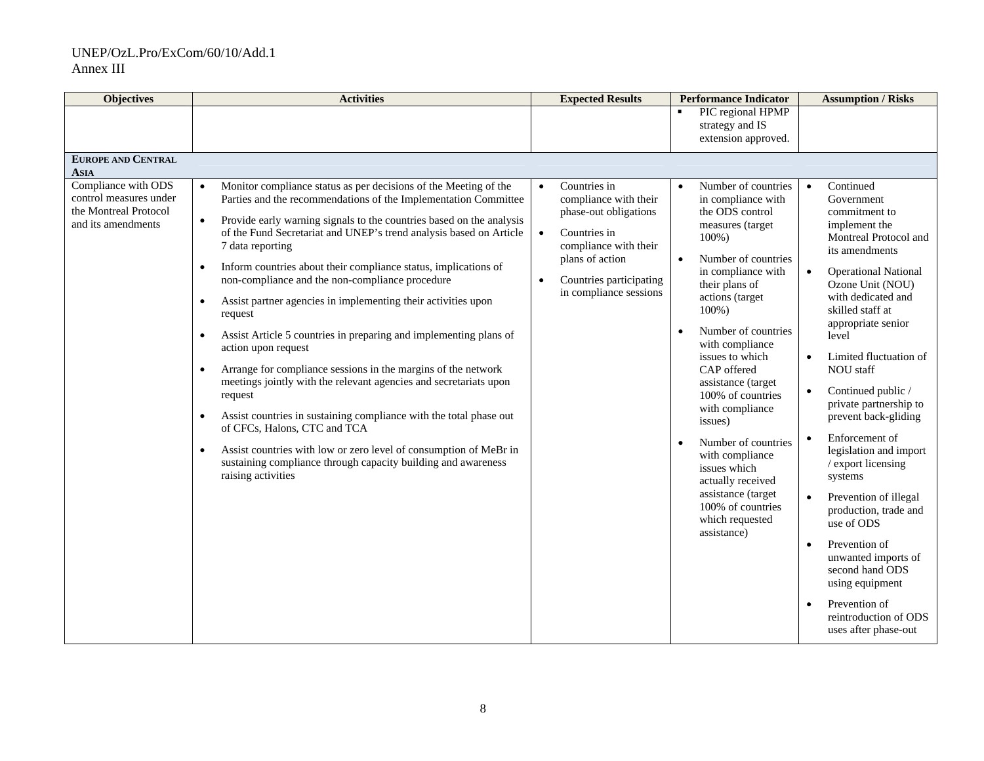| <b>Objectives</b>                                                                            | <b>Activities</b>                                                                                                                                                                                                                                                                                                                                                                                                                                                                                                                                                                                                                                                                                                                                                                                                                                                                                                                                                                                                                                                                                                 | <b>Expected Results</b>                                                                                                                                                                                                | <b>Performance Indicator</b>                                                                                                                                                                                                                                                                                                                                                                                                                                                                                               | <b>Assumption / Risks</b>                                                                                                                                                                                                                                                                                                                                                                                                                                                                                                                                                                                                                                                     |
|----------------------------------------------------------------------------------------------|-------------------------------------------------------------------------------------------------------------------------------------------------------------------------------------------------------------------------------------------------------------------------------------------------------------------------------------------------------------------------------------------------------------------------------------------------------------------------------------------------------------------------------------------------------------------------------------------------------------------------------------------------------------------------------------------------------------------------------------------------------------------------------------------------------------------------------------------------------------------------------------------------------------------------------------------------------------------------------------------------------------------------------------------------------------------------------------------------------------------|------------------------------------------------------------------------------------------------------------------------------------------------------------------------------------------------------------------------|----------------------------------------------------------------------------------------------------------------------------------------------------------------------------------------------------------------------------------------------------------------------------------------------------------------------------------------------------------------------------------------------------------------------------------------------------------------------------------------------------------------------------|-------------------------------------------------------------------------------------------------------------------------------------------------------------------------------------------------------------------------------------------------------------------------------------------------------------------------------------------------------------------------------------------------------------------------------------------------------------------------------------------------------------------------------------------------------------------------------------------------------------------------------------------------------------------------------|
|                                                                                              |                                                                                                                                                                                                                                                                                                                                                                                                                                                                                                                                                                                                                                                                                                                                                                                                                                                                                                                                                                                                                                                                                                                   |                                                                                                                                                                                                                        | PIC regional HPMP<br>$\blacksquare$<br>strategy and IS                                                                                                                                                                                                                                                                                                                                                                                                                                                                     |                                                                                                                                                                                                                                                                                                                                                                                                                                                                                                                                                                                                                                                                               |
|                                                                                              |                                                                                                                                                                                                                                                                                                                                                                                                                                                                                                                                                                                                                                                                                                                                                                                                                                                                                                                                                                                                                                                                                                                   |                                                                                                                                                                                                                        | extension approved.                                                                                                                                                                                                                                                                                                                                                                                                                                                                                                        |                                                                                                                                                                                                                                                                                                                                                                                                                                                                                                                                                                                                                                                                               |
| <b>EUROPE AND CENTRAL</b><br><b>ASIA</b>                                                     |                                                                                                                                                                                                                                                                                                                                                                                                                                                                                                                                                                                                                                                                                                                                                                                                                                                                                                                                                                                                                                                                                                                   |                                                                                                                                                                                                                        |                                                                                                                                                                                                                                                                                                                                                                                                                                                                                                                            |                                                                                                                                                                                                                                                                                                                                                                                                                                                                                                                                                                                                                                                                               |
| Compliance with ODS<br>control measures under<br>the Montreal Protocol<br>and its amendments | Monitor compliance status as per decisions of the Meeting of the<br>Parties and the recommendations of the Implementation Committee<br>Provide early warning signals to the countries based on the analysis<br>$\bullet$<br>of the Fund Secretariat and UNEP's trend analysis based on Article<br>7 data reporting<br>Inform countries about their compliance status, implications of<br>$\bullet$<br>non-compliance and the non-compliance procedure<br>Assist partner agencies in implementing their activities upon<br>$\bullet$<br>request<br>Assist Article 5 countries in preparing and implementing plans of<br>$\bullet$<br>action upon request<br>Arrange for compliance sessions in the margins of the network<br>$\bullet$<br>meetings jointly with the relevant agencies and secretariats upon<br>request<br>Assist countries in sustaining compliance with the total phase out<br>$\bullet$<br>of CFCs, Halons, CTC and TCA<br>Assist countries with low or zero level of consumption of MeBr in<br>$\bullet$<br>sustaining compliance through capacity building and awareness<br>raising activities | Countries in<br>$\bullet$<br>compliance with their<br>phase-out obligations<br>$\bullet$<br>Countries in<br>compliance with their<br>plans of action<br>Countries participating<br>$\bullet$<br>in compliance sessions | Number of countries<br>$\bullet$<br>in compliance with<br>the ODS control<br>measures (target<br>$100\%$ )<br>Number of countries<br>in compliance with<br>their plans of<br>actions (target<br>$100\%$ )<br>Number of countries<br>with compliance<br>issues to which<br>CAP offered<br>assistance (target<br>100% of countries<br>with compliance<br>issues)<br>Number of countries<br>with compliance<br>issues which<br>actually received<br>assistance (target<br>100% of countries<br>which requested<br>assistance) | Continued<br>$\bullet$<br>Government<br>commitment to<br>implement the<br>Montreal Protocol and<br>its amendments<br><b>Operational National</b><br>Ozone Unit (NOU)<br>with dedicated and<br>skilled staff at<br>appropriate senior<br>level<br>Limited fluctuation of<br><b>NOU</b> staff<br>Continued public /<br>private partnership to<br>prevent back-gliding<br>Enforcement of<br>$\bullet$<br>legislation and import<br>/ export licensing<br>systems<br>Prevention of illegal<br>production, trade and<br>use of ODS<br>Prevention of<br>unwanted imports of<br>second hand ODS<br>using equipment<br>Prevention of<br>reintroduction of ODS<br>uses after phase-out |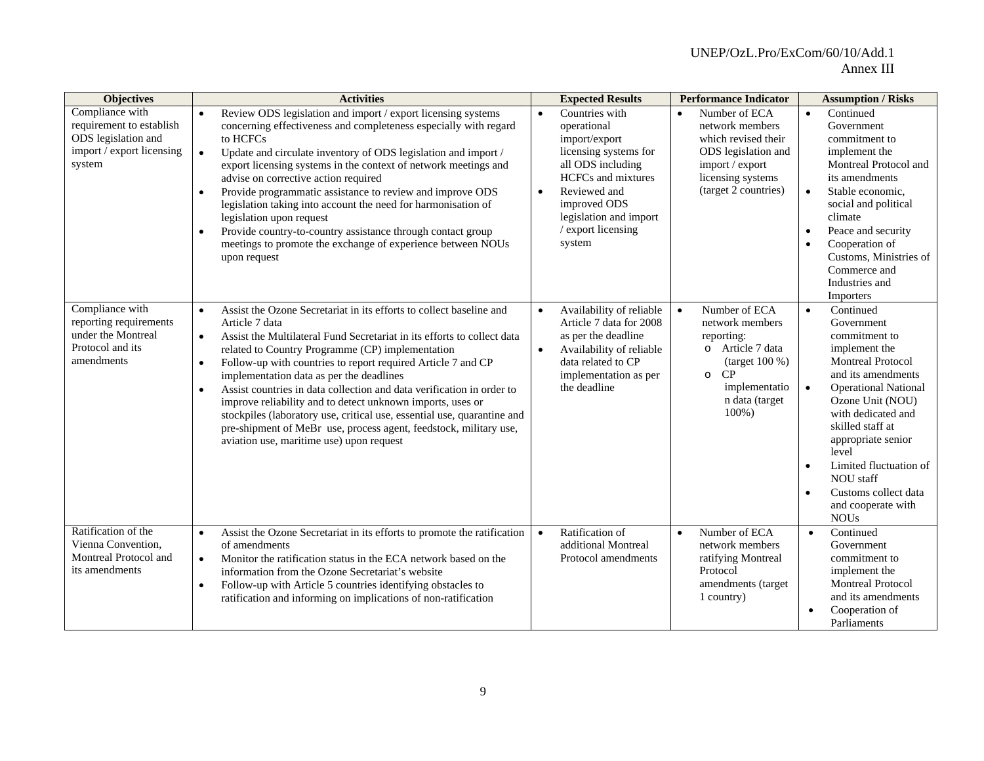| <b>Objectives</b>                                                                                         | <b>Activities</b>                                                                                                                                                                                                                                                                                                                                                                                                                                                                                                                                                                                                                                                                                                       | <b>Expected Results</b>                                                                                                                                                                                                                       | <b>Performance Indicator</b>                                                                                                                                   | <b>Assumption / Risks</b>                                                                                                                                                                                                                                                                                                                                                                       |
|-----------------------------------------------------------------------------------------------------------|-------------------------------------------------------------------------------------------------------------------------------------------------------------------------------------------------------------------------------------------------------------------------------------------------------------------------------------------------------------------------------------------------------------------------------------------------------------------------------------------------------------------------------------------------------------------------------------------------------------------------------------------------------------------------------------------------------------------------|-----------------------------------------------------------------------------------------------------------------------------------------------------------------------------------------------------------------------------------------------|----------------------------------------------------------------------------------------------------------------------------------------------------------------|-------------------------------------------------------------------------------------------------------------------------------------------------------------------------------------------------------------------------------------------------------------------------------------------------------------------------------------------------------------------------------------------------|
| Compliance with<br>requirement to establish<br>ODS legislation and<br>import / export licensing<br>system | Review ODS legislation and import / export licensing systems<br>concerning effectiveness and completeness especially with regard<br>to HCFCs<br>$\bullet$<br>Update and circulate inventory of ODS legislation and import /<br>export licensing systems in the context of network meetings and<br>advise on corrective action required<br>Provide programmatic assistance to review and improve ODS<br>$\bullet$<br>legislation taking into account the need for harmonisation of<br>legislation upon request<br>Provide country-to-country assistance through contact group<br>meetings to promote the exchange of experience between NOUs<br>upon request                                                             | Countries with<br>$\bullet$<br>operational<br>import/export<br>licensing systems for<br>all ODS including<br><b>HCFCs</b> and mixtures<br>Reviewed and<br>$\bullet$<br>improved ODS<br>legislation and import<br>/ export licensing<br>system | Number of ECA<br>$\bullet$<br>network members<br>which revised their<br>ODS legislation and<br>import / export<br>licensing systems<br>(target 2 countries)    | Continued<br>$\bullet$<br>Government<br>commitment to<br>implement the<br>Montreal Protocol and<br>its amendments<br>Stable economic,<br>$\bullet$<br>social and political<br>climate<br>Peace and security<br>$\bullet$<br>Cooperation of<br>$\bullet$<br>Customs, Ministries of<br>Commerce and<br>Industries and<br>Importers                                                                |
| Compliance with<br>reporting requirements<br>under the Montreal<br>Protocol and its<br>amendments         | Assist the Ozone Secretariat in its efforts to collect baseline and<br>$\bullet$<br>Article 7 data<br>Assist the Multilateral Fund Secretariat in its efforts to collect data<br>$\bullet$<br>related to Country Programme (CP) implementation<br>Follow-up with countries to report required Article 7 and CP<br>$\bullet$<br>implementation data as per the deadlines<br>Assist countries in data collection and data verification in order to<br>$\bullet$<br>improve reliability and to detect unknown imports, uses or<br>stockpiles (laboratory use, critical use, essential use, quarantine and<br>pre-shipment of MeBr use, process agent, feedstock, military use,<br>aviation use, maritime use) upon request | Availability of reliable<br>Article 7 data for 2008<br>as per the deadline<br>Availability of reliable<br>$\bullet$<br>data related to CP<br>implementation as per<br>the deadline                                                            | Number of ECA<br>$\bullet$<br>network members<br>reporting:<br>o Article 7 data<br>(target 100 %)<br>CP<br>$\circ$<br>implementatio<br>n data (target<br>100%) | Continued<br>$\bullet$<br>Government<br>commitment to<br>implement the<br><b>Montreal Protocol</b><br>and its amendments<br><b>Operational National</b><br>$\bullet$<br>Ozone Unit (NOU)<br>with dedicated and<br>skilled staff at<br>appropriate senior<br>level<br>Limited fluctuation of<br>$\bullet$<br>NOU staff<br>Customs collect data<br>$\bullet$<br>and cooperate with<br><b>NOUs</b> |
| Ratification of the<br>Vienna Convention.<br>Montreal Protocol and<br>its amendments                      | Assist the Ozone Secretariat in its efforts to promote the ratification<br>$\bullet$<br>of amendments<br>Monitor the ratification status in the ECA network based on the<br>$\bullet$<br>information from the Ozone Secretariat's website<br>Follow-up with Article 5 countries identifying obstacles to<br>$\bullet$<br>ratification and informing on implications of non-ratification                                                                                                                                                                                                                                                                                                                                 | Ratification of<br>$\bullet$<br>additional Montreal<br>Protocol amendments                                                                                                                                                                    | Number of ECA<br>$\bullet$<br>network members<br>ratifying Montreal<br>Protocol<br>amendments (target<br>1 country)                                            | Continued<br>$\bullet$<br>Government<br>commitment to<br>implement the<br><b>Montreal Protocol</b><br>and its amendments<br>Cooperation of<br>Parliaments                                                                                                                                                                                                                                       |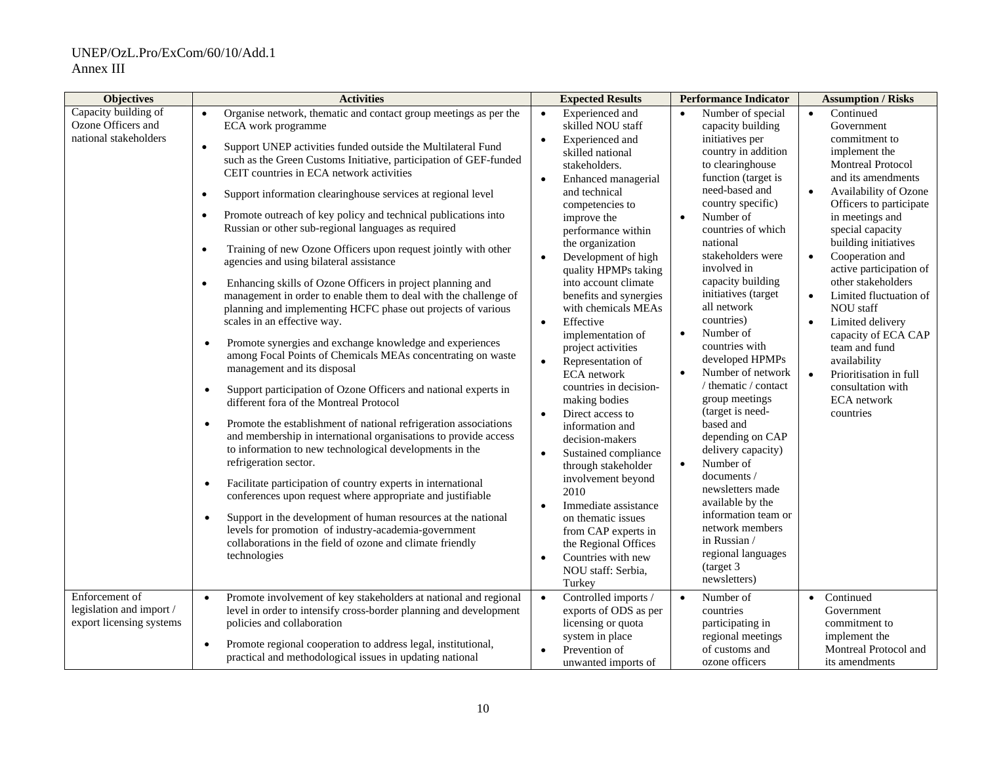| <b>Objectives</b>                                                      | <b>Activities</b>                                                                                                                                                                                                                                                                                                                                                                                                                                                                                                                                                                                                                                                                                                                                                                                                                                                                                                                                                                                                                                                                                                                                                                                                                                                                                                                                                                                                                                                                                                                                                    | <b>Expected Results</b>                                                                                                                                                                                                                                                                                                                                                                                                                                                                                                                                                                                                                                                                                                                                                    | <b>Performance Indicator</b>                                                                                                                                                                                                                                                                                                                                                                                                                                                                                                                                                                                                          | <b>Assumption / Risks</b>                                                                                                                                                                                                                                                                                                                                                                                                                                                                                                                                                             |
|------------------------------------------------------------------------|----------------------------------------------------------------------------------------------------------------------------------------------------------------------------------------------------------------------------------------------------------------------------------------------------------------------------------------------------------------------------------------------------------------------------------------------------------------------------------------------------------------------------------------------------------------------------------------------------------------------------------------------------------------------------------------------------------------------------------------------------------------------------------------------------------------------------------------------------------------------------------------------------------------------------------------------------------------------------------------------------------------------------------------------------------------------------------------------------------------------------------------------------------------------------------------------------------------------------------------------------------------------------------------------------------------------------------------------------------------------------------------------------------------------------------------------------------------------------------------------------------------------------------------------------------------------|----------------------------------------------------------------------------------------------------------------------------------------------------------------------------------------------------------------------------------------------------------------------------------------------------------------------------------------------------------------------------------------------------------------------------------------------------------------------------------------------------------------------------------------------------------------------------------------------------------------------------------------------------------------------------------------------------------------------------------------------------------------------------|---------------------------------------------------------------------------------------------------------------------------------------------------------------------------------------------------------------------------------------------------------------------------------------------------------------------------------------------------------------------------------------------------------------------------------------------------------------------------------------------------------------------------------------------------------------------------------------------------------------------------------------|---------------------------------------------------------------------------------------------------------------------------------------------------------------------------------------------------------------------------------------------------------------------------------------------------------------------------------------------------------------------------------------------------------------------------------------------------------------------------------------------------------------------------------------------------------------------------------------|
| Capacity building of<br>Ozone Officers and<br>national stakeholders    | Organise network, thematic and contact group meetings as per the<br>$\bullet$<br>ECA work programme<br>Support UNEP activities funded outside the Multilateral Fund<br>$\bullet$<br>such as the Green Customs Initiative, participation of GEF-funded<br>CEIT countries in ECA network activities<br>Support information clearinghouse services at regional level<br>$\bullet$<br>Promote outreach of key policy and technical publications into<br>Russian or other sub-regional languages as required<br>Training of new Ozone Officers upon request jointly with other<br>$\bullet$<br>agencies and using bilateral assistance<br>Enhancing skills of Ozone Officers in project planning and<br>$\bullet$<br>management in order to enable them to deal with the challenge of<br>planning and implementing HCFC phase out projects of various<br>scales in an effective way.<br>Promote synergies and exchange knowledge and experiences<br>$\bullet$<br>among Focal Points of Chemicals MEAs concentrating on waste<br>management and its disposal<br>Support participation of Ozone Officers and national experts in<br>$\bullet$<br>different fora of the Montreal Protocol<br>Promote the establishment of national refrigeration associations<br>$\bullet$<br>and membership in international organisations to provide access<br>to information to new technological developments in the<br>refrigeration sector.<br>Facilitate participation of country experts in international<br>$\bullet$<br>conferences upon request where appropriate and justifiable | Experienced and<br>$\bullet$<br>skilled NOU staff<br>Experienced and<br>$\bullet$<br>skilled national<br>stakeholders.<br>Enhanced managerial<br>$\bullet$<br>and technical<br>competencies to<br>improve the<br>performance within<br>the organization<br>Development of high<br>$\bullet$<br>quality HPMPs taking<br>into account climate<br>benefits and synergies<br>with chemicals MEAs<br>Effective<br>$\bullet$<br>implementation of<br>project activities<br>Representation of<br>$\bullet$<br><b>ECA</b> network<br>countries in decision-<br>making bodies<br>Direct access to<br>$\bullet$<br>information and<br>decision-makers<br>Sustained compliance<br>$\bullet$<br>through stakeholder<br>involvement beyond<br>2010<br>Immediate assistance<br>$\bullet$ | Number of special<br>$\bullet$<br>capacity building<br>initiatives per<br>country in addition<br>to clearinghouse<br>function (target is<br>need-based and<br>country specific)<br>Number of<br>countries of which<br>national<br>stakeholders were<br>involved in<br>capacity building<br>initiatives (target<br>all network<br>countries)<br>Number of<br>$\bullet$<br>countries with<br>developed HPMPs<br>Number of network<br>/ thematic / contact<br>group meetings<br>(target is need-<br>based and<br>depending on CAP<br>delivery capacity)<br>Number of<br>$\bullet$<br>documents /<br>newsletters made<br>available by the | $\bullet$<br>Continued<br>Government<br>commitment to<br>implement the<br><b>Montreal Protocol</b><br>and its amendments<br>Availability of Ozone<br>$\bullet$<br>Officers to participate<br>in meetings and<br>special capacity<br>building initiatives<br>Cooperation and<br>$\bullet$<br>active participation of<br>other stakeholders<br>Limited fluctuation of<br>$\bullet$<br><b>NOU</b> staff<br>Limited delivery<br>$\bullet$<br>capacity of ECA CAP<br>team and fund<br>availability<br>Prioritisation in full<br>$\bullet$<br>consultation with<br>ECA network<br>countries |
|                                                                        | Support in the development of human resources at the national<br>$\bullet$<br>levels for promotion of industry-academia-government<br>collaborations in the field of ozone and climate friendly<br>technologies                                                                                                                                                                                                                                                                                                                                                                                                                                                                                                                                                                                                                                                                                                                                                                                                                                                                                                                                                                                                                                                                                                                                                                                                                                                                                                                                                      | on thematic issues<br>from CAP experts in<br>the Regional Offices<br>Countries with new<br>$\bullet$<br>NOU staff: Serbia,<br>Turkey                                                                                                                                                                                                                                                                                                                                                                                                                                                                                                                                                                                                                                       | information team or<br>network members<br>in Russian /<br>regional languages<br>(target 3)<br>newsletters)                                                                                                                                                                                                                                                                                                                                                                                                                                                                                                                            |                                                                                                                                                                                                                                                                                                                                                                                                                                                                                                                                                                                       |
| Enforcement of<br>legislation and import /<br>export licensing systems | Promote involvement of key stakeholders at national and regional<br>$\bullet$<br>level in order to intensify cross-border planning and development<br>policies and collaboration<br>Promote regional cooperation to address legal, institutional,<br>$\bullet$<br>practical and methodological issues in updating national                                                                                                                                                                                                                                                                                                                                                                                                                                                                                                                                                                                                                                                                                                                                                                                                                                                                                                                                                                                                                                                                                                                                                                                                                                           | $\bullet$<br>Controlled imports /<br>exports of ODS as per<br>licensing or quota<br>system in place<br>Prevention of<br>$\bullet$<br>unwanted imports of                                                                                                                                                                                                                                                                                                                                                                                                                                                                                                                                                                                                                   | Number of<br>$\bullet$<br>countries<br>participating in<br>regional meetings<br>of customs and<br>ozone officers                                                                                                                                                                                                                                                                                                                                                                                                                                                                                                                      | Continued<br>$\bullet$<br>Government<br>commitment to<br>implement the<br>Montreal Protocol and<br>its amendments                                                                                                                                                                                                                                                                                                                                                                                                                                                                     |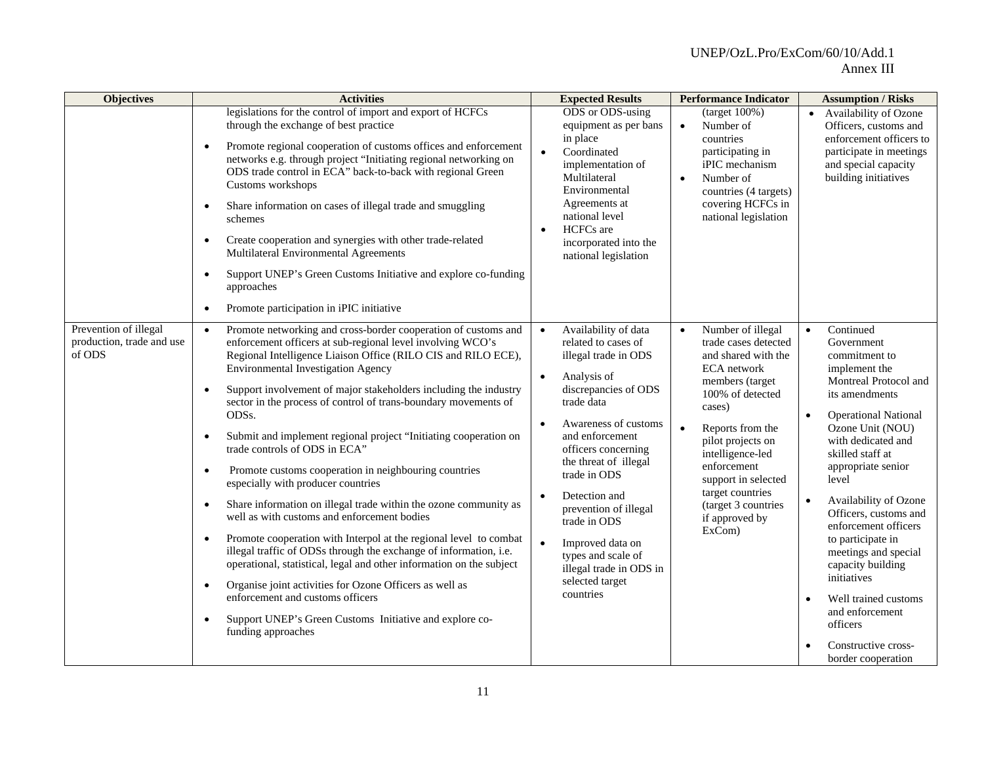| <b>Objectives</b>                                            | <b>Activities</b>                                                                                                                                                                                                                                                                                                                                                                                                                                                                                                                                                                                                                                                                                                                                                                                                                                                                                                                                                                                                                                                                                                                                                                                                           | <b>Expected Results</b>                                                                                                                                                                                                                                                                                                                                                                                                                                             | <b>Performance Indicator</b>                                                                                                                                                                                                                                                                                                         | <b>Assumption / Risks</b>                                                                                                                                                                                                                                                                                                                                                                                                                                                                                    |
|--------------------------------------------------------------|-----------------------------------------------------------------------------------------------------------------------------------------------------------------------------------------------------------------------------------------------------------------------------------------------------------------------------------------------------------------------------------------------------------------------------------------------------------------------------------------------------------------------------------------------------------------------------------------------------------------------------------------------------------------------------------------------------------------------------------------------------------------------------------------------------------------------------------------------------------------------------------------------------------------------------------------------------------------------------------------------------------------------------------------------------------------------------------------------------------------------------------------------------------------------------------------------------------------------------|---------------------------------------------------------------------------------------------------------------------------------------------------------------------------------------------------------------------------------------------------------------------------------------------------------------------------------------------------------------------------------------------------------------------------------------------------------------------|--------------------------------------------------------------------------------------------------------------------------------------------------------------------------------------------------------------------------------------------------------------------------------------------------------------------------------------|--------------------------------------------------------------------------------------------------------------------------------------------------------------------------------------------------------------------------------------------------------------------------------------------------------------------------------------------------------------------------------------------------------------------------------------------------------------------------------------------------------------|
|                                                              | legislations for the control of import and export of HCFCs<br>through the exchange of best practice<br>Promote regional cooperation of customs offices and enforcement<br>$\bullet$<br>networks e.g. through project "Initiating regional networking on<br>ODS trade control in ECA" back-to-back with regional Green<br>Customs workshops<br>Share information on cases of illegal trade and smuggling<br>$\bullet$<br>schemes<br>Create cooperation and synergies with other trade-related<br>$\bullet$<br>Multilateral Environmental Agreements<br>Support UNEP's Green Customs Initiative and explore co-funding<br>$\bullet$<br>approaches                                                                                                                                                                                                                                                                                                                                                                                                                                                                                                                                                                             | ODS or ODS-using<br>equipment as per bans<br>in place<br>Coordinated<br>$\bullet$<br>implementation of<br>Multilateral<br>Environmental<br>Agreements at<br>national level<br><b>HCFCs</b> are<br>$\bullet$<br>incorporated into the<br>national legislation                                                                                                                                                                                                        | $\frac{100\%}{2}$<br>Number of<br>$\bullet$<br>countries<br>participating in<br>iPIC mechanism<br>Number of<br>$\bullet$<br>countries (4 targets)<br>covering HCFCs in<br>national legislation                                                                                                                                       | • Availability of Ozone<br>Officers, customs and<br>enforcement officers to<br>participate in meetings<br>and special capacity<br>building initiatives                                                                                                                                                                                                                                                                                                                                                       |
|                                                              | Promote participation in iPIC initiative<br>$\bullet$                                                                                                                                                                                                                                                                                                                                                                                                                                                                                                                                                                                                                                                                                                                                                                                                                                                                                                                                                                                                                                                                                                                                                                       |                                                                                                                                                                                                                                                                                                                                                                                                                                                                     |                                                                                                                                                                                                                                                                                                                                      |                                                                                                                                                                                                                                                                                                                                                                                                                                                                                                              |
| Prevention of illegal<br>production, trade and use<br>of ODS | Promote networking and cross-border cooperation of customs and<br>$\bullet$<br>enforcement officers at sub-regional level involving WCO's<br>Regional Intelligence Liaison Office (RILO CIS and RILO ECE),<br><b>Environmental Investigation Agency</b><br>Support involvement of major stakeholders including the industry<br>$\bullet$<br>sector in the process of control of trans-boundary movements of<br>ODSs.<br>Submit and implement regional project "Initiating cooperation on<br>$\bullet$<br>trade controls of ODS in ECA"<br>Promote customs cooperation in neighbouring countries<br>$\bullet$<br>especially with producer countries<br>Share information on illegal trade within the ozone community as<br>$\bullet$<br>well as with customs and enforcement bodies<br>Promote cooperation with Interpol at the regional level to combat<br>$\bullet$<br>illegal traffic of ODSs through the exchange of information, i.e.<br>operational, statistical, legal and other information on the subject<br>Organise joint activities for Ozone Officers as well as<br>$\bullet$<br>enforcement and customs officers<br>Support UNEP's Green Customs Initiative and explore co-<br>$\bullet$<br>funding approaches | Availability of data<br>$\bullet$<br>related to cases of<br>illegal trade in ODS<br>Analysis of<br>$\bullet$<br>discrepancies of ODS<br>trade data<br>Awareness of customs<br>$\bullet$<br>and enforcement<br>officers concerning<br>the threat of illegal<br>trade in ODS<br>Detection and<br>$\bullet$<br>prevention of illegal<br>trade in ODS<br>Improved data on<br>$\bullet$<br>types and scale of<br>illegal trade in ODS in<br>selected target<br>countries | Number of illegal<br>$\bullet$<br>trade cases detected<br>and shared with the<br>ECA network<br>members (target<br>100% of detected<br>cases)<br>Reports from the<br>$\bullet$<br>pilot projects on<br>intelligence-led<br>enforcement<br>support in selected<br>target countries<br>(target 3 countries<br>if approved by<br>ExCom) | Continued<br>$\bullet$<br>Government<br>commitment to<br>implement the<br>Montreal Protocol and<br>its amendments<br><b>Operational National</b><br>Ozone Unit (NOU)<br>with dedicated and<br>skilled staff at<br>appropriate senior<br>level<br>Availability of Ozone<br>Officers, customs and<br>enforcement officers<br>to participate in<br>meetings and special<br>capacity building<br>initiatives<br>Well trained customs<br>and enforcement<br>officers<br>Constructive cross-<br>border cooperation |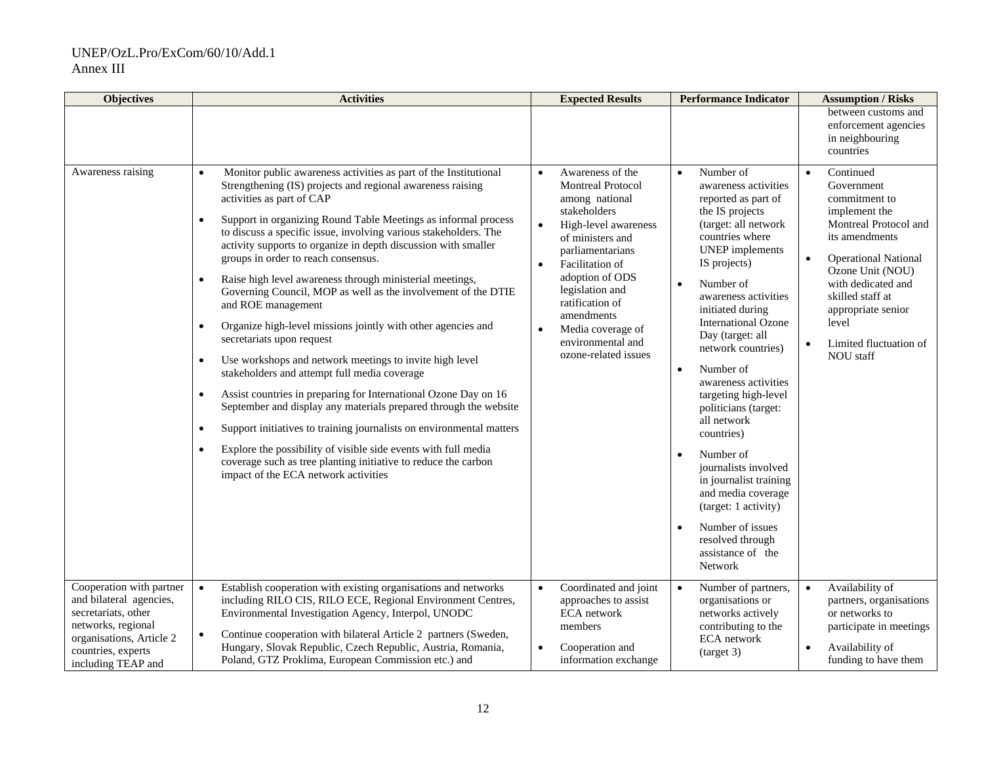| <b>Objectives</b>                                                                                                                                  | <b>Activities</b>                                                                                                                                                                                                                                                                                                                                                                                                                                                                                                                                                                                                                                                                                                                                                                                                                                                                                                                                                                                                                                                                                                                                                                                                                                                        | <b>Expected Results</b>                                                                                                                                                                                                                                                                                                                           | <b>Performance Indicator</b>                                                                                                                                                                                                                                                                                                                                                                                                                                                                                                                                                                                                                          | <b>Assumption / Risks</b>                                                                                                                                                                                                                                                                                |
|----------------------------------------------------------------------------------------------------------------------------------------------------|--------------------------------------------------------------------------------------------------------------------------------------------------------------------------------------------------------------------------------------------------------------------------------------------------------------------------------------------------------------------------------------------------------------------------------------------------------------------------------------------------------------------------------------------------------------------------------------------------------------------------------------------------------------------------------------------------------------------------------------------------------------------------------------------------------------------------------------------------------------------------------------------------------------------------------------------------------------------------------------------------------------------------------------------------------------------------------------------------------------------------------------------------------------------------------------------------------------------------------------------------------------------------|---------------------------------------------------------------------------------------------------------------------------------------------------------------------------------------------------------------------------------------------------------------------------------------------------------------------------------------------------|-------------------------------------------------------------------------------------------------------------------------------------------------------------------------------------------------------------------------------------------------------------------------------------------------------------------------------------------------------------------------------------------------------------------------------------------------------------------------------------------------------------------------------------------------------------------------------------------------------------------------------------------------------|----------------------------------------------------------------------------------------------------------------------------------------------------------------------------------------------------------------------------------------------------------------------------------------------------------|
|                                                                                                                                                    |                                                                                                                                                                                                                                                                                                                                                                                                                                                                                                                                                                                                                                                                                                                                                                                                                                                                                                                                                                                                                                                                                                                                                                                                                                                                          |                                                                                                                                                                                                                                                                                                                                                   |                                                                                                                                                                                                                                                                                                                                                                                                                                                                                                                                                                                                                                                       | between customs and<br>enforcement agencies<br>in neighbouring<br>countries                                                                                                                                                                                                                              |
| Awareness raising                                                                                                                                  | Monitor public awareness activities as part of the Institutional<br>$\bullet$<br>Strengthening (IS) projects and regional awareness raising<br>activities as part of CAP<br>Support in organizing Round Table Meetings as informal process<br>$\bullet$<br>to discuss a specific issue, involving various stakeholders. The<br>activity supports to organize in depth discussion with smaller<br>groups in order to reach consensus.<br>Raise high level awareness through ministerial meetings,<br>$\bullet$<br>Governing Council, MOP as well as the involvement of the DTIE<br>and ROE management<br>Organize high-level missions jointly with other agencies and<br>$\bullet$<br>secretariats upon request<br>Use workshops and network meetings to invite high level<br>$\bullet$<br>stakeholders and attempt full media coverage<br>Assist countries in preparing for International Ozone Day on 16<br>$\bullet$<br>September and display any materials prepared through the website<br>Support initiatives to training journalists on environmental matters<br>$\bullet$<br>Explore the possibility of visible side events with full media<br>$\bullet$<br>coverage such as tree planting initiative to reduce the carbon<br>impact of the ECA network activities | Awareness of the<br>$\bullet$<br><b>Montreal Protocol</b><br>among national<br>stakeholders<br>High-level awareness<br>$\bullet$<br>of ministers and<br>parliamentarians<br>Facilitation of<br>$\bullet$<br>adoption of ODS<br>legislation and<br>ratification of<br>amendments<br>Media coverage of<br>environmental and<br>ozone-related issues | Number of<br>$\bullet$<br>awareness activities<br>reported as part of<br>the IS projects<br>(target: all network<br>countries where<br>UNEP implements<br>IS projects)<br>Number of<br>$\bullet$<br>awareness activities<br>initiated during<br><b>International Ozone</b><br>Day (target: all<br>network countries)<br>Number of<br>$\bullet$<br>awareness activities<br>targeting high-level<br>politicians (target:<br>all network<br>countries)<br>Number of<br>$\bullet$<br>journalists involved<br>in journalist training<br>and media coverage<br>(target: 1 activity)<br>Number of issues<br>resolved through<br>assistance of the<br>Network | Continued<br>$\bullet$<br>Government<br>commitment to<br>implement the<br>Montreal Protocol and<br>its amendments<br><b>Operational National</b><br>$\bullet$<br>Ozone Unit (NOU)<br>with dedicated and<br>skilled staff at<br>appropriate senior<br>level<br>Limited fluctuation of<br><b>NOU</b> staff |
| Cooperation with partner<br>and bilateral agencies,<br>secretariats, other<br>networks, regional<br>organisations, Article 2<br>countries, experts | Establish cooperation with existing organisations and networks<br>$\bullet$<br>including RILO CIS, RILO ECE, Regional Environment Centres,<br>Environmental Investigation Agency, Interpol, UNODC<br>Continue cooperation with bilateral Article 2 partners (Sweden,<br>$\bullet$<br>Hungary, Slovak Republic, Czech Republic, Austria, Romania,                                                                                                                                                                                                                                                                                                                                                                                                                                                                                                                                                                                                                                                                                                                                                                                                                                                                                                                         | Coordinated and joint<br>$\bullet$<br>approaches to assist<br><b>ECA</b> network<br>members<br>Cooperation and<br>$\bullet$                                                                                                                                                                                                                       | Number of partners,<br>organisations or<br>networks actively<br>contributing to the<br>ECA network<br>$\frac{3}{2}$                                                                                                                                                                                                                                                                                                                                                                                                                                                                                                                                   | Availability of<br>$\bullet$<br>partners, organisations<br>or networks to<br>participate in meetings<br>Availability of                                                                                                                                                                                  |
| including TEAP and                                                                                                                                 | Poland, GTZ Proklima, European Commission etc.) and                                                                                                                                                                                                                                                                                                                                                                                                                                                                                                                                                                                                                                                                                                                                                                                                                                                                                                                                                                                                                                                                                                                                                                                                                      | information exchange                                                                                                                                                                                                                                                                                                                              |                                                                                                                                                                                                                                                                                                                                                                                                                                                                                                                                                                                                                                                       | funding to have them                                                                                                                                                                                                                                                                                     |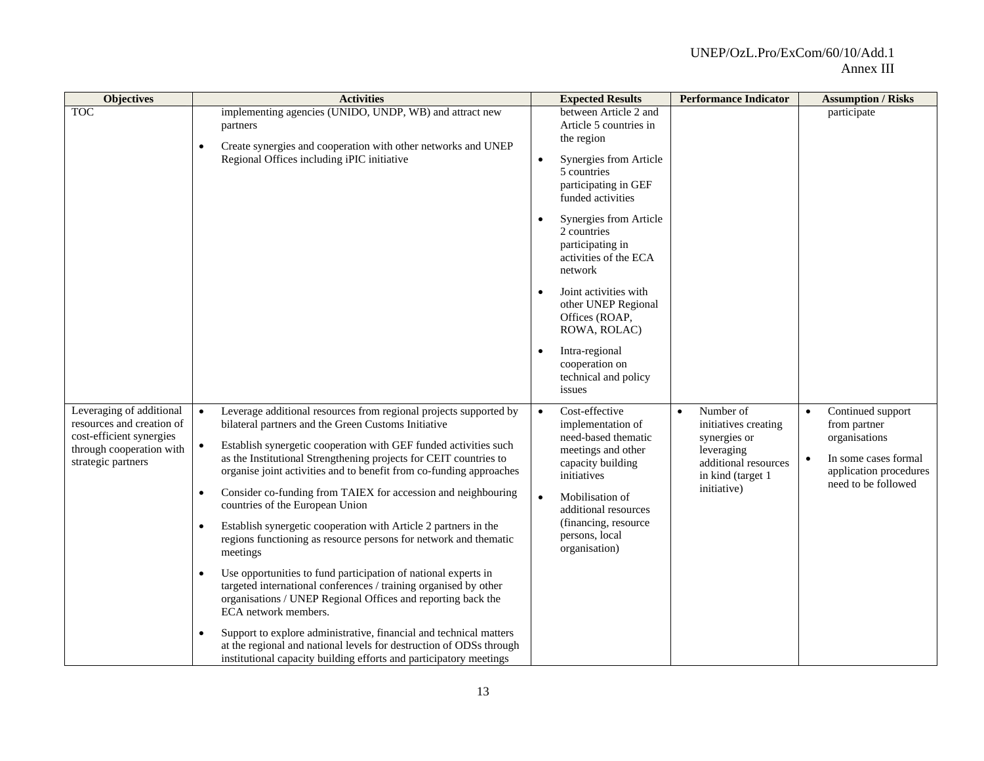| <b>Objectives</b>                                                                                                                   | <b>Activities</b>                                                                                                                                                                                                                                                                                                                                                                                                                                                                                                                                                                                                                                                                                                                                                                                                                                                                                                                                                                                                                                                                                                              | <b>Expected Results</b>                                                                                                                                                                                                                                                                                                                                                                            | <b>Performance Indicator</b>                                                                                                             | <b>Assumption / Risks</b>                                                                                                                             |
|-------------------------------------------------------------------------------------------------------------------------------------|--------------------------------------------------------------------------------------------------------------------------------------------------------------------------------------------------------------------------------------------------------------------------------------------------------------------------------------------------------------------------------------------------------------------------------------------------------------------------------------------------------------------------------------------------------------------------------------------------------------------------------------------------------------------------------------------------------------------------------------------------------------------------------------------------------------------------------------------------------------------------------------------------------------------------------------------------------------------------------------------------------------------------------------------------------------------------------------------------------------------------------|----------------------------------------------------------------------------------------------------------------------------------------------------------------------------------------------------------------------------------------------------------------------------------------------------------------------------------------------------------------------------------------------------|------------------------------------------------------------------------------------------------------------------------------------------|-------------------------------------------------------------------------------------------------------------------------------------------------------|
| <b>TOC</b>                                                                                                                          | implementing agencies (UNIDO, UNDP, WB) and attract new<br>partners<br>Create synergies and cooperation with other networks and UNEP<br>$\bullet$<br>Regional Offices including iPIC initiative                                                                                                                                                                                                                                                                                                                                                                                                                                                                                                                                                                                                                                                                                                                                                                                                                                                                                                                                | between Article 2 and<br>Article 5 countries in<br>the region<br>Synergies from Article<br>5 countries<br>participating in GEF<br>funded activities<br>Synergies from Article<br>2 countries<br>participating in<br>activities of the ECA<br>network<br>Joint activities with<br>other UNEP Regional<br>Offices (ROAP,<br>ROWA, ROLAC)<br>Intra-regional<br>cooperation on<br>technical and policy |                                                                                                                                          | participate                                                                                                                                           |
| Leveraging of additional<br>resources and creation of<br>cost-efficient synergies<br>through cooperation with<br>strategic partners | Leverage additional resources from regional projects supported by<br>$\bullet$<br>bilateral partners and the Green Customs Initiative<br>Establish synergetic cooperation with GEF funded activities such<br>$\bullet$<br>as the Institutional Strengthening projects for CEIT countries to<br>organise joint activities and to benefit from co-funding approaches<br>Consider co-funding from TAIEX for accession and neighbouring<br>$\bullet$<br>countries of the European Union<br>Establish synergetic cooperation with Article 2 partners in the<br>$\bullet$<br>regions functioning as resource persons for network and thematic<br>meetings<br>Use opportunities to fund participation of national experts in<br>$\bullet$<br>targeted international conferences / training organised by other<br>organisations / UNEP Regional Offices and reporting back the<br>ECA network members.<br>Support to explore administrative, financial and technical matters<br>$\bullet$<br>at the regional and national levels for destruction of ODSs through<br>institutional capacity building efforts and participatory meetings | issues<br>Cost-effective<br>$\bullet$<br>implementation of<br>need-based thematic<br>meetings and other<br>capacity building<br>initiatives<br>Mobilisation of<br>$\bullet$<br>additional resources<br>(financing, resource<br>persons, local<br>organisation)                                                                                                                                     | Number of<br>$\bullet$<br>initiatives creating<br>synergies or<br>leveraging<br>additional resources<br>in kind (target 1<br>initiative) | Continued support<br>$\bullet$<br>from partner<br>organisations<br>In some cases formal<br>$\bullet$<br>application procedures<br>need to be followed |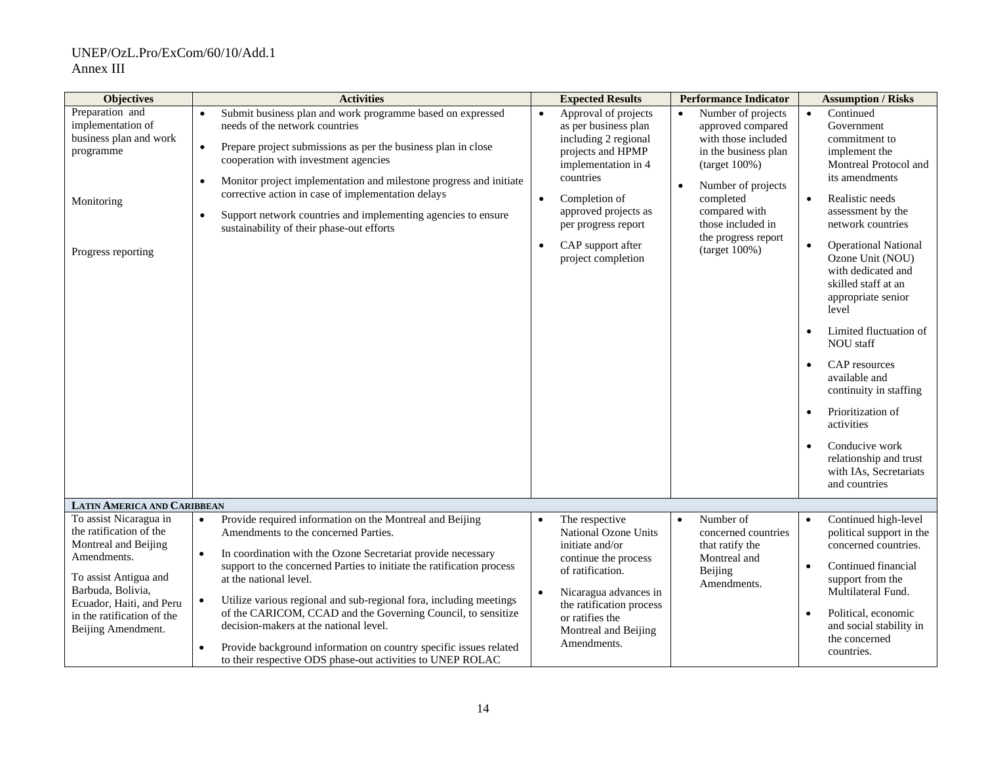| <b>Objectives</b>                                                                                                                                                                                                      | <b>Activities</b>                                                                                                                                                                                                                                                                                                                                                                                                                                                                                                                                                                                                                          | <b>Expected Results</b>                                                                                                                                                                                                                                            | <b>Performance Indicator</b>                                                                                                                                                                                                                | <b>Assumption / Risks</b>                                                                                                                                                                                                                                                                                                                                                                                                                                                                                                                         |
|------------------------------------------------------------------------------------------------------------------------------------------------------------------------------------------------------------------------|--------------------------------------------------------------------------------------------------------------------------------------------------------------------------------------------------------------------------------------------------------------------------------------------------------------------------------------------------------------------------------------------------------------------------------------------------------------------------------------------------------------------------------------------------------------------------------------------------------------------------------------------|--------------------------------------------------------------------------------------------------------------------------------------------------------------------------------------------------------------------------------------------------------------------|---------------------------------------------------------------------------------------------------------------------------------------------------------------------------------------------------------------------------------------------|---------------------------------------------------------------------------------------------------------------------------------------------------------------------------------------------------------------------------------------------------------------------------------------------------------------------------------------------------------------------------------------------------------------------------------------------------------------------------------------------------------------------------------------------------|
| Preparation and<br>implementation of<br>business plan and work<br>programme<br>Monitoring<br>Progress reporting                                                                                                        | Submit business plan and work programme based on expressed<br>needs of the network countries<br>Prepare project submissions as per the business plan in close<br>$\bullet$<br>cooperation with investment agencies<br>Monitor project implementation and milestone progress and initiate<br>$\bullet$<br>corrective action in case of implementation delays<br>Support network countries and implementing agencies to ensure<br>$\bullet$<br>sustainability of their phase-out efforts                                                                                                                                                     | Approval of projects<br>as per business plan<br>including 2 regional<br>projects and HPMP<br>implementation in 4<br>countries<br>Completion of<br>$\bullet$<br>approved projects as<br>per progress report<br>CAP support after<br>$\bullet$<br>project completion | Number of projects<br>approved compared<br>with those included<br>in the business plan<br>$(target 100\%)$<br>Number of projects<br>$\bullet$<br>completed<br>compared with<br>those included in<br>the progress report<br>$(target 100\%)$ | Continued<br>Government<br>commitment to<br>implement the<br>Montreal Protocol and<br>its amendments<br>Realistic needs<br>assessment by the<br>network countries<br><b>Operational National</b><br>Ozone Unit (NOU)<br>with dedicated and<br>skilled staff at an<br>appropriate senior<br>level<br>Limited fluctuation of<br><b>NOU</b> staff<br>CAP resources<br>available and<br>continuity in staffing<br>Prioritization of<br>$\bullet$<br>activities<br>Conducive work<br>relationship and trust<br>with IAs, Secretariats<br>and countries |
| <b>LATIN AMERICA AND CARIBBEAN</b>                                                                                                                                                                                     |                                                                                                                                                                                                                                                                                                                                                                                                                                                                                                                                                                                                                                            |                                                                                                                                                                                                                                                                    |                                                                                                                                                                                                                                             |                                                                                                                                                                                                                                                                                                                                                                                                                                                                                                                                                   |
| To assist Nicaragua in<br>the ratification of the<br>Montreal and Beijing<br>Amendments.<br>To assist Antigua and<br>Barbuda, Bolivia,<br>Ecuador, Haiti, and Peru<br>in the ratification of the<br>Beijing Amendment. | Provide required information on the Montreal and Beijing<br>$\bullet$<br>Amendments to the concerned Parties.<br>In coordination with the Ozone Secretariat provide necessary<br>$\bullet$<br>support to the concerned Parties to initiate the ratification process<br>at the national level.<br>Utilize various regional and sub-regional fora, including meetings<br>$\bullet$<br>of the CARICOM, CCAD and the Governing Council, to sensitize<br>decision-makers at the national level.<br>Provide background information on country specific issues related<br>$\bullet$<br>to their respective ODS phase-out activities to UNEP ROLAC | The respective<br>National Ozone Units<br>initiate and/or<br>continue the process<br>of ratification.<br>Nicaragua advances in<br>the ratification process<br>or ratifies the<br>Montreal and Beijing<br>Amendments.                                               | Number of<br>$\bullet$<br>concerned countries<br>that ratify the<br>Montreal and<br>Beijing<br>Amendments.                                                                                                                                  | Continued high-level<br>$\bullet$<br>political support in the<br>concerned countries.<br>Continued financial<br>$\bullet$<br>support from the<br>Multilateral Fund.<br>Political, economic<br>$\bullet$<br>and social stability in<br>the concerned<br>countries.                                                                                                                                                                                                                                                                                 |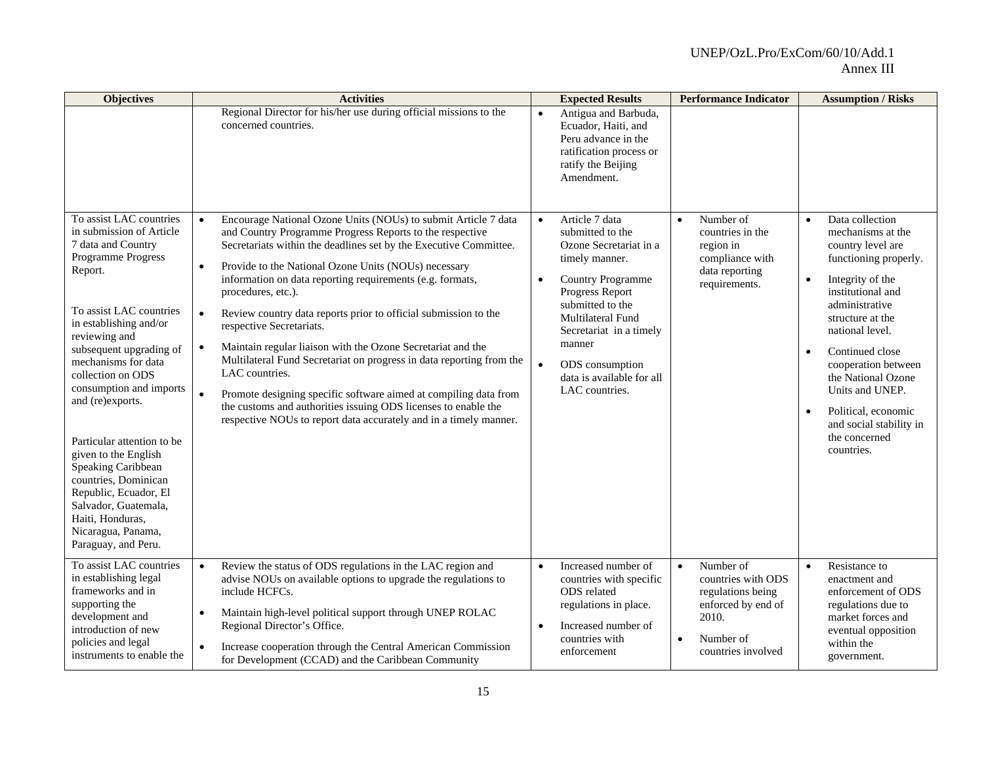| <b>Objectives</b>                                                                                                                                                                                                                                                                                                                                                                                                                                                                                                            | <b>Activities</b>                                                                                                                                                                                                                                                                                                                                                                                                                                                                                                                                                                                                                                                                                                                                                                                                                                                              | <b>Expected Results</b>                                                                                                                                                                                                                                                                                              | <b>Performance Indicator</b>                                                                                                                     | <b>Assumption / Risks</b>                                                                                                                                                                                                                                                                                                                                                                                    |
|------------------------------------------------------------------------------------------------------------------------------------------------------------------------------------------------------------------------------------------------------------------------------------------------------------------------------------------------------------------------------------------------------------------------------------------------------------------------------------------------------------------------------|--------------------------------------------------------------------------------------------------------------------------------------------------------------------------------------------------------------------------------------------------------------------------------------------------------------------------------------------------------------------------------------------------------------------------------------------------------------------------------------------------------------------------------------------------------------------------------------------------------------------------------------------------------------------------------------------------------------------------------------------------------------------------------------------------------------------------------------------------------------------------------|----------------------------------------------------------------------------------------------------------------------------------------------------------------------------------------------------------------------------------------------------------------------------------------------------------------------|--------------------------------------------------------------------------------------------------------------------------------------------------|--------------------------------------------------------------------------------------------------------------------------------------------------------------------------------------------------------------------------------------------------------------------------------------------------------------------------------------------------------------------------------------------------------------|
|                                                                                                                                                                                                                                                                                                                                                                                                                                                                                                                              | Regional Director for his/her use during official missions to the<br>concerned countries.                                                                                                                                                                                                                                                                                                                                                                                                                                                                                                                                                                                                                                                                                                                                                                                      | Antigua and Barbuda,<br>$\bullet$<br>Ecuador, Haiti, and<br>Peru advance in the<br>ratification process or<br>ratify the Beijing<br>Amendment.                                                                                                                                                                       |                                                                                                                                                  |                                                                                                                                                                                                                                                                                                                                                                                                              |
| To assist LAC countries<br>in submission of Article<br>7 data and Country<br>Programme Progress<br>Report.<br>To assist LAC countries<br>in establishing and/or<br>reviewing and<br>subsequent upgrading of<br>mechanisms for data<br>collection on ODS<br>consumption and imports<br>and (re)exports.<br>Particular attention to be<br>given to the English<br>Speaking Caribbean<br>countries, Dominican<br>Republic, Ecuador, El<br>Salvador, Guatemala,<br>Haiti, Honduras,<br>Nicaragua, Panama,<br>Paraguay, and Peru. | Encourage National Ozone Units (NOUs) to submit Article 7 data<br>$\bullet$<br>and Country Programme Progress Reports to the respective<br>Secretariats within the deadlines set by the Executive Committee.<br>Provide to the National Ozone Units (NOUs) necessary<br>$\bullet$<br>information on data reporting requirements (e.g. formats,<br>procedures, etc.).<br>Review country data reports prior to official submission to the<br>$\bullet$<br>respective Secretariats.<br>Maintain regular liaison with the Ozone Secretariat and the<br>$\bullet$<br>Multilateral Fund Secretariat on progress in data reporting from the<br>LAC countries.<br>Promote designing specific software aimed at compiling data from<br>$\bullet$<br>the customs and authorities issuing ODS licenses to enable the<br>respective NOUs to report data accurately and in a timely manner. | Article 7 data<br>$\bullet$<br>submitted to the<br>Ozone Secretariat in a<br>timely manner.<br><b>Country Programme</b><br>$\bullet$<br>Progress Report<br>submitted to the<br>Multilateral Fund<br>Secretariat in a timely<br>manner<br>$\bullet$<br>ODS consumption<br>data is available for all<br>LAC countries. | Number of<br>$\bullet$<br>countries in the<br>region in<br>compliance with<br>data reporting<br>requirements.                                    | Data collection<br>$\bullet$<br>mechanisms at the<br>country level are<br>functioning properly.<br>Integrity of the<br>$\bullet$<br>institutional and<br>administrative<br>structure at the<br>national level.<br>Continued close<br>$\bullet$<br>cooperation between<br>the National Ozone<br>Units and UNEP.<br>Political, economic<br>$\bullet$<br>and social stability in<br>the concerned<br>countries. |
| To assist LAC countries<br>in establishing legal<br>frameworks and in<br>supporting the<br>development and<br>introduction of new<br>policies and legal<br>instruments to enable the                                                                                                                                                                                                                                                                                                                                         | Review the status of ODS regulations in the LAC region and<br>$\bullet$<br>advise NOUs on available options to upgrade the regulations to<br>include HCFCs.<br>Maintain high-level political support through UNEP ROLAC<br>$\bullet$<br>Regional Director's Office.<br>Increase cooperation through the Central American Commission<br>for Development (CCAD) and the Caribbean Community                                                                                                                                                                                                                                                                                                                                                                                                                                                                                      | Increased number of<br>$\bullet$<br>countries with specific<br>ODS related<br>regulations in place.<br>Increased number of<br>countries with<br>enforcement                                                                                                                                                          | Number of<br>$\bullet$<br>countries with ODS<br>regulations being<br>enforced by end of<br>2010.<br>Number of<br>$\bullet$<br>countries involved | Resistance to<br>$\bullet$<br>enactment and<br>enforcement of ODS<br>regulations due to<br>market forces and<br>eventual opposition<br>within the<br>government.                                                                                                                                                                                                                                             |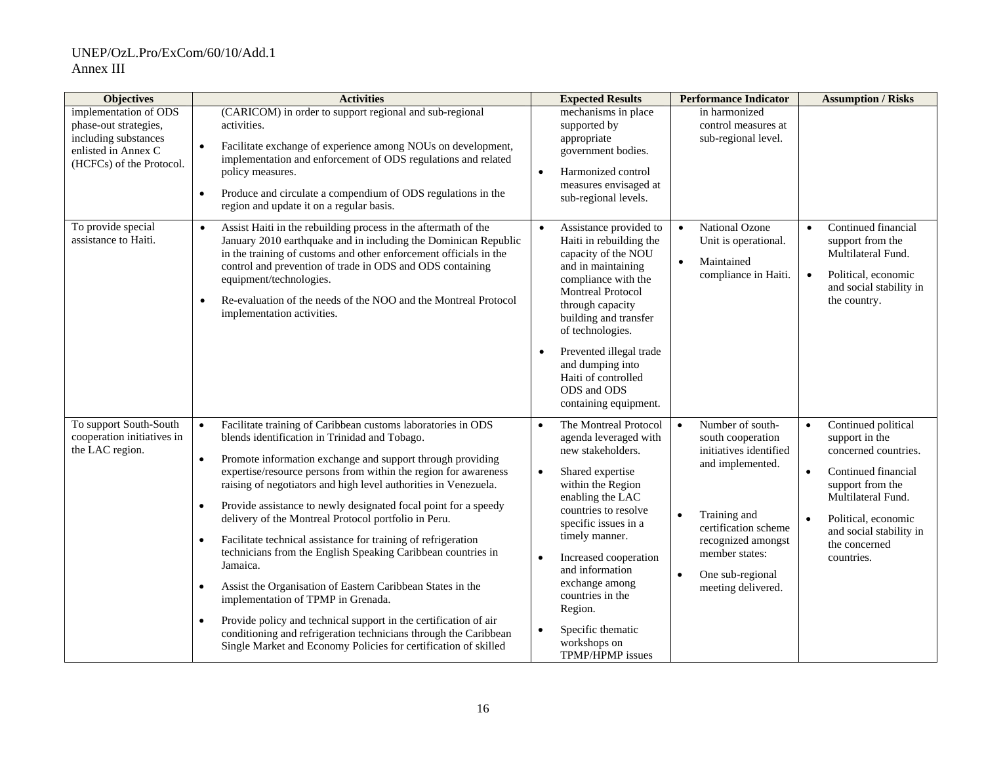| <b>Objectives</b>                                                                                                         | <b>Activities</b>                                                                                                                                                                                                                                                                                                                                                                                                                                                                                                                                                                                                                                                                                                                                                                                                                                                                                                                                                         | <b>Expected Results</b>                                                                                                                                                                                                                                                                                                                                                                                      | <b>Performance Indicator</b>                                                                                                                                                                                                                         | <b>Assumption / Risks</b>                                                                                                                                                                                                                 |
|---------------------------------------------------------------------------------------------------------------------------|---------------------------------------------------------------------------------------------------------------------------------------------------------------------------------------------------------------------------------------------------------------------------------------------------------------------------------------------------------------------------------------------------------------------------------------------------------------------------------------------------------------------------------------------------------------------------------------------------------------------------------------------------------------------------------------------------------------------------------------------------------------------------------------------------------------------------------------------------------------------------------------------------------------------------------------------------------------------------|--------------------------------------------------------------------------------------------------------------------------------------------------------------------------------------------------------------------------------------------------------------------------------------------------------------------------------------------------------------------------------------------------------------|------------------------------------------------------------------------------------------------------------------------------------------------------------------------------------------------------------------------------------------------------|-------------------------------------------------------------------------------------------------------------------------------------------------------------------------------------------------------------------------------------------|
| implementation of ODS<br>phase-out strategies,<br>including substances<br>enlisted in Annex C<br>(HCFCs) of the Protocol. | (CARICOM) in order to support regional and sub-regional<br>activities.<br>Facilitate exchange of experience among NOUs on development,<br>$\bullet$<br>implementation and enforcement of ODS regulations and related<br>policy measures.<br>Produce and circulate a compendium of ODS regulations in the<br>$\bullet$<br>region and update it on a regular basis.                                                                                                                                                                                                                                                                                                                                                                                                                                                                                                                                                                                                         | mechanisms in place<br>supported by<br>appropriate<br>government bodies.<br>Harmonized control<br>$\bullet$<br>measures envisaged at<br>sub-regional levels.                                                                                                                                                                                                                                                 | in harmonized<br>control measures at<br>sub-regional level.                                                                                                                                                                                          |                                                                                                                                                                                                                                           |
| To provide special<br>assistance to Haiti.                                                                                | Assist Haiti in the rebuilding process in the aftermath of the<br>$\bullet$<br>January 2010 earthquake and in including the Dominican Republic<br>in the training of customs and other enforcement officials in the<br>control and prevention of trade in ODS and ODS containing<br>equipment/technologies.<br>Re-evaluation of the needs of the NOO and the Montreal Protocol<br>$\bullet$<br>implementation activities.                                                                                                                                                                                                                                                                                                                                                                                                                                                                                                                                                 | Assistance provided to<br>$\bullet$<br>Haiti in rebuilding the<br>capacity of the NOU<br>and in maintaining<br>compliance with the<br><b>Montreal Protocol</b><br>through capacity<br>building and transfer<br>of technologies.<br>Prevented illegal trade<br>and dumping into<br>Haiti of controlled<br>ODS and ODS<br>containing equipment.                                                                | National Ozone<br>$\bullet$<br>Unit is operational.<br>Maintained<br>$\bullet$<br>compliance in Haiti.                                                                                                                                               | Continued financial<br>$\bullet$<br>support from the<br>Multilateral Fund.<br>Political, economic<br>$\bullet$<br>and social stability in<br>the country.                                                                                 |
| To support South-South<br>cooperation initiatives in<br>the LAC region.                                                   | Facilitate training of Caribbean customs laboratories in ODS<br>$\bullet$<br>blends identification in Trinidad and Tobago.<br>Promote information exchange and support through providing<br>expertise/resource persons from within the region for awareness<br>raising of negotiators and high level authorities in Venezuela.<br>Provide assistance to newly designated focal point for a speedy<br>$\bullet$<br>delivery of the Montreal Protocol portfolio in Peru.<br>Facilitate technical assistance for training of refrigeration<br>$\bullet$<br>technicians from the English Speaking Caribbean countries in<br>Jamaica.<br>Assist the Organisation of Eastern Caribbean States in the<br>$\bullet$<br>implementation of TPMP in Grenada.<br>Provide policy and technical support in the certification of air<br>$\bullet$<br>conditioning and refrigeration technicians through the Caribbean<br>Single Market and Economy Policies for certification of skilled | The Montreal Protocol<br>$\bullet$<br>agenda leveraged with<br>new stakeholders.<br>Shared expertise<br>$\bullet$<br>within the Region<br>enabling the LAC<br>countries to resolve<br>specific issues in a<br>timely manner.<br>Increased cooperation<br>$\bullet$<br>and information<br>exchange among<br>countries in the<br>Region.<br>Specific thematic<br>$\bullet$<br>workshops on<br>TPMP/HPMP issues | Number of south-<br>$\bullet$<br>south cooperation<br>initiatives identified<br>and implemented.<br>Training and<br>$\bullet$<br>certification scheme<br>recognized amongst<br>member states:<br>One sub-regional<br>$\bullet$<br>meeting delivered. | Continued political<br>$\bullet$<br>support in the<br>concerned countries.<br>Continued financial<br>$\bullet$<br>support from the<br>Multilateral Fund.<br>Political, economic<br>and social stability in<br>the concerned<br>countries. |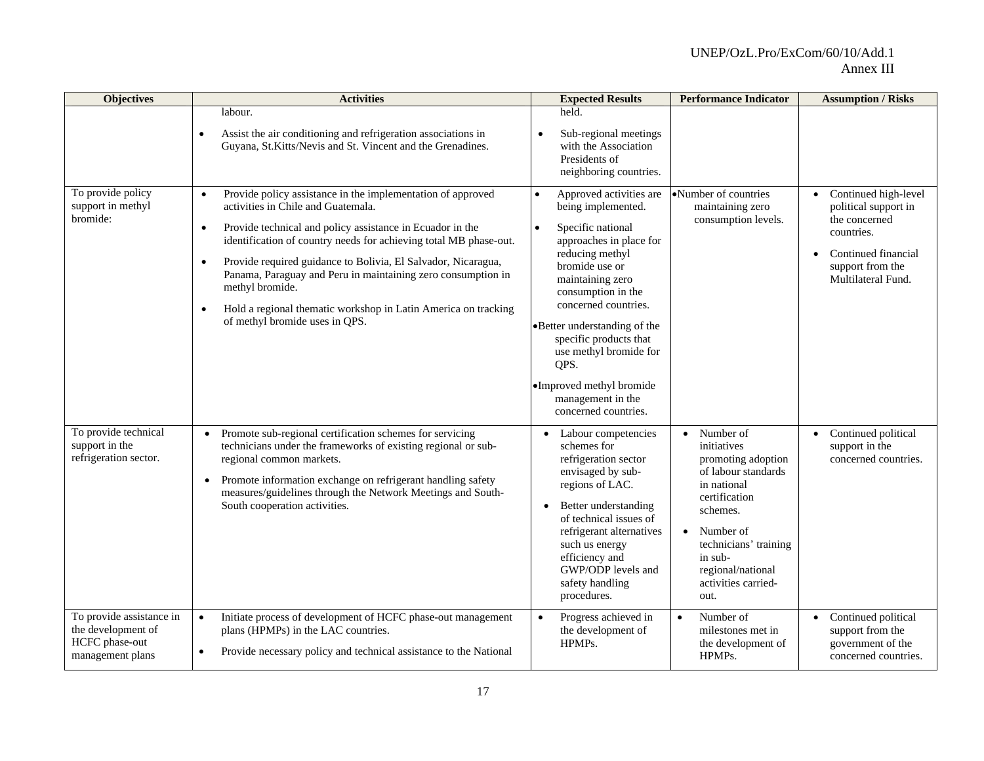| <b>Objectives</b>                                                                    | <b>Activities</b>                                                                                                                                                                                                                                                                                                                                                                                                                                                                                                                               | <b>Expected Results</b>                                                                                                                                                                                                                                                                                                                                                                             | <b>Performance Indicator</b>                                                                                                                                                                                                        | <b>Assumption / Risks</b>                                                                                                                                              |
|--------------------------------------------------------------------------------------|-------------------------------------------------------------------------------------------------------------------------------------------------------------------------------------------------------------------------------------------------------------------------------------------------------------------------------------------------------------------------------------------------------------------------------------------------------------------------------------------------------------------------------------------------|-----------------------------------------------------------------------------------------------------------------------------------------------------------------------------------------------------------------------------------------------------------------------------------------------------------------------------------------------------------------------------------------------------|-------------------------------------------------------------------------------------------------------------------------------------------------------------------------------------------------------------------------------------|------------------------------------------------------------------------------------------------------------------------------------------------------------------------|
|                                                                                      | labour.<br>Assist the air conditioning and refrigeration associations in<br>Guyana, St.Kitts/Nevis and St. Vincent and the Grenadines.                                                                                                                                                                                                                                                                                                                                                                                                          | held.<br>Sub-regional meetings<br>with the Association<br>Presidents of<br>neighboring countries.                                                                                                                                                                                                                                                                                                   |                                                                                                                                                                                                                                     |                                                                                                                                                                        |
| To provide policy<br>support in methyl<br>bromide:                                   | Provide policy assistance in the implementation of approved<br>$\bullet$<br>activities in Chile and Guatemala.<br>Provide technical and policy assistance in Ecuador in the<br>$\bullet$<br>identification of country needs for achieving total MB phase-out.<br>Provide required guidance to Bolivia, El Salvador, Nicaragua,<br>$\bullet$<br>Panama, Paraguay and Peru in maintaining zero consumption in<br>methyl bromide.<br>Hold a regional thematic workshop in Latin America on tracking<br>$\bullet$<br>of methyl bromide uses in QPS. | Approved activities are<br>$\bullet$<br>being implemented.<br>Specific national<br>$\bullet$<br>approaches in place for<br>reducing methyl<br>bromide use or<br>maintaining zero<br>consumption in the<br>concerned countries.<br>•Better understanding of the<br>specific products that<br>use methyl bromide for<br>QPS.<br>•Improved methyl bromide<br>management in the<br>concerned countries. | •Number of countries<br>maintaining zero<br>consumption levels.                                                                                                                                                                     | Continued high-level<br>$\bullet$<br>political support in<br>the concerned<br>countries.<br>Continued financial<br>$\bullet$<br>support from the<br>Multilateral Fund. |
| To provide technical<br>support in the<br>refrigeration sector.                      | Promote sub-regional certification schemes for servicing<br>$\bullet$<br>technicians under the frameworks of existing regional or sub-<br>regional common markets.<br>Promote information exchange on refrigerant handling safety<br>$\bullet$<br>measures/guidelines through the Network Meetings and South-<br>South cooperation activities.                                                                                                                                                                                                  | Labour competencies<br>$\bullet$<br>schemes for<br>refrigeration sector<br>envisaged by sub-<br>regions of LAC.<br>Better understanding<br>$\bullet$<br>of technical issues of<br>refrigerant alternatives<br>such us energy<br>efficiency and<br>GWP/ODP levels and<br>safety handling<br>procedures.                                                                                              | Number of<br>$\bullet$<br>initiatives<br>promoting adoption<br>of labour standards<br>in national<br>certification<br>schemes.<br>Number of<br>technicians' training<br>in sub-<br>regional/national<br>activities carried-<br>out. | Continued political<br>support in the<br>concerned countries.                                                                                                          |
| To provide assistance in<br>the development of<br>HCFC phase-out<br>management plans | Initiate process of development of HCFC phase-out management<br>$\bullet$<br>plans (HPMPs) in the LAC countries.<br>Provide necessary policy and technical assistance to the National<br>$\bullet$                                                                                                                                                                                                                                                                                                                                              | Progress achieved in<br>$\bullet$<br>the development of<br>HPMPs.                                                                                                                                                                                                                                                                                                                                   | Number of<br>$\bullet$<br>milestones met in<br>the development of<br>HPMPs.                                                                                                                                                         | Continued political<br>$\bullet$<br>support from the<br>government of the<br>concerned countries.                                                                      |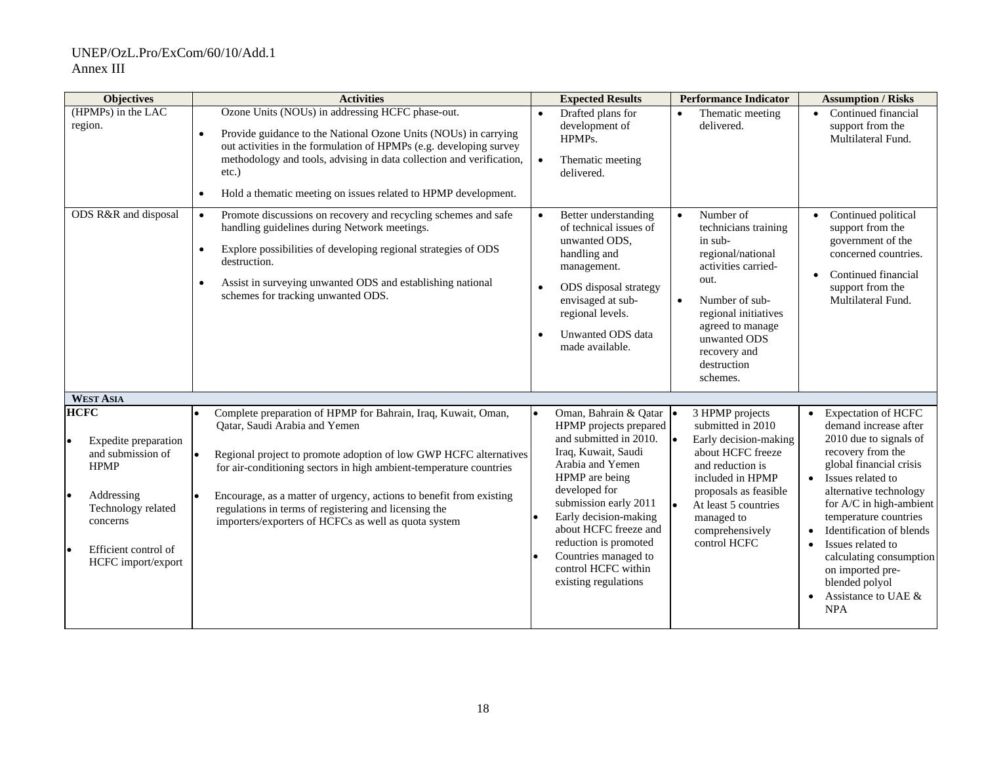| <b>Objectives</b>                                                                                                                                                                 | <b>Activities</b>                                                                                                                                                                                                                                                                                                                                                                                                                 | <b>Expected Results</b>                                                                                                                                                                                                                                                                                                                  | <b>Performance Indicator</b>                                                                                                                                                                                                                        | <b>Assumption / Risks</b>                                                                                                                                                                                                                                                                                                                                                               |
|-----------------------------------------------------------------------------------------------------------------------------------------------------------------------------------|-----------------------------------------------------------------------------------------------------------------------------------------------------------------------------------------------------------------------------------------------------------------------------------------------------------------------------------------------------------------------------------------------------------------------------------|------------------------------------------------------------------------------------------------------------------------------------------------------------------------------------------------------------------------------------------------------------------------------------------------------------------------------------------|-----------------------------------------------------------------------------------------------------------------------------------------------------------------------------------------------------------------------------------------------------|-----------------------------------------------------------------------------------------------------------------------------------------------------------------------------------------------------------------------------------------------------------------------------------------------------------------------------------------------------------------------------------------|
| (HPMPs) in the LAC<br>region.                                                                                                                                                     | Ozone Units (NOUs) in addressing HCFC phase-out.<br>Provide guidance to the National Ozone Units (NOUs) in carrying<br>$\bullet$<br>out activities in the formulation of HPMPs (e.g. developing survey<br>methodology and tools, advising in data collection and verification,<br>$etc.$ )<br>Hold a thematic meeting on issues related to HPMP development.<br>$\bullet$                                                         | Drafted plans for<br>$\bullet$<br>development of<br>HPMP <sub>s</sub> .<br>Thematic meeting<br>$\bullet$<br>delivered.                                                                                                                                                                                                                   | Thematic meeting<br>$\bullet$<br>delivered.                                                                                                                                                                                                         | Continued financial<br>$\bullet$<br>support from the<br>Multilateral Fund.                                                                                                                                                                                                                                                                                                              |
| ODS R&R and disposal                                                                                                                                                              | Promote discussions on recovery and recycling schemes and safe<br>$\bullet$<br>handling guidelines during Network meetings.<br>Explore possibilities of developing regional strategies of ODS<br>$\bullet$<br>destruction.<br>Assist in surveying unwanted ODS and establishing national<br>$\bullet$<br>schemes for tracking unwanted ODS.                                                                                       | Better understanding<br>of technical issues of<br>unwanted ODS,<br>handling and<br>management.<br>ODS disposal strategy<br>$\bullet$<br>envisaged at sub-<br>regional levels.<br>Unwanted ODS data<br>made available.                                                                                                                    | Number of<br>$\bullet$<br>technicians training<br>in sub-<br>regional/national<br>activities carried-<br>out.<br>Number of sub-<br>$\bullet$<br>regional initiatives<br>agreed to manage<br>unwanted ODS<br>recovery and<br>destruction<br>schemes. | Continued political<br>support from the<br>government of the<br>concerned countries.<br>Continued financial<br>$\bullet$<br>support from the<br>Multilateral Fund.                                                                                                                                                                                                                      |
| <b>WEST ASIA</b>                                                                                                                                                                  |                                                                                                                                                                                                                                                                                                                                                                                                                                   |                                                                                                                                                                                                                                                                                                                                          |                                                                                                                                                                                                                                                     |                                                                                                                                                                                                                                                                                                                                                                                         |
| <b>HCFC</b><br>Expedite preparation<br>and submission of<br><b>HPMP</b><br>Addressing<br>I۰<br>Technology related<br>concerns<br>Efficient control of<br>I۰<br>HCFC import/export | Complete preparation of HPMP for Bahrain, Iraq, Kuwait, Oman,<br>Qatar, Saudi Arabia and Yemen<br>Regional project to promote adoption of low GWP HCFC alternatives<br>for air-conditioning sectors in high ambient-temperature countries<br>Encourage, as a matter of urgency, actions to benefit from existing<br>regulations in terms of registering and licensing the<br>importers/exporters of HCFCs as well as quota system | Oman, Bahrain & Qatar<br>I۰<br>HPMP projects prepared<br>and submitted in 2010.<br>Iraq, Kuwait, Saudi<br>Arabia and Yemen<br>HPMP are being<br>developed for<br>submission early 2011<br>Early decision-making<br>about HCFC freeze and<br>reduction is promoted<br>Countries managed to<br>control HCFC within<br>existing regulations | 3 HPMP projects<br>submitted in 2010<br>I۰<br>Early decision-making<br>about HCFC freeze<br>and reduction is<br>included in HPMP<br>proposals as feasible<br>At least 5 countries<br>$\bullet$<br>managed to<br>comprehensively<br>control HCFC     | <b>Expectation of HCFC</b><br>demand increase after<br>2010 due to signals of<br>recovery from the<br>global financial crisis<br>Issues related to<br>alternative technology<br>for A/C in high-ambient<br>temperature countries<br>Identification of blends<br>Issues related to<br>calculating consumption<br>on imported pre-<br>blended polyol<br>Assistance to UAE &<br><b>NPA</b> |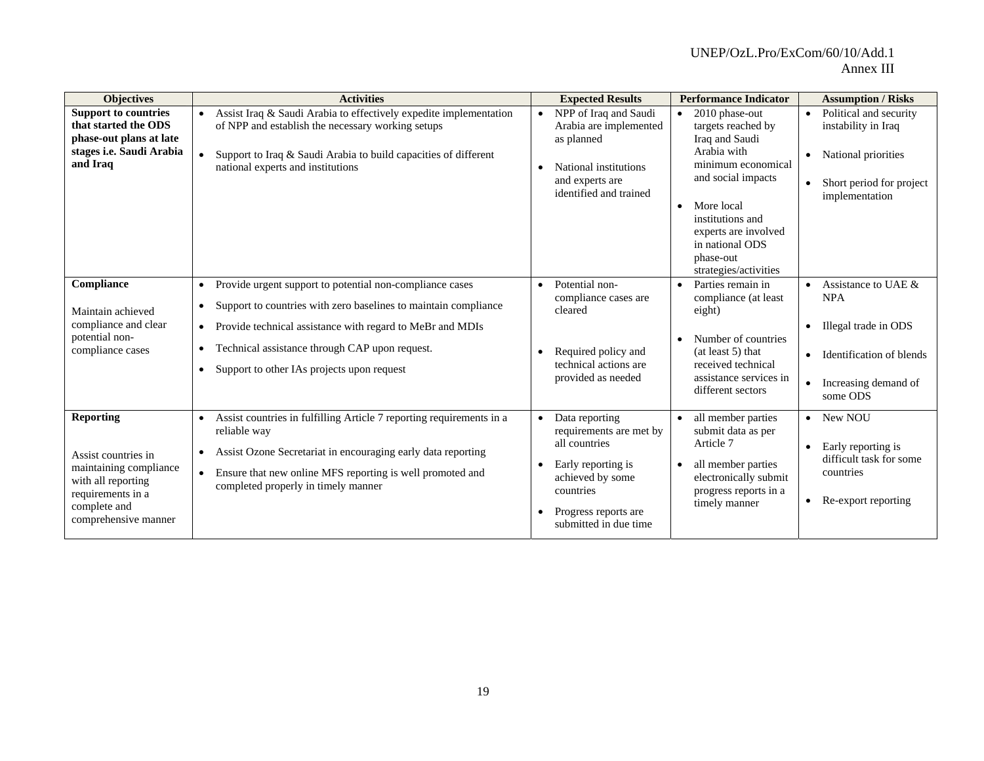| <b>Objectives</b>                                                                                                                                    | <b>Activities</b>                                                                                                                                                                                                                                                                                                                                         | <b>Expected Results</b>                                                                                                                                              | <b>Performance Indicator</b>                                                                                                                                                                                                                                   | <b>Assumption / Risks</b>                                                                                                              |
|------------------------------------------------------------------------------------------------------------------------------------------------------|-----------------------------------------------------------------------------------------------------------------------------------------------------------------------------------------------------------------------------------------------------------------------------------------------------------------------------------------------------------|----------------------------------------------------------------------------------------------------------------------------------------------------------------------|----------------------------------------------------------------------------------------------------------------------------------------------------------------------------------------------------------------------------------------------------------------|----------------------------------------------------------------------------------------------------------------------------------------|
| <b>Support to countries</b><br>that started the ODS<br>phase-out plans at late<br>stages <i>i.e.</i> Saudi Arabia<br>and Iraq                        | Assist Iraq & Saudi Arabia to effectively expedite implementation<br>of NPP and establish the necessary working setups<br>Support to Iraq & Saudi Arabia to build capacities of different<br>national experts and institutions                                                                                                                            | NPP of Iraq and Saudi<br>Arabia are implemented<br>as planned<br>National institutions<br>and experts are<br>identified and trained                                  | 2010 phase-out<br>$\bullet$<br>targets reached by<br>Iraq and Saudi<br>Arabia with<br>minimum economical<br>and social impacts<br>More local<br>$\bullet$<br>institutions and<br>experts are involved<br>in national ODS<br>phase-out<br>strategies/activities | Political and security<br>$\bullet$<br>instability in Iraq<br>• National priorities<br>Short period for project<br>implementation      |
| Compliance<br>Maintain achieved<br>compliance and clear<br>potential non-<br>compliance cases                                                        | Provide urgent support to potential non-compliance cases<br>$\bullet$<br>Support to countries with zero baselines to maintain compliance<br>$\bullet$<br>Provide technical assistance with regard to MeBr and MDIs<br>$\bullet$<br>Technical assistance through CAP upon request.<br>$\bullet$<br>Support to other IAs projects upon request<br>$\bullet$ | Potential non-<br>$\bullet$<br>compliance cases are<br>cleared<br>Required policy and<br>technical actions are<br>provided as needed                                 | Parties remain in<br>$\bullet$<br>compliance (at least)<br>eight)<br>Number of countries<br>(at least 5) that<br>received technical<br>assistance services in<br>different sectors                                                                             | Assistance to UAE &<br><b>NPA</b><br>Illegal trade in ODS<br>Identification of blends<br>$\bullet$<br>Increasing demand of<br>some ODS |
| <b>Reporting</b><br>Assist countries in<br>maintaining compliance<br>with all reporting<br>requirements in a<br>complete and<br>comprehensive manner | Assist countries in fulfilling Article 7 reporting requirements in a<br>$\bullet$<br>reliable way<br>Assist Ozone Secretariat in encouraging early data reporting<br>$\bullet$<br>Ensure that new online MFS reporting is well promoted and<br>$\bullet$<br>completed properly in timely manner                                                           | • Data reporting<br>requirements are met by<br>all countries<br>Early reporting is<br>achieved by some<br>countries<br>Progress reports are<br>submitted in due time | all member parties<br>submit data as per<br>Article 7<br>all member parties<br>electronically submit<br>progress reports in a<br>timely manner                                                                                                                 | • New NOU<br>Early reporting is<br>$\bullet$<br>difficult task for some<br>countries<br>Re-export reporting<br>٠                       |